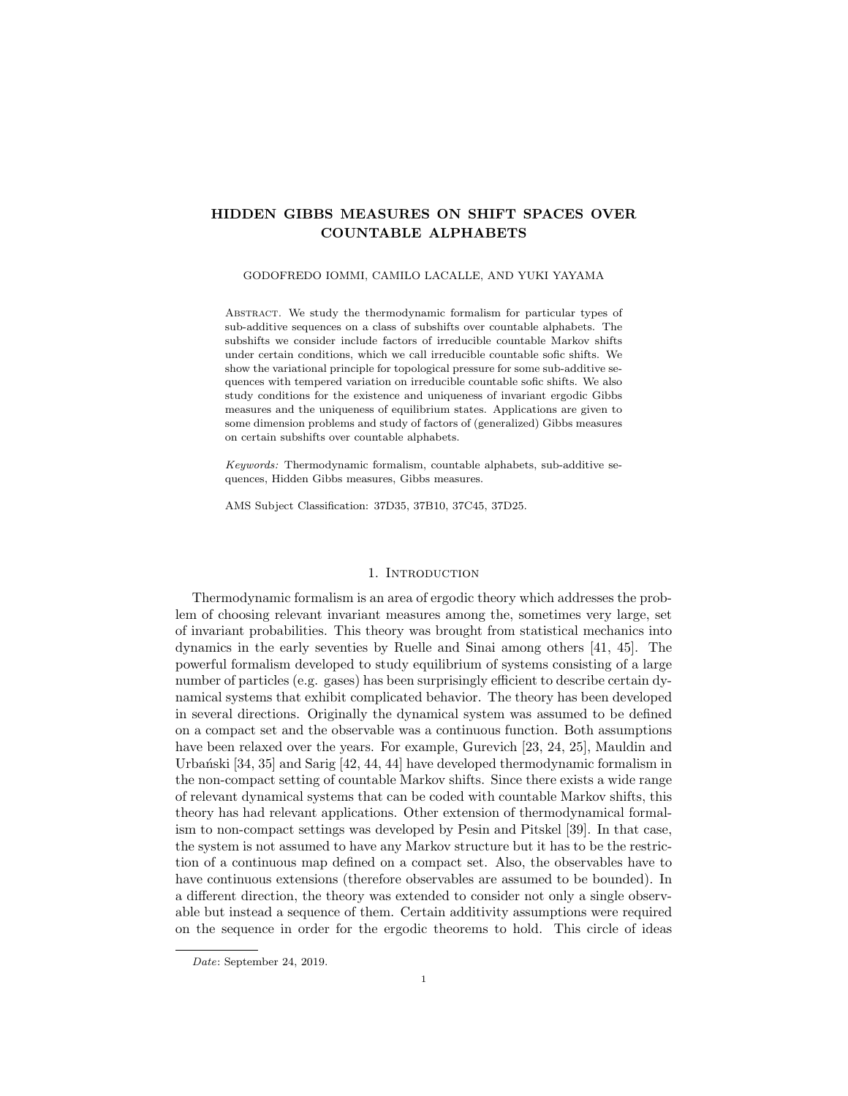# HIDDEN GIBBS MEASURES ON SHIFT SPACES OVER COUNTABLE ALPHABETS

#### GODOFREDO IOMMI, CAMILO LACALLE, AND YUKI YAYAMA

Abstract. We study the thermodynamic formalism for particular types of sub-additive sequences on a class of subshifts over countable alphabets. The subshifts we consider include factors of irreducible countable Markov shifts under certain conditions, which we call irreducible countable sofic shifts. We show the variational principle for topological pressure for some sub-additive sequences with tempered variation on irreducible countable sofic shifts. We also study conditions for the existence and uniqueness of invariant ergodic Gibbs measures and the uniqueness of equilibrium states. Applications are given to some dimension problems and study of factors of (generalized) Gibbs measures on certain subshifts over countable alphabets.

*Keywords:* Thermodynamic formalism, countable alphabets, sub-additive sequences, Hidden Gibbs measures, Gibbs measures.

AMS Subject Classification: 37D35, 37B10, 37C45, 37D25.

### 1. INTRODUCTION

Thermodynamic formalism is an area of ergodic theory which addresses the problem of choosing relevant invariant measures among the, sometimes very large, set of invariant probabilities. This theory was brought from statistical mechanics into dynamics in the early seventies by Ruelle and Sinai among others [41, 45]. The powerful formalism developed to study equilibrium of systems consisting of a large number of particles (e.g. gases) has been surprisingly efficient to describe certain dynamical systems that exhibit complicated behavior. The theory has been developed in several directions. Originally the dynamical system was assumed to be defined on a compact set and the observable was a continuous function. Both assumptions have been relaxed over the years. For example, Gurevich [23, 24, 25], Mauldin and Urbański  $[34, 35]$  and Sarig  $[42, 44, 44]$  have developed thermodynamic formalism in the non-compact setting of countable Markov shifts. Since there exists a wide range of relevant dynamical systems that can be coded with countable Markov shifts, this theory has had relevant applications. Other extension of thermodynamical formalism to non-compact settings was developed by Pesin and Pitskel [39]. In that case, the system is not assumed to have any Markov structure but it has to be the restriction of a continuous map defined on a compact set. Also, the observables have to have continuous extensions (therefore observables are assumed to be bounded). In a different direction, the theory was extended to consider not only a single observable but instead a sequence of them. Certain additivity assumptions were required on the sequence in order for the ergodic theorems to hold. This circle of ideas

*Date*: September 24, 2019.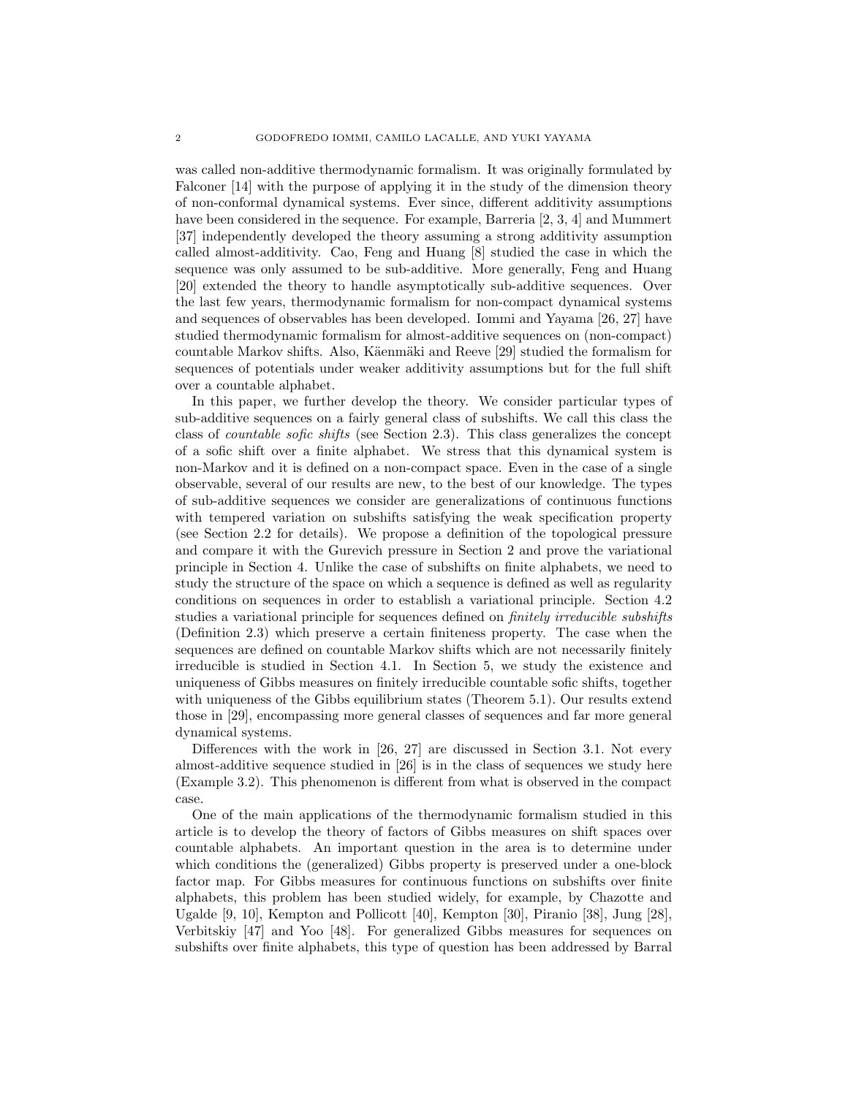was called non-additive thermodynamic formalism. It was originally formulated by Falconer [14] with the purpose of applying it in the study of the dimension theory of non-conformal dynamical systems. Ever since, different additivity assumptions have been considered in the sequence. For example, Barreria [2, 3, 4] and Mummert [37] independently developed the theory assuming a strong additivity assumption called almost-additivity. Cao, Feng and Huang [8] studied the case in which the sequence was only assumed to be sub-additive. More generally, Feng and Huang [20] extended the theory to handle asymptotically sub-additive sequences. Over the last few years, thermodynamic formalism for non-compact dynamical systems and sequences of observables has been developed. Iommi and Yayama [26, 27] have studied thermodynamic formalism for almost-additive sequences on (non-compact) countable Markov shifts. Also, Käenmäki and Reeve [29] studied the formalism for sequences of potentials under weaker additivity assumptions but for the full shift over a countable alphabet.

In this paper, we further develop the theory. We consider particular types of sub-additive sequences on a fairly general class of subshifts. We call this class the class of *countable sofic shifts* (see Section 2.3). This class generalizes the concept of a sofic shift over a finite alphabet. We stress that this dynamical system is non-Markov and it is defined on a non-compact space. Even in the case of a single observable, several of our results are new, to the best of our knowledge. The types of sub-additive sequences we consider are generalizations of continuous functions with tempered variation on subshifts satisfying the weak specification property (see Section 2.2 for details). We propose a definition of the topological pressure and compare it with the Gurevich pressure in Section 2 and prove the variational principle in Section 4. Unlike the case of subshifts on finite alphabets, we need to study the structure of the space on which a sequence is defined as well as regularity conditions on sequences in order to establish a variational principle. Section 4.2 studies a variational principle for sequences defined on *finitely irreducible subshifts* (Definition 2.3) which preserve a certain finiteness property. The case when the sequences are defined on countable Markov shifts which are not necessarily finitely irreducible is studied in Section 4.1. In Section 5, we study the existence and uniqueness of Gibbs measures on finitely irreducible countable sofic shifts, together with uniqueness of the Gibbs equilibrium states (Theorem 5.1). Our results extend those in [29], encompassing more general classes of sequences and far more general dynamical systems.

Differences with the work in [26, 27] are discussed in Section 3.1. Not every almost-additive sequence studied in [26] is in the class of sequences we study here (Example 3.2). This phenomenon is different from what is observed in the compact case.

One of the main applications of the thermodynamic formalism studied in this article is to develop the theory of factors of Gibbs measures on shift spaces over countable alphabets. An important question in the area is to determine under which conditions the (generalized) Gibbs property is preserved under a one-block factor map. For Gibbs measures for continuous functions on subshifts over finite alphabets, this problem has been studied widely, for example, by Chazotte and Ugalde [9, 10], Kempton and Pollicott [40], Kempton [30], Piranio [38], Jung [28], Verbitskiy [47] and Yoo [48]. For generalized Gibbs measures for sequences on subshifts over finite alphabets, this type of question has been addressed by Barral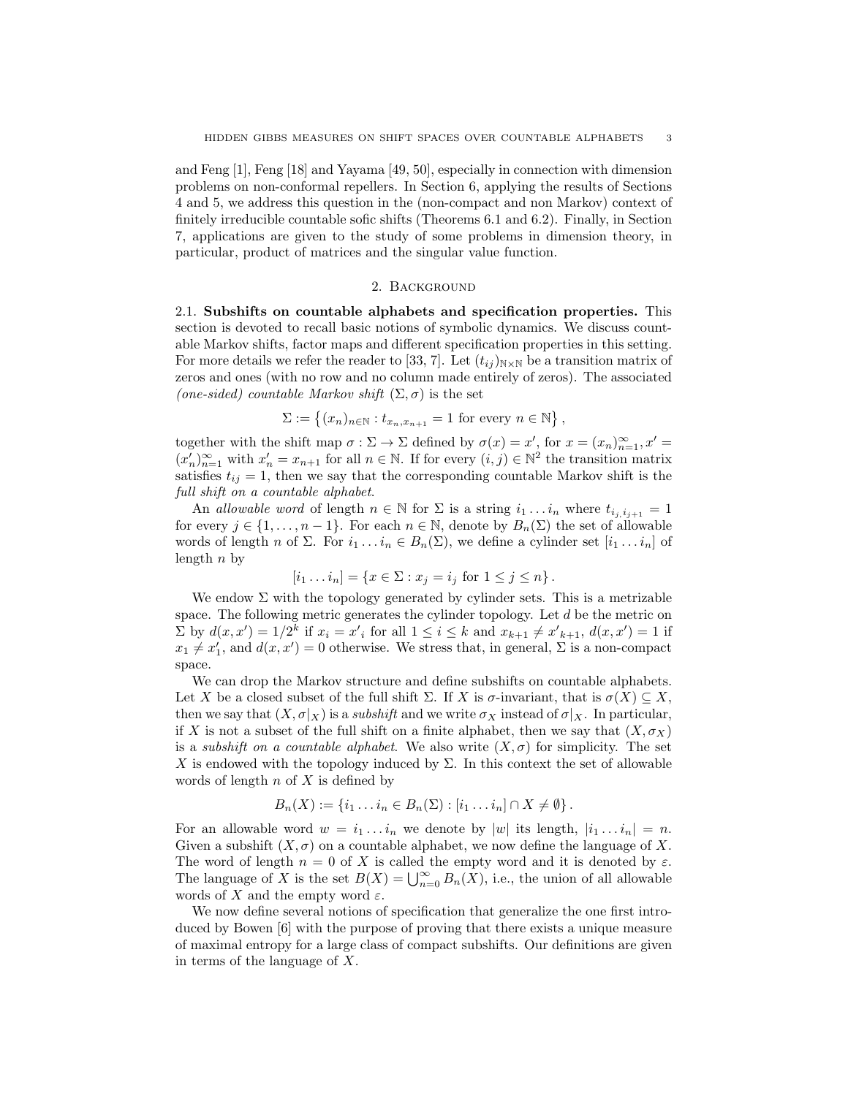and Feng [1], Feng [18] and Yayama [49, 50], especially in connection with dimension problems on non-conformal repellers. In Section 6, applying the results of Sections 4 and 5, we address this question in the (non-compact and non Markov) context of finitely irreducible countable sofic shifts (Theorems 6.1 and 6.2). Finally, in Section 7, applications are given to the study of some problems in dimension theory, in particular, product of matrices and the singular value function.

### 2. Background

2.1. Subshifts on countable alphabets and specification properties. This section is devoted to recall basic notions of symbolic dynamics. We discuss countable Markov shifts, factor maps and different specification properties in this setting. For more details we refer the reader to [33, 7]. Let  $(t_{ij})_{N\times N}$  be a transition matrix of zeros and ones (with no row and no column made entirely of zeros). The associated (one-sided) countable Markov shift  $(\Sigma, \sigma)$  is the set

$$
\Sigma := \left\{ (x_n)_{n \in \mathbb{N}} : t_{x_n, x_{n+1}} = 1 \text{ for every } n \in \mathbb{N} \right\},\
$$

together with the shift map  $\sigma : \Sigma \to \Sigma$  defined by  $\sigma(x) = x'$ , for  $x = (x_n)_{n=1}^{\infty}$ ,  $x' = (x_n)_{n=1}^{\infty}$  $(x'_n)_{n=1}^{\infty}$  with  $x'_n = x_{n+1}$  for all  $n \in \mathbb{N}$ . If for every  $(i, j) \in \mathbb{N}^2$  the transition matrix satisfies  $t_{ij} = 1$ , then we say that the corresponding countable Markov shift is the *full shift on a countable alphabet*.

An *allowable word* of length  $n \in \mathbb{N}$  for  $\Sigma$  is a string  $i_1 \dots i_n$  where  $t_{i_i, i_{i+1}} = 1$ for every  $j \in \{1, \ldots, n-1\}$ . For each  $n \in \mathbb{N}$ , denote by  $B_n(\Sigma)$  the set of allowable words of length n of  $\Sigma$ . For  $i_1 \ldots i_n \in B_n(\Sigma)$ , we define a cylinder set  $[i_1 \ldots i_n]$  of length  $n$  by

$$
[i_1 \dots i_n] = \{ x \in \Sigma : x_j = i_j \text{ for } 1 \le j \le n \}.
$$

We endow  $\Sigma$  with the topology generated by cylinder sets. This is a metrizable space. The following metric generates the cylinder topology. Let  $d$  be the metric on  $\sum$  by  $d(x, x') = 1/2^k$  if  $x_i = x'_i$  for all  $1 \le i \le k$  and  $x_{k+1} \ne x'_{k+1}$ ,  $d(x, x') = 1$  if  $x_1 \neq x'_1$ , and  $d(x, x') = 0$  otherwise. We stress that, in general,  $\Sigma$  is a non-compact space.

We can drop the Markov structure and define subshifts on countable alphabets. Let X be a closed subset of the full shift  $\Sigma$ . If X is  $\sigma$ -invariant, that is  $\sigma(X) \subseteq X$ , then we say that  $(X, \sigma|_X)$  is a *subshift* and we write  $\sigma_X$  instead of  $\sigma|_X$ . In particular, if X is not a subset of the full shift on a finite alphabet, then we say that  $(X, \sigma_X)$ is a *subshift on a countable alphabet*. We also write  $(X, \sigma)$  for simplicity. The set X is endowed with the topology induced by  $\Sigma$ . In this context the set of allowable words of length  $n$  of  $X$  is defined by

$$
B_n(X) := \{i_1 \dots i_n \in B_n(\Sigma) : [i_1 \dots i_n] \cap X \neq \emptyset\}.
$$

For an allowable word  $w = i_1 \ldots i_n$  we denote by  $|w|$  its length,  $|i_1 \ldots i_n| = n$ . Given a subshift  $(X, \sigma)$  on a countable alphabet, we now define the language of X. The word of length  $n = 0$  of X is called the empty word and it is denoted by  $\varepsilon$ . The language of X is the set  $B(X) = \bigcup_{n=0}^{\infty} B_n(X)$ , i.e., the union of all allowable words of X and the empty word  $\varepsilon$ .

We now define several notions of specification that generalize the one first introduced by Bowen [6] with the purpose of proving that there exists a unique measure of maximal entropy for a large class of compact subshifts. Our definitions are given in terms of the language of X.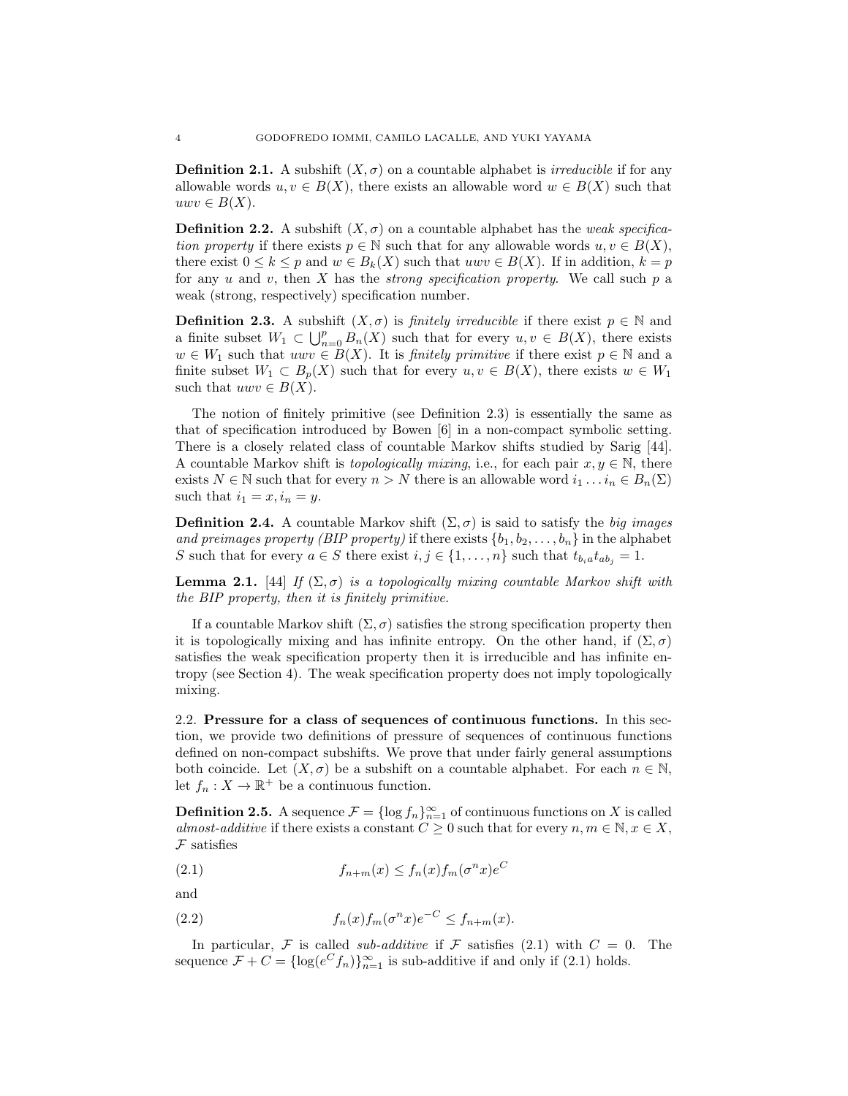**Definition 2.1.** A subshift  $(X, \sigma)$  on a countable alphabet is *irreducible* if for any allowable words  $u, v \in B(X)$ , there exists an allowable word  $w \in B(X)$  such that  $uwv \in B(X)$ .

**Definition 2.2.** A subshift  $(X, \sigma)$  on a countable alphabet has the *weak specification property* if there exists  $p \in \mathbb{N}$  such that for any allowable words  $u, v \in B(X)$ , there exist  $0 \le k \le p$  and  $w \in B_k(X)$  such that  $uvw \in B(X)$ . If in addition,  $k = p$ for any u and v, then X has the *strong specification property*. We call such p a weak (strong, respectively) specification number.

**Definition 2.3.** A subshift  $(X, \sigma)$  is *finitely irreducible* if there exist  $p \in \mathbb{N}$  and a finite subset  $W_1 \subset \bigcup_{n=0}^p B_n(X)$  such that for every  $u, v \in B(X)$ , there exists  $w \in W_1$  such that  $uwv \in B(X)$ . It is *finitely primitive* if there exist  $p \in \mathbb{N}$  and a finite subset  $W_1 \subset B_p(X)$  such that for every  $u, v \in B(X)$ , there exists  $w \in W_1$ such that  $uvw \in B(X)$ .

The notion of finitely primitive (see Definition 2.3) is essentially the same as that of specification introduced by Bowen [6] in a non-compact symbolic setting. There is a closely related class of countable Markov shifts studied by Sarig [44]. A countable Markov shift is *topologically mixing*, i.e., for each pair  $x, y \in \mathbb{N}$ , there exists  $N \in \mathbb{N}$  such that for every  $n > N$  there is an allowable word  $i_1 \dots i_n \in B_n(\Sigma)$ such that  $i_1 = x, i_n = y$ .

**Definition 2.4.** A countable Markov shift  $(\Sigma, \sigma)$  is said to satisfy the *big images and preimages property (BIP property)* if there exists  $\{b_1, b_2, \ldots, b_n\}$  in the alphabet S such that for every  $a \in S$  there exist  $i, j \in \{1, \ldots, n\}$  such that  $t_{b_i} a t_{ab_j} = 1$ .

**Lemma 2.1.** [44] *If*  $(\Sigma, \sigma)$  *is a topologically mixing countable Markov shift with the BIP property, then it is finitely primitive.*

If a countable Markov shift  $(\Sigma, \sigma)$  satisfies the strong specification property then it is topologically mixing and has infinite entropy. On the other hand, if  $(\Sigma, \sigma)$ satisfies the weak specification property then it is irreducible and has infinite entropy (see Section 4). The weak specification property does not imply topologically mixing.

2.2. Pressure for a class of sequences of continuous functions. In this section, we provide two definitions of pressure of sequences of continuous functions defined on non-compact subshifts. We prove that under fairly general assumptions both coincide. Let  $(X, \sigma)$  be a subshift on a countable alphabet. For each  $n \in \mathbb{N}$ , let  $f_n: X \to \mathbb{R}^+$  be a continuous function.

**Definition 2.5.** A sequence  $\mathcal{F} = \{\log f_n\}_{n=1}^{\infty}$  of continuous functions on X is called *almost-additive* if there exists a constant  $C \geq 0$  such that for every  $n, m \in \mathbb{N}, x \in X$ ,  $F$  satisfies

(2.1) 
$$
f_{n+m}(x) \le f_n(x) f_m(\sigma^n x) e^C
$$

and

(2.2) 
$$
f_n(x)f_m(\sigma^n x)e^{-C} \le f_{n+m}(x).
$$

In particular, F is called *sub-additive* if F satisfies (2.1) with  $C = 0$ . The sequence  $\mathcal{F} + C = \{ \log(e^C f_n) \}_{n=1}^{\infty}$  is sub-additive if and only if (2.1) holds.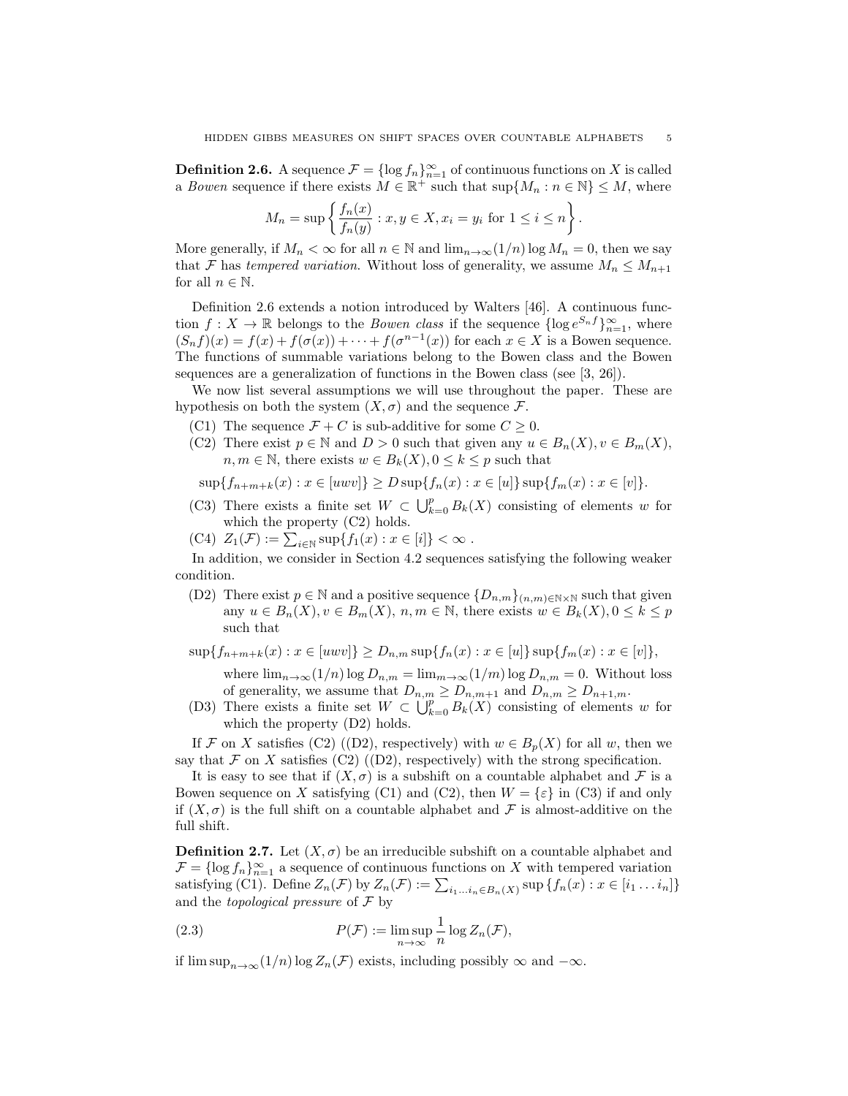**Definition 2.6.** A sequence  $\mathcal{F} = \{\log f_n\}_{n=1}^{\infty}$  of continuous functions on X is called a *Bowen* sequence if there exists  $M \in \mathbb{R}^+$  such that  $\sup\{M_n : n \in \mathbb{N}\} \leq M$ , where

$$
M_n = \sup \left\{ \frac{f_n(x)}{f_n(y)} : x, y \in X, x_i = y_i \text{ for } 1 \le i \le n \right\}
$$

.

More generally, if  $M_n < \infty$  for all  $n \in \mathbb{N}$  and  $\lim_{n \to \infty} (1/n) \log M_n = 0$ , then we say that F has *tempered variation*. Without loss of generality, we assume  $M_n \leq M_{n+1}$ for all  $n \in \mathbb{N}$ .

Definition 2.6 extends a notion introduced by Walters [46]. A continuous function  $f: X \to \mathbb{R}$  belongs to the *Bowen class* if the sequence  $\{\log e^{S_n f}\}_{n=1}^{\infty}$ , where  $(S_nf)(x) = f(x) + f(\sigma(x)) + \cdots + f(\sigma^{n-1}(x))$  for each  $x \in X$  is a Bowen sequence. The functions of summable variations belong to the Bowen class and the Bowen sequences are a generalization of functions in the Bowen class (see [3, 26]).

We now list several assumptions we will use throughout the paper. These are hypothesis on both the system  $(X, \sigma)$  and the sequence  $\mathcal{F}$ .

- (C1) The sequence  $\mathcal{F} + C$  is sub-additive for some  $C \geq 0$ .
- (C2) There exist  $p \in \mathbb{N}$  and  $D > 0$  such that given any  $u \in B_n(X)$ ,  $v \in B_m(X)$ ,  $n, m \in \mathbb{N}$ , there exists  $w \in B_k(X)$ ,  $0 \leq k \leq p$  such that

 $\sup\{f_{n+m+k}(x) : x \in [uvw]\} \geq D \sup\{f_n(x) : x \in [u]\}\sup\{f_m(x) : x \in [v]\}.$ 

- (C3) There exists a finite set  $W \subset \bigcup_{k=0}^p B_k(X)$  consisting of elements w for which the property (C2) holds.
- (C4)  $Z_1(\mathcal{F}) := \sum_{i \in \mathbb{N}} \sup \{ f_1(x) : x \in [i] \} < \infty$ .

In addition, we consider in Section 4.2 sequences satisfying the following weaker condition.

(D2) There exist  $p \in \mathbb{N}$  and a positive sequence  $\{D_{n,m}\}_{(n,m)\in\mathbb{N}\times\mathbb{N}}$  such that given any  $u \in B_n(X), v \in B_m(X), n, m \in \mathbb{N}$ , there exists  $w \in B_k(X), 0 \leq k \leq p$ such that

 $\sup\{f_{n+m+k}(x) : x \in [uvw]\} \geq D_{n,m} \sup\{f_n(x) : x \in [u]\} \sup\{f_m(x) : x \in [v]\},$ 

where  $\lim_{n\to\infty}(1/n)\log D_{n,m} = \lim_{m\to\infty}(1/m)\log D_{n,m} = 0$ . Without loss of generality, we assume that  $D_{n,m} \ge D_{n,m+1}$  and  $D_{n,m} \ge D_{n+1,m}$ .

(D3) There exists a finite set  $W \subset \bigcup_{k=0}^p B_k(X)$  consisting of elements w for which the property (D2) holds.

If F on X satisfies (C2) ((D2), respectively) with  $w \in B_p(X)$  for all w, then we say that  $\mathcal F$  on  $X$  satisfies (C2) ((D2), respectively) with the strong specification.

It is easy to see that if  $(X, \sigma)$  is a subshift on a countable alphabet and F is a Bowen sequence on X satisfying (C1) and (C2), then  $W = \{\varepsilon\}$  in (C3) if and only if  $(X, \sigma)$  is the full shift on a countable alphabet and F is almost-additive on the full shift.

**Definition 2.7.** Let  $(X, \sigma)$  be an irreducible subshift on a countable alphabet and  $\mathcal{F} = \{\log f_n\}_{n=1}^{\infty}$  a sequence of continuous functions on X with tempered variation satisfying (C1). Define  $Z_n(\mathcal{F})$  by  $Z_n(\mathcal{F}) := \sum_{i_1...i_n \in B_n(X)} \sup \{f_n(x) : x \in [i_1...i_n]\}$ and the *topological pressure* of F by

(2.3) 
$$
P(\mathcal{F}) := \limsup_{n \to \infty} \frac{1}{n} \log Z_n(\mathcal{F}),
$$

if  $\limsup_{n\to\infty}(1/n)\log Z_n(\mathcal{F})$  exists, including possibly  $\infty$  and  $-\infty$ .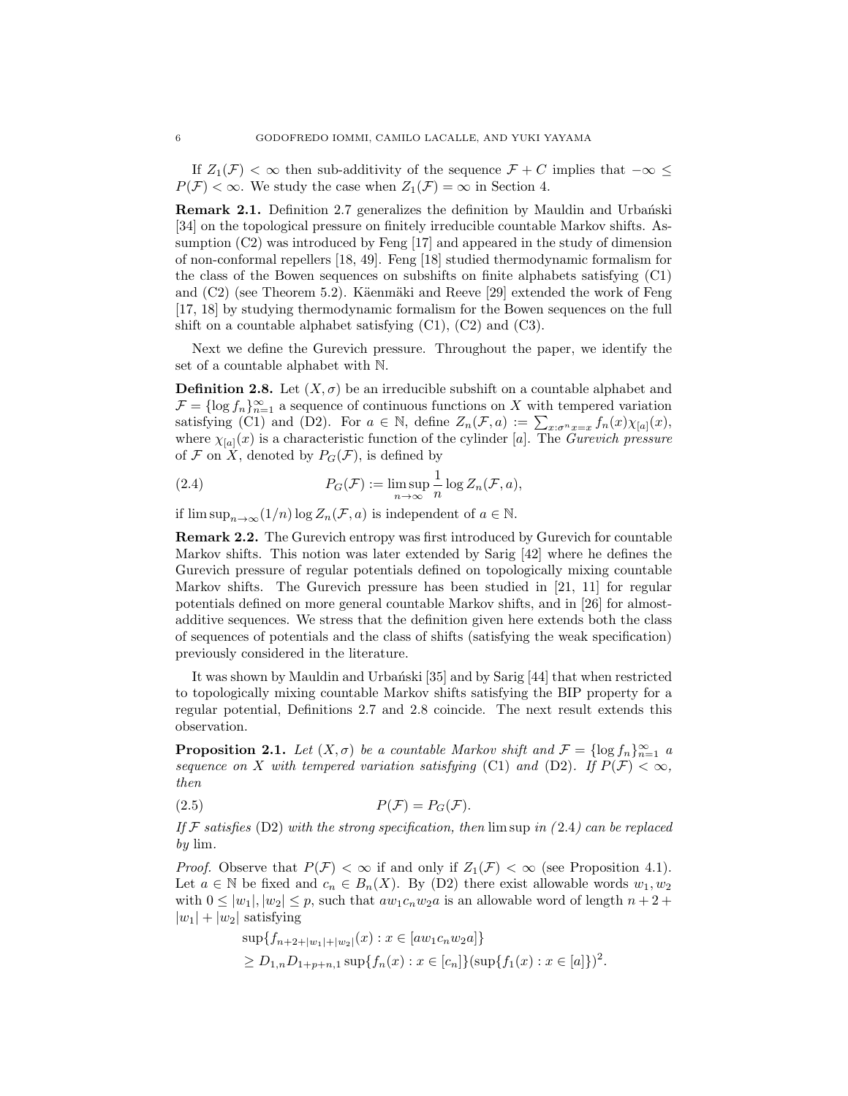If  $Z_1(\mathcal{F}) < \infty$  then sub-additivity of the sequence  $\mathcal{F} + C$  implies that  $-\infty \leq$  $P(\mathcal{F}) < \infty$ . We study the case when  $Z_1(\mathcal{F}) = \infty$  in Section 4.

**Remark 2.1.** Definition 2.7 generalizes the definition by Mauldin and Urbanski [34] on the topological pressure on finitely irreducible countable Markov shifts. Assumption (C2) was introduced by Feng [17] and appeared in the study of dimension of non-conformal repellers [18, 49]. Feng [18] studied thermodynamic formalism for the class of the Bowen sequences on subshifts on finite alphabets satisfying (C1) and  $(C2)$  (see Theorem 5.2). Käenmäki and Reeve [29] extended the work of Feng [17, 18] by studying thermodynamic formalism for the Bowen sequences on the full shift on a countable alphabet satisfying  $(C1)$ ,  $(C2)$  and  $(C3)$ .

Next we define the Gurevich pressure. Throughout the paper, we identify the set of a countable alphabet with N.

**Definition 2.8.** Let  $(X, \sigma)$  be an irreducible subshift on a countable alphabet and  $\mathcal{F} = \{\log f_n\}_{n=1}^{\infty}$  a sequence of continuous functions on X with tempered variation satisfying (C1) and (D2). For  $a \in \mathbb{N}$ , define  $Z_n(\mathcal{F}, a) := \sum_{x: \sigma^n x = x} f_n(x) \chi_{[a]}(x)$ , where  $\chi_{[a]}(x)$  is a characteristic function of the cylinder [a]. The *Gurevich pressure* of  $\mathcal F$  on X, denoted by  $P_G(\mathcal F)$ , is defined by

(2.4) 
$$
P_G(\mathcal{F}) := \limsup_{n \to \infty} \frac{1}{n} \log Z_n(\mathcal{F}, a),
$$

if  $\limsup_{n\to\infty}(1/n)\log Z_n(\mathcal{F},a)$  is independent of  $a\in\mathbb{N}$ .

Remark 2.2. The Gurevich entropy was first introduced by Gurevich for countable Markov shifts. This notion was later extended by Sarig [42] where he defines the Gurevich pressure of regular potentials defined on topologically mixing countable Markov shifts. The Gurevich pressure has been studied in [21, 11] for regular potentials defined on more general countable Markov shifts, and in [26] for almostadditive sequences. We stress that the definition given here extends both the class of sequences of potentials and the class of shifts (satisfying the weak specification) previously considered in the literature.

It was shown by Mauldin and Urbański [35] and by Sarig [44] that when restricted to topologically mixing countable Markov shifts satisfying the BIP property for a regular potential, Definitions 2.7 and 2.8 coincide. The next result extends this observation.

**Proposition 2.1.** *Let*  $(X, \sigma)$  *be a countable Markov shift and*  $\mathcal{F} = \{\log f_n\}_{n=1}^{\infty}$  *a sequence on* X *with tempered variation satisfying* (C1) *and* (D2)*. If*  $P(\mathcal{F}) < \infty$ *, then*

$$
(2.5) \t\t P(\mathcal{F}) = P_G(\mathcal{F}).
$$

*If* F *satisfies* (D2) *with the strong specification, then* lim sup *in (* 2.4*) can be replaced by* lim*.*

*Proof.* Observe that  $P(\mathcal{F}) < \infty$  if and only if  $Z_1(\mathcal{F}) < \infty$  (see Proposition 4.1). Let  $a \in \mathbb{N}$  be fixed and  $c_n \in B_n(X)$ . By (D2) there exist allowable words  $w_1, w_2$ with  $0 \leq |w_1|, |w_2| \leq p$ , such that  $aw_1c_nw_2a$  is an allowable word of length  $n+2$ +  $|w_1| + |w_2|$  satisfying

$$
\sup\{f_{n+2+|w_1|+|w_2|}(x) : x \in [aw_1c_nw_2a]\}
$$
  
\n
$$
\geq D_{1,n}D_{1+p+n,1}\sup\{f_n(x) : x \in [c_n]\}\{\sup\{f_1(x) : x \in [a]\}\}^2.
$$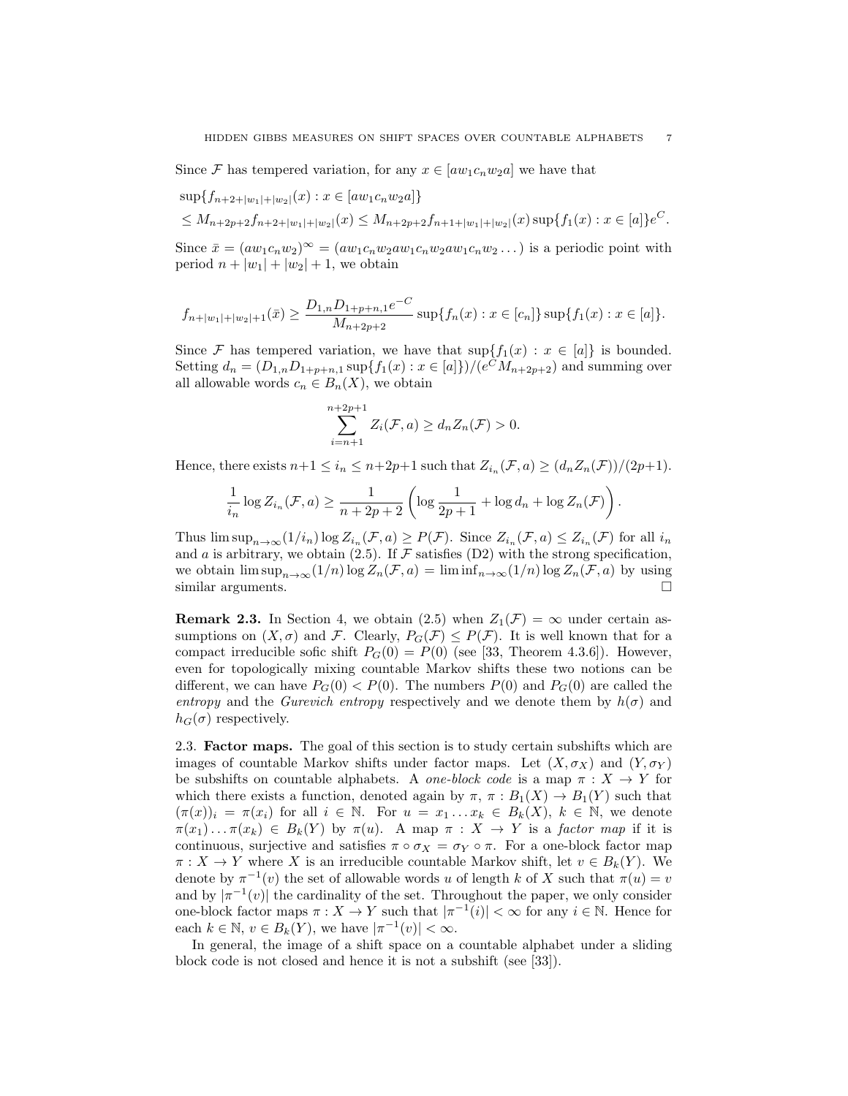Since F has tempered variation, for any  $x \in [aw_1c_nw_2a]$  we have that

$$
\sup\{f_{n+2+|w_1|+|w_2|}(x) : x \in [aw_1c_nw_2a]\}
$$
  
\n
$$
\leq M_{n+2p+2}f_{n+2+|w_1|+|w_2|}(x) \leq M_{n+2p+2}f_{n+1+|w_1|+|w_2|}(x) \sup\{f_1(x) : x \in [a]\}e^C.
$$

Since  $\bar{x} = (aw_1c_nw_2)^\infty = (aw_1c_nw_2aw_1c_nw_2aw_1c_nw_2...)$  is a periodic point with period  $n + |w_1| + |w_2| + 1$ , we obtain

$$
f_{n+|w_1|+|w_2|+1}(\bar{x}) \ge \frac{D_{1,n}D_{1+p+n,1}e^{-C}}{M_{n+2p+2}} \sup\{f_n(x) : x \in [c_n]\} \sup\{f_1(x) : x \in [a]\}.
$$

Since F has tempered variation, we have that  $\sup\{f_1(x) : x \in [a]\}\$ is bounded. Setting  $d_n = (D_{1,n}D_{1+p+n,1} \sup\{f_1(x) : x \in [a]\})/(e^C M_{n+2p+2})$  and summing over all allowable words  $c_n \in B_n(X)$ , we obtain

$$
\sum_{i=n+1}^{n+2p+1} Z_i(\mathcal{F}, a) \ge d_n Z_n(\mathcal{F}) > 0.
$$

Hence, there exists  $n+1 \leq i_n \leq n+2p+1$  such that  $Z_{i_n}(\mathcal{F},a) \geq (d_n Z_n(\mathcal{F}))/2p+1$ .

$$
\frac{1}{i_n} \log Z_{i_n}(\mathcal{F}, a) \ge \frac{1}{n + 2p + 2} \left( \log \frac{1}{2p + 1} + \log d_n + \log Z_n(\mathcal{F}) \right).
$$

Thus  $\limsup_{n\to\infty} (1/i_n) \log Z_{i_n}(\mathcal{F},a) \geq P(\mathcal{F})$ . Since  $Z_{i_n}(\mathcal{F},a) \leq Z_{i_n}(\mathcal{F})$  for all  $i_n$ and a is arbitrary, we obtain (2.5). If  $\mathcal F$  satisfies (D2) with the strong specification, we obtain  $\limsup_{n\to\infty}(1/n)\log Z_n(\mathcal{F},a) = \liminf_{n\to\infty}(1/n)\log Z_n(\mathcal{F},a)$  by using similar arguments. similar arguments.

**Remark 2.3.** In Section 4, we obtain (2.5) when  $Z_1(\mathcal{F}) = \infty$  under certain assumptions on  $(X, \sigma)$  and F. Clearly,  $P_G(\mathcal{F}) \leq P(\mathcal{F})$ . It is well known that for a compact irreducible sofic shift  $P_G(0) = P(0)$  (see [33, Theorem 4.3.6]). However, even for topologically mixing countable Markov shifts these two notions can be different, we can have  $P_G(0) < P(0)$ . The numbers  $P(0)$  and  $P_G(0)$  are called the *entropy* and the *Gurevich entropy* respectively and we denote them by  $h(\sigma)$  and  $h_G(\sigma)$  respectively.

2.3. Factor maps. The goal of this section is to study certain subshifts which are images of countable Markov shifts under factor maps. Let  $(X, \sigma_X)$  and  $(Y, \sigma_Y)$ be subshifts on countable alphabets. A *one-block code* is a map  $\pi : X \to Y$  for which there exists a function, denoted again by  $\pi$ ,  $\pi$  :  $B_1(X) \to B_1(Y)$  such that  $(\pi(x))_i = \pi(x_i)$  for all  $i \in \mathbb{N}$ . For  $u = x_1 \dots x_k \in B_k(X)$ ,  $k \in \mathbb{N}$ , we denote  $\pi(x_1)\dots\pi(x_k) \in B_k(Y)$  by  $\pi(u)$ . A map  $\pi : X \to Y$  is a *factor map* if it is continuous, surjective and satisfies  $\pi \circ \sigma_X = \sigma_Y \circ \pi$ . For a one-block factor map  $\pi: X \to Y$  where X is an irreducible countable Markov shift, let  $v \in B_k(Y)$ . We denote by  $\pi^{-1}(v)$  the set of allowable words u of length k of X such that  $\pi(u) = v$ and by  $|\pi^{-1}(v)|$  the cardinality of the set. Throughout the paper, we only consider one-block factor maps  $\pi : X \to Y$  such that  $|\pi^{-1}(i)| < \infty$  for any  $i \in \mathbb{N}$ . Hence for each  $k \in \mathbb{N}, v \in B_k(Y)$ , we have  $|\pi^{-1}(v)| < \infty$ .

In general, the image of a shift space on a countable alphabet under a sliding block code is not closed and hence it is not a subshift (see [33]).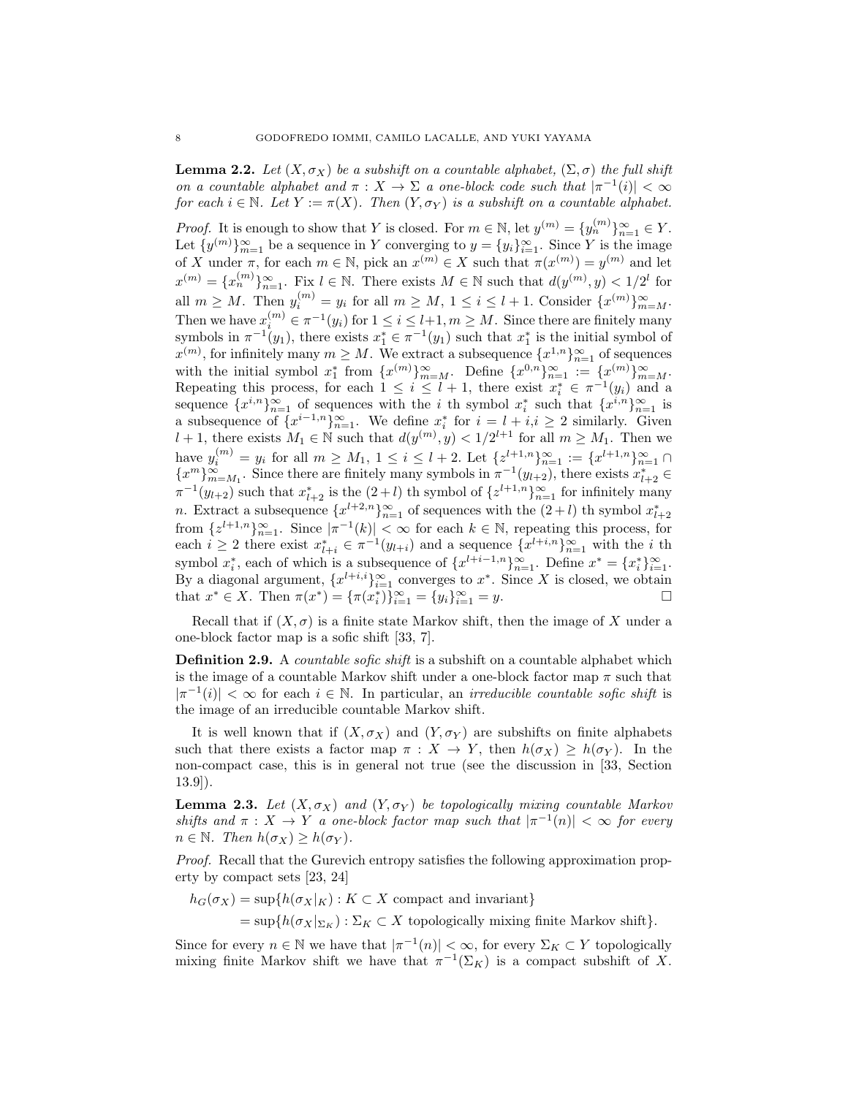**Lemma 2.2.** Let  $(X, \sigma_X)$  be a subshift on a countable alphabet,  $(\Sigma, \sigma)$  the full shift *on a countable alphabet and*  $\pi$  :  $X \to \Sigma$  *a one-block code such that*  $|\pi^{-1}(i)| < \infty$ *for each*  $i \in \mathbb{N}$ *. Let*  $Y := \pi(X)$ *. Then*  $(Y, \sigma_Y)$  *is a subshift on a countable alphabet.* 

*Proof.* It is enough to show that Y is closed. For  $m \in \mathbb{N}$ , let  $y^{(m)} = \{y_n^{(m)}\}_{n=1}^{\infty} \in Y$ . Let  $\{y^{(m)}\}_{m=1}^{\infty}$  be a sequence in Y converging to  $y = \{y_i\}_{i=1}^{\infty}$ . Since Y is the image of X under  $\pi$ , for each  $m \in \mathbb{N}$ , pick an  $x^{(m)} \in X$  such that  $\pi(x^{(m)}) = y^{(m)}$  and let  $x^{(m)} = \{x_n^{(m)}\}_{n=1}^{\infty}$ . Fix  $l \in \mathbb{N}$ . There exists  $M \in \mathbb{N}$  such that  $d(y^{(m)}, y) < 1/2^l$  for all  $m \geq M$ . Then  $y_i^{(m)} = y_i$  for all  $m \geq M$ ,  $1 \leq i \leq l+1$ . Consider  $\{x^{(m)}\}_{m=M}^{\infty}$ . Then we have  $x_i^{(m)} \in \pi^{-1}(y_i)$  for  $1 \leq i \leq l+1, m \geq M$ . Since there are finitely many symbols in  $\pi^{-1}(y_1)$ , there exists  $x_1^* \in \pi^{-1}(y_1)$  such that  $x_1^*$  is the initial symbol of  $x^{(m)}$ , for infinitely many  $m \geq M$ . We extract a subsequence  $\{x^{1,n}\}_{n=1}^{\infty}$  of sequences with the initial symbol  $x_1^*$  from  $\{x^{(m)}\}_{m=M}^{\infty}$ . Define  $\{x^{0,n}\}_{n=1}^{\infty} := \{x^{(m)}\}_{m=M}^{\infty}$ . Repeating this process, for each  $1 \leq i \leq l+1$ , there exist  $x_i^* \in \pi^{-1}(y_i)$  and a sequence  $\{x^{i,n}\}_{n=1}^{\infty}$  of sequences with the i th symbol  $x_i^*$  such that  $\{x^{i,n}\}_{n=1}^{\infty}$  is a subsequence of  $\{x^{i-1,n}\}_{n=1}^{\infty}$ . We define  $x_i^*$  for  $i = l + i, i \geq 2$  similarly. Given  $l + 1$ , there exists  $M_1 \in \mathbb{N}$  such that  $d(y^{(m)}, y) < 1/2^{l+1}$  for all  $m \geq M_1$ . Then we have  $y_i^{(m)} = y_i$  for all  $m \ge M_1$ ,  $1 \le i \le l+2$ . Let  $\{z^{l+1,n}\}_{n=1}^{\infty} := \{x^{l+1,n}\}_{n=1}^{\infty} \cap \{x^m\}_{m=M_1}^{\infty}$ . Since there are finitely many symbols in  $\pi^{-1}(y_{l+2})$ , there exists  $x_{l+2}^* \in$  $\pi^{-1}(y_{l+2})$  such that  $x_{l+2}^*$  is the  $(2+l)$  th symbol of  $\{z^{l+1,n}\}_{n=1}^{\infty}$  for infinitely many n. Extract a subsequence  $\{x^{l+2,n}\}_{n=1}^{\infty}$  of sequences with the  $(2+l)$  th symbol  $x_{l+2}^{*}$ from  $\{z^{l+1,n}\}_{n=1}^{\infty}$ . Since  $|\pi^{-1}(k)| < \infty$  for each  $k \in \mathbb{N}$ , repeating this process, for each  $i \geq 2$  there exist  $x_{l+i}^* \in \pi^{-1}(y_{l+i})$  and a sequence  $\{x^{l+i,n}\}_{n=1}^{\infty}$  with the i th symbol  $x_i^*$ , each of which is a subsequence of  $\{x^{l+i-1,n}\}_{n=1}^{\infty}$ . Define  $x^* = \{x_i^*\}_{i=1}^{\infty}$ . By a diagonal argument,  $\{x^{l+i,i}\}_{i=1}^{\infty}$  converges to  $x^*$ . Since X is closed, we obtain that  $x^* \in X$ . Then  $\pi(x^*) = {\pi(x_i^*)}_{i=1}^{\infty} = {y_i}_{i=1}^{\infty} = y$ .

Recall that if  $(X, \sigma)$  is a finite state Markov shift, then the image of X under a one-block factor map is a sofic shift [33, 7].

Definition 2.9. A *countable sofic shift* is a subshift on a countable alphabet which is the image of a countable Markov shift under a one-block factor map  $\pi$  such that  $|\pi^{-1}(i)| < \infty$  for each  $i \in \mathbb{N}$ . In particular, an *irreducible countable sofic shift* is the image of an irreducible countable Markov shift.

It is well known that if  $(X, \sigma_X)$  and  $(Y, \sigma_Y)$  are subshifts on finite alphabets such that there exists a factor map  $\pi : X \to Y$ , then  $h(\sigma_X) \geq h(\sigma_Y)$ . In the non-compact case, this is in general not true (see the discussion in [33, Section 13.9]).

**Lemma 2.3.** Let  $(X, \sigma_X)$  and  $(Y, \sigma_Y)$  be topologically mixing countable Markov *shifts and*  $\pi$  :  $X \to Y$  *a one-block factor map such that*  $|\pi^{-1}(n)| < \infty$  *for every*  $n \in \mathbb{N}$ *. Then*  $h(\sigma_X) \geq h(\sigma_Y)$ *.* 

*Proof.* Recall that the Gurevich entropy satisfies the following approximation property by compact sets [23, 24]

 $h_G(\sigma_X) = \sup\{h(\sigma_X|_K) : K \subset X$  compact and invariant}

 $=\sup\{h(\sigma_X|_{\Sigma_K}) : \Sigma_K \subset X \text{ topologically mixing finite Markov shift}\}.$ 

Since for every  $n \in \mathbb{N}$  we have that  $|\pi^{-1}(n)| < \infty$ , for every  $\Sigma_K \subset Y$  topologically mixing finite Markov shift we have that  $\pi^{-1}(\Sigma_K)$  is a compact subshift of X.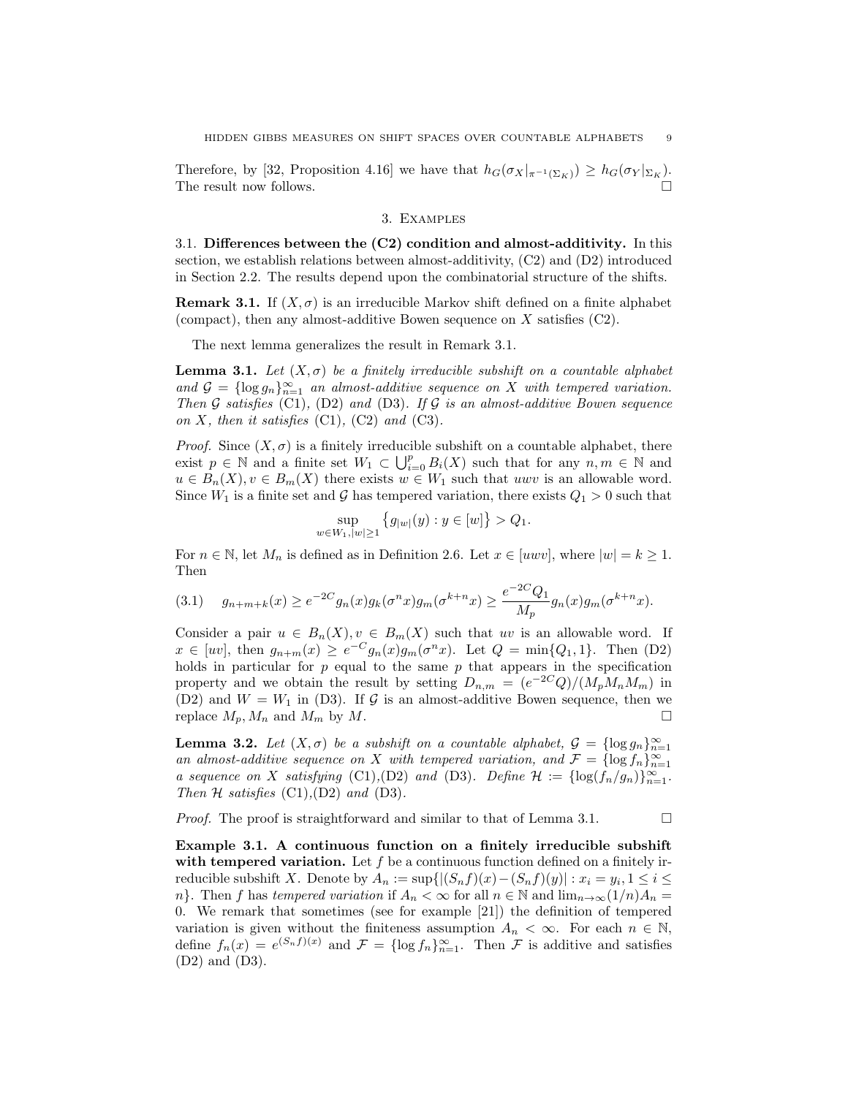Therefore, by [32, Proposition 4.16] we have that  $h_G(\sigma_X|_{\pi^{-1}(\Sigma_K)}) \geq h_G(\sigma_Y|_{\Sigma_K})$ . The result now follows.

### 3. Examples

3.1. Differences between the (C2) condition and almost-additivity. In this section, we establish relations between almost-additivity,  $(C2)$  and  $(D2)$  introduced in Section 2.2. The results depend upon the combinatorial structure of the shifts.

**Remark 3.1.** If  $(X, \sigma)$  is an irreducible Markov shift defined on a finite alphabet (compact), then any almost-additive Bowen sequence on  $X$  satisfies (C2).

The next lemma generalizes the result in Remark 3.1.

**Lemma 3.1.** Let  $(X, \sigma)$  be a finitely irreducible subshift on a countable alphabet and  $G = \{\log g_n\}_{n=1}^{\infty}$  an almost-additive sequence on X with tempered variation. *Then* G *satisfies* (C1)*,* (D2) *and* (D3)*. If* G *is an almost-additive Bowen sequence on*  $X$ *, then it satisfies* (C1)*,* (C2) *and* (C3)*.* 

*Proof.* Since  $(X, \sigma)$  is a finitely irreducible subshift on a countable alphabet, there exist  $p \in \mathbb{N}$  and a finite set  $W_1 \subset \bigcup_{i=0}^p B_i(X)$  such that for any  $n, m \in \mathbb{N}$  and  $u \in B_n(X), v \in B_m(X)$  there exists  $w \in W_1$  such that uwv is an allowable word. Since  $W_1$  is a finite set and G has tempered variation, there exists  $Q_1 > 0$  such that

$$
\sup_{w \in W_1, |w| \ge 1} \{ g_{|w|}(y) : y \in [w] \} > Q_1.
$$

For  $n \in \mathbb{N}$ , let  $M_n$  is defined as in Definition 2.6. Let  $x \in [uvw]$ , where  $|w| = k \ge 1$ . Then

$$
(3.1) \t g_{n+m+k}(x) \ge e^{-2C} g_n(x) g_k(\sigma^n x) g_m(\sigma^{k+n} x) \ge \frac{e^{-2C} Q_1}{M_p} g_n(x) g_m(\sigma^{k+n} x).
$$

Consider a pair  $u \in B_n(X), v \in B_m(X)$  such that uv is an allowable word. If  $x \in [uv]$ , then  $g_{n+m}(x) \geq e^{-C} g_n(x) g_m(\sigma^n x)$ . Let  $Q = \min\{Q_1, 1\}$ . Then (D2) holds in particular for  $p$  equal to the same  $p$  that appears in the specification property and we obtain the result by setting  $D_{n,m} = (e^{-2C}Q)/(M_pM_nM_m)$  in (D2) and  $W = W_1$  in (D3). If G is an almost-additive Bowen sequence, then we replace  $M_p$ ,  $M_n$  and  $M_m$  by  $M$ .

**Lemma 3.2.** Let  $(X, \sigma)$  be a subshift on a countable alphabet,  $\mathcal{G} = \{\log g_n\}_{n=1}^{\infty}$ *an almost-additive sequence on* X *with tempered variation, and*  $\mathcal{F} = {\log f_n}_{n=1}^{\infty}$ *a* sequence on X satisfying (C1),(D2) and (D3). Define  $\mathcal{H} := \{\log(f_n/g_n)\}_{n=1}^{\infty}$ . *Then*  $H$  *satisfies* (C1), (D2) *and* (D3)*.* 

*Proof.* The proof is straightforward and similar to that of Lemma 3.1.  $\Box$ 

Example 3.1. A continuous function on a finitely irreducible subshift with tempered variation. Let  $f$  be a continuous function defined on a finitely irreducible subshift X. Denote by  $A_n := \sup\{|(S_nf)(x) - (S_nf)(y)| : x_i = y_i, 1 \le i \le n\}$ n}. Then f has *tempered variation* if  $A_n < \infty$  for all  $n \in \mathbb{N}$  and  $\lim_{n\to\infty}(1/n)A_n =$ 0. We remark that sometimes (see for example [21]) the definition of tempered variation is given without the finiteness assumption  $A_n < \infty$ . For each  $n \in \mathbb{N}$ , define  $f_n(x) = e^{(S_nf)(x)}$  and  $\mathcal{F} = {\log f_n}_{n=1}^{\infty}$ . Then  $\mathcal{F}$  is additive and satisfies (D2) and (D3).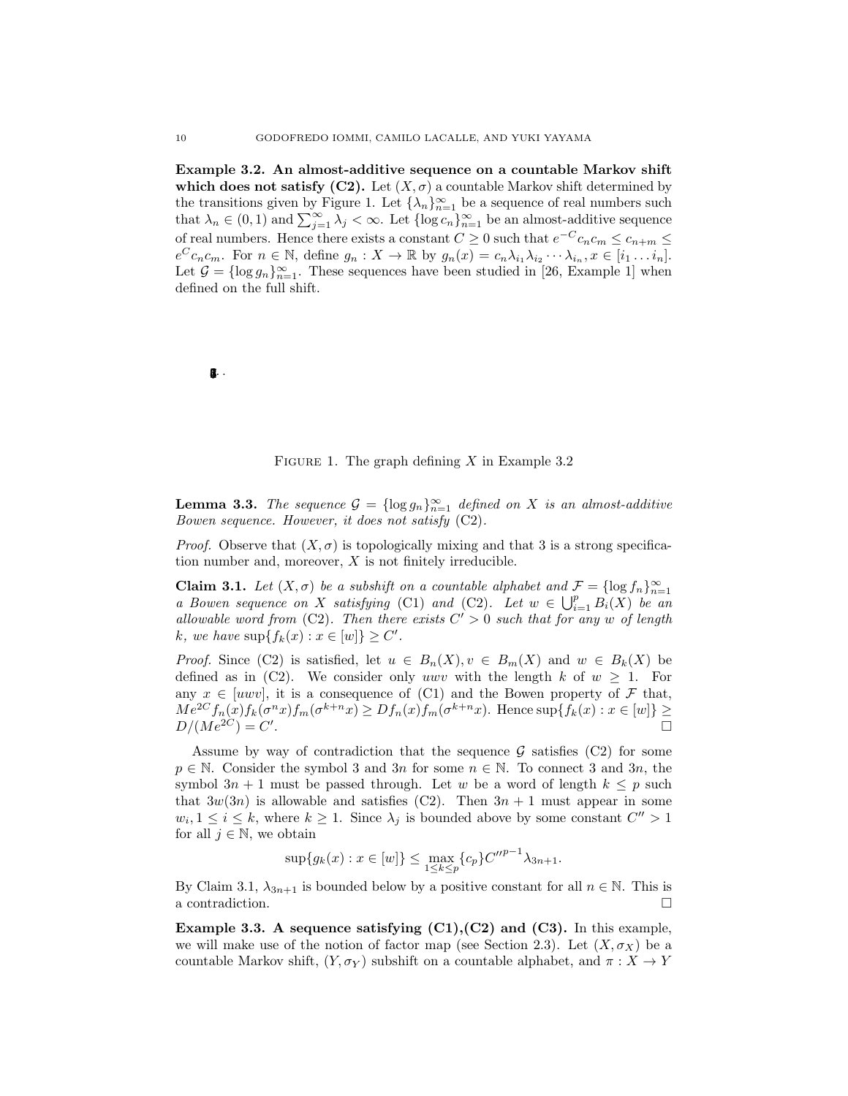Example 3.2. An almost-additive sequence on a countable Markov shift which does not satisfy (C2). Let  $(X, \sigma)$  a countable Markov shift determined by the transitions given by Figure 1. Let  $\{\lambda_n\}_{n=1}^{\infty}$  be a sequence of real numbers such that  $\lambda_n \in (0,1)$  and  $\sum_{j=1}^{\infty} \lambda_j < \infty$ . Let  $\{\log c_n\}_{n=1}^{\infty}$  be an almost-additive sequence of real numbers. Hence there exists a constant  $C \geq 0$  such that  $e^{-C}c_nc_m \leq c_{n+m} \leq$  $e^C c_n c_m$ . For  $n \in \mathbb{N}$ , define  $g_n : X \to \mathbb{R}$  by  $g_n(x) = c_n \lambda_{i_1} \lambda_{i_2} \cdots \lambda_{i_n}$ ,  $x \in [i_1 \ldots i_n]$ . Let  $\mathcal{G} = \{\log g_n\}_{n=1}^{\infty}$ . These sequences have been studied in [26, Example 1] when defined on the full shift.

# 03.

#### FIGURE 1. The graph defining  $X$  in Example 3.2

**Lemma 3.3.** *The sequence*  $\mathcal{G} = \{\log g_n\}_{n=1}^{\infty}$  *defined on* X *is an almost-additive Bowen sequence. However, it does not satisfy* (C2)*.*

*Proof.* Observe that  $(X, \sigma)$  is topologically mixing and that 3 is a strong specification number and, moreover,  $X$  is not finitely irreducible.

**Claim 3.1.** *Let*  $(X, \sigma)$  *be a subshift on a countable alphabet and*  $\mathcal{F} = \{\log f_n\}_{n=1}^{\infty}$ *a Bowen sequence on* X *satisfying* (C1) *and* (C2)*.* Let  $w \in \bigcup_{i=1}^{p} B_i(X)$  be an *allowable word from* (C2). Then there exists  $C' > 0$  such that for any w of length  $k, we have \sup\{f_k(x) : x \in [w]\} \ge C'.$ 

*Proof.* Since (C2) is satisfied, let  $u \in B_n(X)$ ,  $v \in B_m(X)$  and  $w \in B_k(X)$  be defined as in (C2). We consider only uwv with the length k of  $w \geq 1$ . For any  $x \in [uvw]$ , it is a consequence of (C1) and the Bowen property of F that,  $Me^{2C} f_n(x) f_k(\sigma^n x) f_m(\sigma^{k+n} x) \ge D f_n(x) f_m(\sigma^{k+n} x)$ . Hence  $\sup\{f_k(x) : x \in [w]\} \ge D/(Me^{2C}) = C'$  $D/(Me^{2C}) = C'.$ . The contract of the contract of the contract of the contract of the contract of the contract of the contract of the contract of the contract of the contract of the contract of the contract of the contract of the contrac

Assume by way of contradiction that the sequence  $\mathcal G$  satisfies (C2) for some  $p \in \mathbb{N}$ . Consider the symbol 3 and 3n for some  $n \in \mathbb{N}$ . To connect 3 and 3n, the symbol  $3n + 1$  must be passed through. Let w be a word of length  $k \leq p$  such that  $3w(3n)$  is allowable and satisfies (C2). Then  $3n + 1$  must appear in some  $w_i, 1 \leq i \leq k$ , where  $k \geq 1$ . Since  $\lambda_j$  is bounded above by some constant  $C'' > 1$ for all  $j \in \mathbb{N}$ , we obtain

$$
\sup\{g_k(x) : x \in [w]\} \le \max_{1 \le k \le p} \{c_p\} C''^{p-1} \lambda_{3n+1}.
$$

By Claim 3.1,  $\lambda_{3n+1}$  is bounded below by a positive constant for all  $n \in \mathbb{N}$ . This is a contradiction. a contradiction.

Example 3.3. A sequence satisfying  $(C1)$ ,  $(C2)$  and  $(C3)$ . In this example, we will make use of the notion of factor map (see Section 2.3). Let  $(X, \sigma_X)$  be a countable Markov shift,  $(Y, \sigma_Y)$  subshift on a countable alphabet, and  $\pi : X \to Y$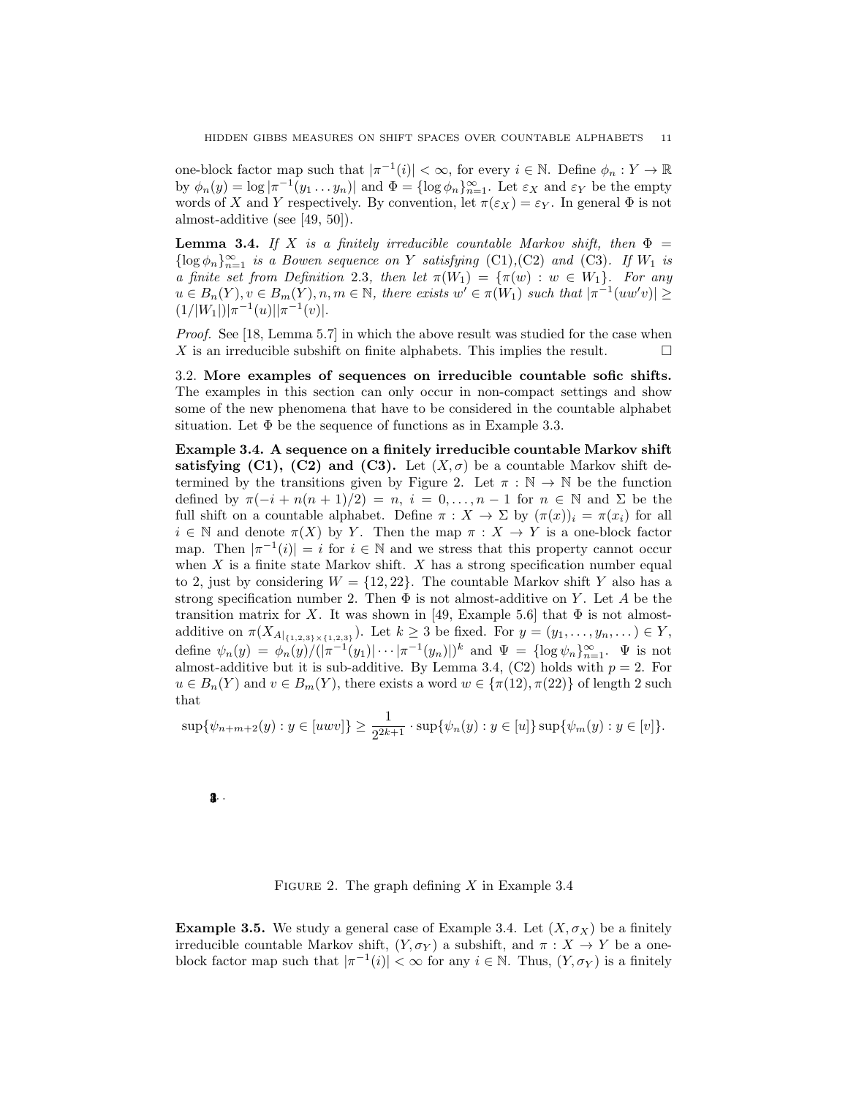one-block factor map such that  $|\pi^{-1}(i)| < \infty$ , for every  $i \in \mathbb{N}$ . Define  $\phi_n : Y \to \mathbb{R}$ by  $\phi_n(y) = \log |\pi^{-1}(y_1 \dots y_n)|$  and  $\Phi = {\log \phi_n}_{n=1}^{\infty}$ . Let  $\varepsilon_X$  and  $\varepsilon_Y$  be the empty words of X and Y respectively. By convention, let  $\pi(\varepsilon_X) = \varepsilon_Y$ . In general  $\Phi$  is not almost-additive (see [49, 50]).

**Lemma 3.4.** *If* X *is a finitely irreducible countable Markov shift, then*  $\Phi$  =  $\{\log \phi_n\}_{n=1}^{\infty}$  *is a Bowen sequence on* Y *satisfying* (C1), (C2) *and* (C3)*. If*  $W_1$  *is a finite set from Definition* 2.3*, then let*  $\pi(W_1) = {\pi(w) : w \in W_1}$ *. For any*  $u \in B_n(Y), v \in B_m(Y), n, m \in \mathbb{N}$ , there exists  $w' \in \pi(W_1)$  such that  $|\pi^{-1}(uw'v)| \ge$  $(1/|W_1|)|\pi^{-1}(u)||\pi^{-1}(v)|.$ 

*Proof.* See [18, Lemma 5.7] in which the above result was studied for the case when X is an irreducible subshift on finite alphabets. This implies the result.  $\Box$ 

3.2. More examples of sequences on irreducible countable sofic shifts. The examples in this section can only occur in non-compact settings and show some of the new phenomena that have to be considered in the countable alphabet situation. Let  $\Phi$  be the sequence of functions as in Example 3.3.

Example 3.4. A sequence on a finitely irreducible countable Markov shift satisfying (C1), (C2) and (C3). Let  $(X, \sigma)$  be a countable Markov shift determined by the transitions given by Figure 2. Let  $\pi : \mathbb{N} \to \mathbb{N}$  be the function defined by  $\pi(-i + n(n+1)/2) = n$ ,  $i = 0, \ldots, n-1$  for  $n \in \mathbb{N}$  and  $\Sigma$  be the full shift on a countable alphabet. Define  $\pi : X \to \Sigma$  by  $(\pi(x))_i = \pi(x_i)$  for all  $i \in \mathbb{N}$  and denote  $\pi(X)$  by Y. Then the map  $\pi : X \to Y$  is a one-block factor map. Then  $|\pi^{-1}(i)| = i$  for  $i \in \mathbb{N}$  and we stress that this property cannot occur when  $X$  is a finite state Markov shift.  $X$  has a strong specification number equal to 2, just by considering  $W = \{12, 22\}$ . The countable Markov shift Y also has a strong specification number 2. Then  $\Phi$  is not almost-additive on Y. Let A be the transition matrix for X. It was shown in [49, Example 5.6] that  $\Phi$  is not almostadditive on  $\pi(X_{A|_{\{1,2,3\}\times\{1,2,3\}}})$ . Let  $k \ge 3$  be fixed. For  $y = (y_1, \ldots, y_n, \ldots) \in Y$ , define  $\psi_n(y) = \phi_n(y)/(|\pi^{-1}(y_1)| \cdots |\pi^{-1}(y_n)|)^k$  and  $\Psi = {\log \psi_n}_{n=1}^{\infty}$ .  $\Psi$  is not almost-additive but it is sub-additive. By Lemma 3.4, (C2) holds with  $p = 2$ . For  $u \in B_n(Y)$  and  $v \in B_m(Y)$ , there exists a word  $w \in {\pi(12), \pi(22)}$  of length 2 such that

$$
\sup \{ \psi_{n+m+2}(y) : y \in [uvw] \} \ge \frac{1}{2^{2k+1}} \cdot \sup \{ \psi_n(y) : y \in [u] \} \sup \{ \psi_m(y) : y \in [v] \}.
$$

 $2 \cdot$ 

FIGURE 2. The graph defining  $X$  in Example 3.4

**Example 3.5.** We study a general case of Example 3.4. Let  $(X, \sigma_X)$  be a finitely irreducible countable Markov shift,  $(Y, \sigma_Y)$  a subshift, and  $\pi : X \to Y$  be a oneblock factor map such that  $|\pi^{-1}(i)| < \infty$  for any  $i \in \mathbb{N}$ . Thus,  $(Y, \sigma_Y)$  is a finitely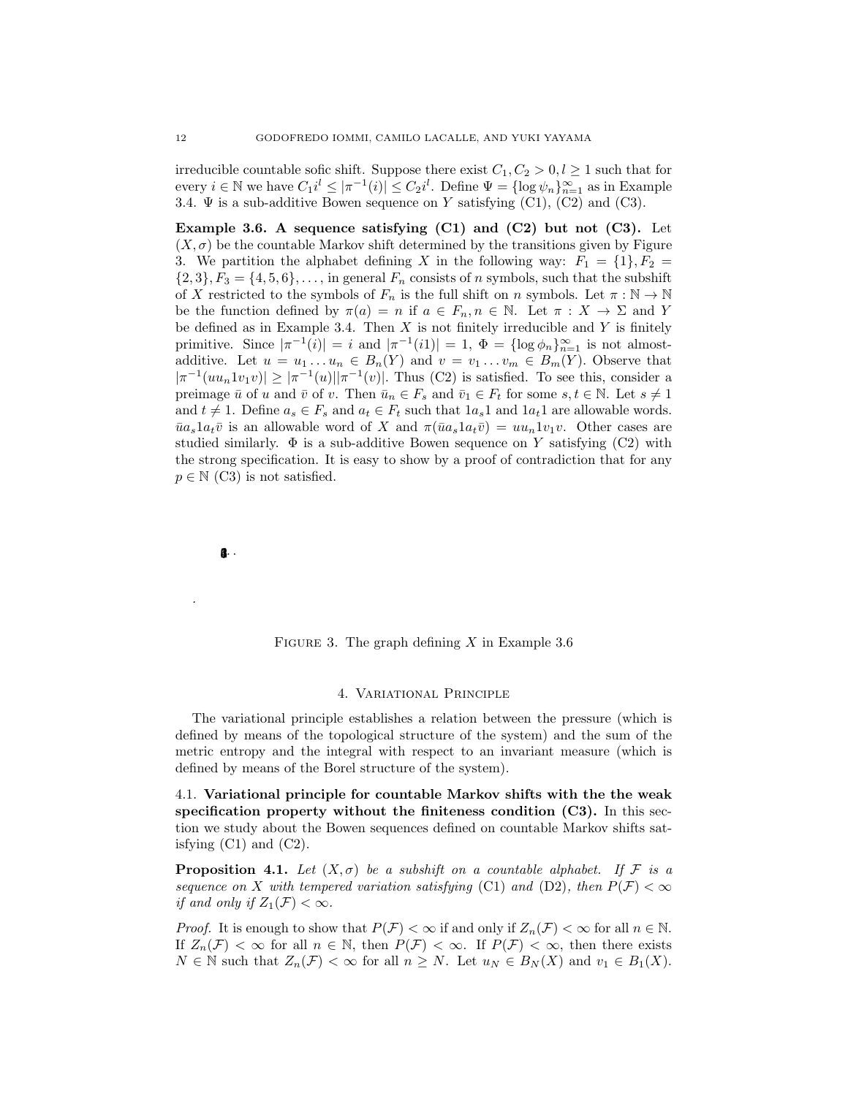irreducible countable sofic shift. Suppose there exist  $C_1, C_2 > 0, l \geq 1$  such that for every  $i \in \mathbb{N}$  we have  $C_1 i^l \leq |\pi^{-1}(i)| \leq C_2 i^l$ . Define  $\Psi = {\log \psi_n}_{n=1}^{\infty}$  as in Example 3.4.  $\Psi$  is a sub-additive Bowen sequence on Y satisfying (C1), (C2) and (C3).

Example 3.6. A sequence satisfying  $(C1)$  and  $(C2)$  but not  $(C3)$ . Let  $(X, \sigma)$  be the countable Markov shift determined by the transitions given by Figure 3. We partition the alphabet defining X in the following way:  $F_1 = \{1\}, F_2 =$  $\{2,3\}, F_3 = \{4,5,6\}, \ldots$ , in general  $F_n$  consists of n symbols, such that the subshift of X restricted to the symbols of  $F_n$  is the full shift on n symbols. Let  $\pi : \mathbb{N} \to \mathbb{N}$ be the function defined by  $\pi(a) = n$  if  $a \in F_n, n \in \mathbb{N}$ . Let  $\pi : X \to \Sigma$  and Y be defined as in Example 3.4. Then  $X$  is not finitely irreducible and  $Y$  is finitely primitive. Since  $|\pi^{-1}(i)| = i$  and  $|\pi^{-1}(i)| = 1$ ,  $\Phi = {\log \phi_n}_{n=1}^{\infty}$  is not almostadditive. Let  $u = u_1 \ldots u_n \in B_n(Y)$  and  $v = v_1 \ldots v_m \in B_m(Y)$ . Observe that  $|\pi^{-1}(uu_n1v_1v)| \geq |\pi^{-1}(u)||\pi^{-1}(v)|$ . Thus (C2) is satisfied. To see this, consider a preimage  $\bar{u}$  of u and  $\bar{v}$  of v. Then  $\bar{u}_n \in F_s$  and  $\bar{v}_1 \in F_t$  for some  $s, t \in \mathbb{N}$ . Let  $s \neq 1$ and  $t \neq 1$ . Define  $a_s \in F_s$  and  $a_t \in F_t$  such that  $1a_s1$  and  $1a_t1$  are allowable words.  $\bar{u}a_s1a_t\bar{v}$  is an allowable word of X and  $\pi(\bar{u}a_s1a_t\bar{v}) = uu_n1v_1v$ . Other cases are studied similarly.  $\Phi$  is a sub-additive Bowen sequence on Y satisfying (C2) with the strong specification. It is easy to show by a proof of contradiction that for any  $p \in \mathbb{N}$  (C3) is not satisfied.

**12.** 

*.*

FIGURE 3. The graph defining X in Example 3.6

### 4. Variational Principle

The variational principle establishes a relation between the pressure (which is defined by means of the topological structure of the system) and the sum of the metric entropy and the integral with respect to an invariant measure (which is defined by means of the Borel structure of the system).

4.1. Variational principle for countable Markov shifts with the the weak specification property without the finiteness condition  $(C3)$ . In this section we study about the Bowen sequences defined on countable Markov shifts satisfying  $(C1)$  and  $(C2)$ .

**Proposition 4.1.** Let  $(X, \sigma)$  be a subshift on a countable alphabet. If F is a *sequence on* X *with tempered variation satisfying* (C1) *and* (D2)*, then*  $P(\mathcal{F}) < \infty$ *if and only if*  $Z_1(\mathcal{F}) < \infty$ *.* 

*Proof.* It is enough to show that  $P(\mathcal{F}) < \infty$  if and only if  $Z_n(\mathcal{F}) < \infty$  for all  $n \in \mathbb{N}$ . If  $Z_n(\mathcal{F}) < \infty$  for all  $n \in \mathbb{N}$ , then  $P(\mathcal{F}) < \infty$ . If  $P(\mathcal{F}) < \infty$ , then there exists  $N \in \mathbb{N}$  such that  $Z_n(\mathcal{F}) < \infty$  for all  $n \geq N$ . Let  $u_N \in B_N(X)$  and  $v_1 \in B_1(X)$ .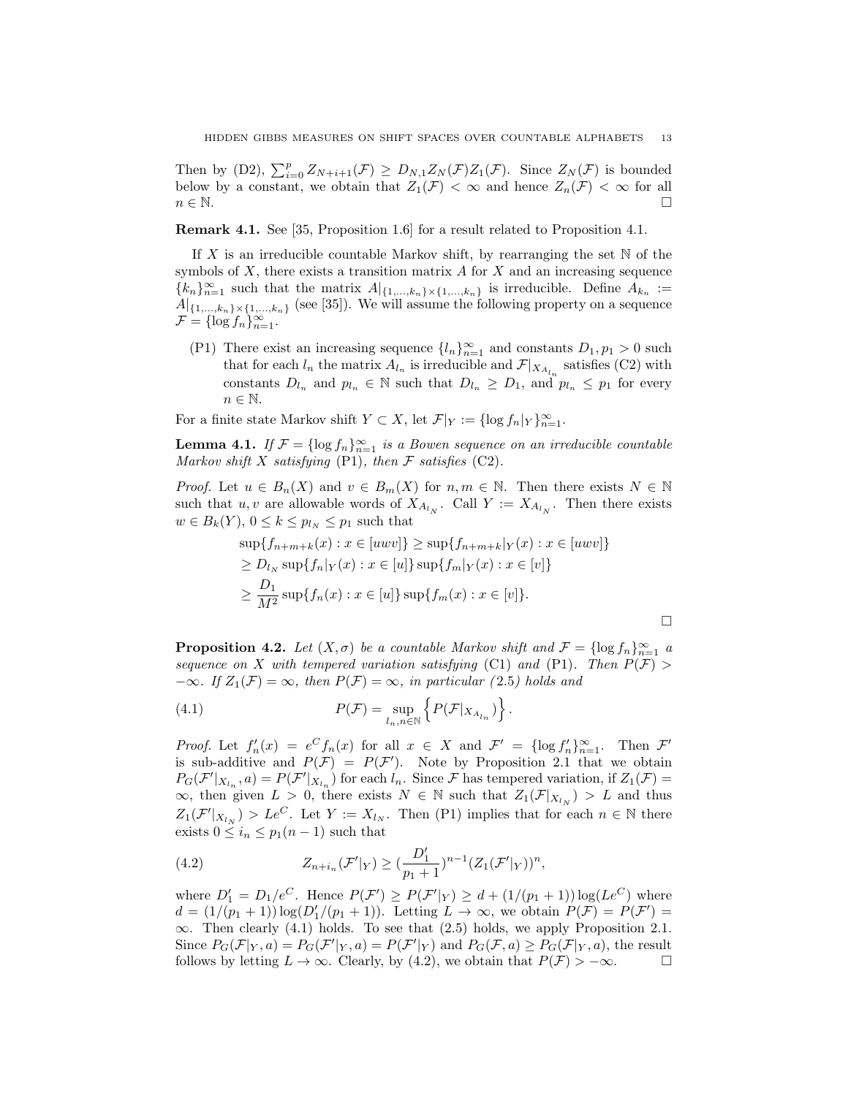Then by (D2),  $\sum_{i=0}^p Z_{N+i+1}(\mathcal{F}) \geq D_{N,1}Z_N(\mathcal{F})Z_1(\mathcal{F})$ . Since  $Z_N(\mathcal{F})$  is bounded below by a constant, we obtain that  $Z_1(\mathcal{F}) < \infty$  and hence  $Z_n(\mathcal{F}) < \infty$  for all  $n \in \mathbb{N}$ .  $n \in \mathbb{N}$ .

Remark 4.1. See [35, Proposition 1.6] for a result related to Proposition 4.1.

If X is an irreducible countable Markov shift, by rearranging the set  $\mathbb N$  of the symbols of  $X$ , there exists a transition matrix  $A$  for  $X$  and an increasing sequence  ${k_n}_{n=1}^{\infty}$  such that the matrix  $A|_{\{1,\ldots,k_n\}\times\{1,\ldots,k_n\}}$  is irreducible. Define  $A_{k_n}$  :=  $A|_{\{1,\ldots,k_n\}\times\{1,\ldots,k_n\}}$  (see [35]). We will assume the following property on a sequence  $\mathcal{F} = \{\log f_n\}_{n=1}^{\infty}$ .

(P1) There exist an increasing sequence  $\{l_n\}_{n=1}^{\infty}$  and constants  $D_1, p_1 > 0$  such that for each  $l_n$  the matrix  $A_{l_n}$  is irreducible and  $\mathcal{F}|_{X_{A_{l_n}}}$  satisfies (C2) with constants  $D_{l_n}$  and  $p_{l_n} \in \mathbb{N}$  such that  $D_{l_n} \geq D_1$ , and  $p_{l_n} \leq p_1$  for every  $n \in \mathbb{N}$ .

For a finite state Markov shift  $Y \subset X$ , let  $\mathcal{F}|_Y := \{\log f_n |_Y\}_{n=1}^{\infty}$ .

**Lemma 4.1.** *If*  $\mathcal{F} = \{ \log f_n \}_{n=1}^{\infty}$  *is a Bowen sequence on an irreducible countable Markov shift* X *satisfying* (P1)*, then* F *satisfies* (C2)*.*

*Proof.* Let  $u \in B_n(X)$  and  $v \in B_m(X)$  for  $n, m \in \mathbb{N}$ . Then there exists  $N \in \mathbb{N}$ such that u, v are allowable words of  $X_{A_{l_N}}$ . Call  $Y := X_{A_{l_N}}$ . Then there exists  $w \in B_k(Y)$ ,  $0 \leq k \leq p_{l_N} \leq p_1$  such that

$$
\sup\{f_{n+m+k}(x) : x \in [uvw]\} \ge \sup\{f_{n+m+k}|_{Y}(x) : x \in [uvw]\}
$$
  
\n
$$
\ge D_{l_{N}} \sup\{f_{n}|_{Y}(x) : x \in [u]\} \sup\{f_{m}|_{Y}(x) : x \in [v]\}
$$
  
\n
$$
\ge \frac{D_{1}}{M^{2}} \sup\{f_{n}(x) : x \in [u]\} \sup\{f_{m}(x) : x \in [v]\}.
$$

**Proposition 4.2.** *Let*  $(X, \sigma)$  *be a countable Markov shift and*  $\mathcal{F} = \{\log f_n\}_{n=1}^{\infty}$  *a sequence on* X *with tempered variation satisfying* (C1) *and* (P1)*. Then*  $P(\mathcal{F})$  $-\infty$ *. If*  $Z_1(\mathcal{F}) = \infty$ *, then*  $P(\mathcal{F}) = \infty$ *, in particular* (2.5*) holds and* 

(4.1) 
$$
P(\mathcal{F}) = \sup_{l_n, n \in \mathbb{N}} \left\{ P(\mathcal{F}|_{X_{A_{l_n}}}) \right\}.
$$

*Proof.* Let  $f'_n(x) = e^C f_n(x)$  for all  $x \in X$  and  $\mathcal{F}' = {\log f'_n}_{n=1}^{\infty}$ . Then  $\mathcal{F}'$ is sub-additive and  $P(\mathcal{F}) = P(\mathcal{F}')$ . Note by Proposition 2.1 that we obtain  $P_G(\mathcal{F}'|_{X_{l_n}}, a) = P(\mathcal{F}'|_{X_{l_n}})$  for each  $l_n$ . Since  $\mathcal{F}$  has tempered variation, if  $Z_1(\mathcal{F}) =$  $\infty$ , then given  $L > 0$ , there exists  $N \in \mathbb{N}$  such that  $Z_1(\mathcal{F}|_{X_{l_N}}) > L$  and thus  $Z_1(\mathcal{F}'|_{X_{l_N}}) > Le^C$ . Let  $Y := X_{l_N}$ . Then (P1) implies that for each  $n \in \mathbb{N}$  there exists  $0 \leq i_n \leq p_1(n-1)$  such that

(4.2) 
$$
Z_{n+i_n}(\mathcal{F}'|_{Y}) \geq (\frac{D'_1}{p_1+1})^{n-1} (Z_1(\mathcal{F}'|_{Y}))^n,
$$

where  $D_1' = D_1/e^C$ . Hence  $P(\mathcal{F}') \ge P(\mathcal{F}'|_Y) \ge d + (1/(p_1+1)) \log(Le^C)$  where  $d = (1/(p_1 + 1)) \log(D'_1/(p_1 + 1))$ . Letting  $L \to \infty$ , we obtain  $P(\mathcal{F}) = P(\mathcal{F}') =$  $\infty$ . Then clearly (4.1) holds. To see that (2.5) holds, we apply Proposition 2.1. Since  $P_G(\mathcal{F}|_Y, a) = P_G(\mathcal{F}'|_Y, a) = P(\mathcal{F}'|_Y)$  and  $P_G(\mathcal{F}, a) \ge P_G(\mathcal{F}|_Y, a)$ , the result follows by letting  $L \to \infty$ . Clearly, by (4.2), we obtain that  $P(\mathcal{F}) > -\infty$ .  $\Box$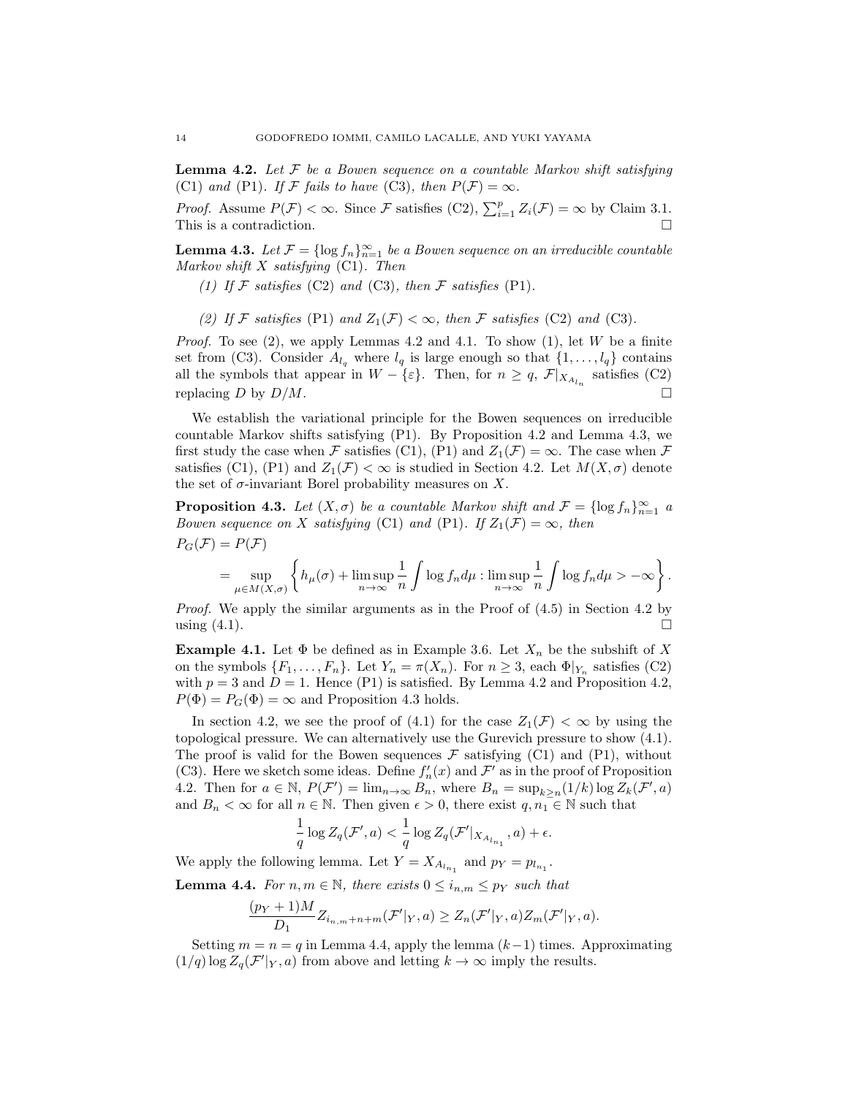Lemma 4.2. *Let* F *be a Bowen sequence on a countable Markov shift satisfying* (C1) and (P1). If F fails to have (C3), then  $P(F) = \infty$ .

*Proof.* Assume  $P(\mathcal{F}) < \infty$ . Since  $\mathcal{F}$  satisfies (C2),  $\sum_{i=1}^{p} Z_i(\mathcal{F}) = \infty$  by Claim 3.1. This is a contradiction.  $\Box$ 

**Lemma 4.3.** *Let*  $\mathcal{F} = \{\log f_n\}_{n=1}^{\infty}$  *be a Bowen sequence on an irreducible countable Markov shift* X *satisfying* (C1)*. Then*

*(1)* If  $F$  *satisfies* (C2) *and* (C3)*, then*  $F$  *satisfies* (P1)*.* 

(2) If F satisfies (P1) and  $Z_1(F) < \infty$ , then F satisfies (C2) and (C3).

*Proof.* To see  $(2)$ , we apply Lemmas 4.2 and 4.1. To show  $(1)$ , let W be a finite set from (C3). Consider  $A_{l_q}$  where  $l_q$  is large enough so that  $\{1, \ldots, l_q\}$  contains all the symbols that appear in  $W - \{\varepsilon\}$ . Then, for  $n \geq q$ ,  $\mathcal{F}|_{X_{A_{l_n}}}$  satisfies (C2) replacing D by  $D/M$ .

We establish the variational principle for the Bowen sequences on irreducible countable Markov shifts satisfying (P1). By Proposition 4.2 and Lemma 4.3, we first study the case when F satisfies (C1), (P1) and  $Z_1(\mathcal{F}) = \infty$ . The case when F satisfies (C1), (P1) and  $Z_1(\mathcal{F}) < \infty$  is studied in Section 4.2. Let  $M(X, \sigma)$  denote the set of  $\sigma$ -invariant Borel probability measures on X.

**Proposition 4.3.** *Let*  $(X, \sigma)$  *be a countable Markov shift and*  $\mathcal{F} = \{\log f_n\}_{n=1}^{\infty}$  *a Bowen sequence on* X *satisfying* (C1) *and* (P1)*.* If  $Z_1(\mathcal{F}) = \infty$ *, then*  $P_G(\mathcal{F}) = P(\mathcal{F})$ 

$$
= \sup_{\mu \in M(X,\sigma)} \left\{ h_{\mu}(\sigma) + \limsup_{n \to \infty} \frac{1}{n} \int \log f_n d\mu : \limsup_{n \to \infty} \frac{1}{n} \int \log f_n d\mu > -\infty \right\}.
$$

*Proof.* We apply the similar arguments as in the Proof of  $(4.5)$  in Section 4.2 by using  $(4.1)$ .

**Example 4.1.** Let  $\Phi$  be defined as in Example 3.6. Let  $X_n$  be the subshift of X on the symbols  $\{F_1, \ldots, F_n\}$ . Let  $Y_n = \pi(X_n)$ . For  $n \geq 3$ , each  $\Phi|_{Y_n}$  satisfies (C2) with  $p = 3$  and  $D = 1$ . Hence (P1) is satisfied. By Lemma 4.2 and Proposition 4.2,  $P(\Phi) = P_G(\Phi) = \infty$  and Proposition 4.3 holds.

In section 4.2, we see the proof of (4.1) for the case  $Z_1(\mathcal{F}) < \infty$  by using the topological pressure. We can alternatively use the Gurevich pressure to show (4.1). The proof is valid for the Bowen sequences  $\mathcal F$  satisfying (C1) and (P1), without (C3). Here we sketch some ideas. Define  $f'_n(x)$  and  $\mathcal{F}'$  as in the proof of Proposition 4.2. Then for  $a \in \mathbb{N}$ ,  $P(\mathcal{F}') = \lim_{n \to \infty} B_n$ , where  $B_n = \sup_{k \geq n} (1/k) \log Z_k(\mathcal{F}', a)$ and  $B_n < \infty$  for all  $n \in \mathbb{N}$ . Then given  $\epsilon > 0$ , there exist  $q, n_1 \in \mathbb{N}$  such that

$$
\frac{1}{q}\log Z_q(\mathcal{F}',a) < \frac{1}{q}\log Z_q(\mathcal{F}'|_{X_{A_{l_{n_1}}}},a) + \epsilon.
$$

We apply the following lemma. Let  $Y = X_{A_{l_{n_1}}}$  and  $p_Y = p_{l_{n_1}}$ .

**Lemma 4.4.** *For*  $n, m \in \mathbb{N}$ *, there exists*  $0 \leq i_{n,m} \leq p_Y$  *such that* 

$$
\frac{(p_Y+1)M}{D_1}Z_{i_{n,m}+n+m}(\mathcal{F}'|_Y,a) \geq Z_n(\mathcal{F}'|_Y,a)Z_m(\mathcal{F}'|_Y,a).
$$

Setting  $m = n = q$  in Lemma 4.4, apply the lemma  $(k-1)$  times. Approximating  $(1/q)$  log  $Z_q(\mathcal{F}'|_Y, a)$  from above and letting  $k \to \infty$  imply the results.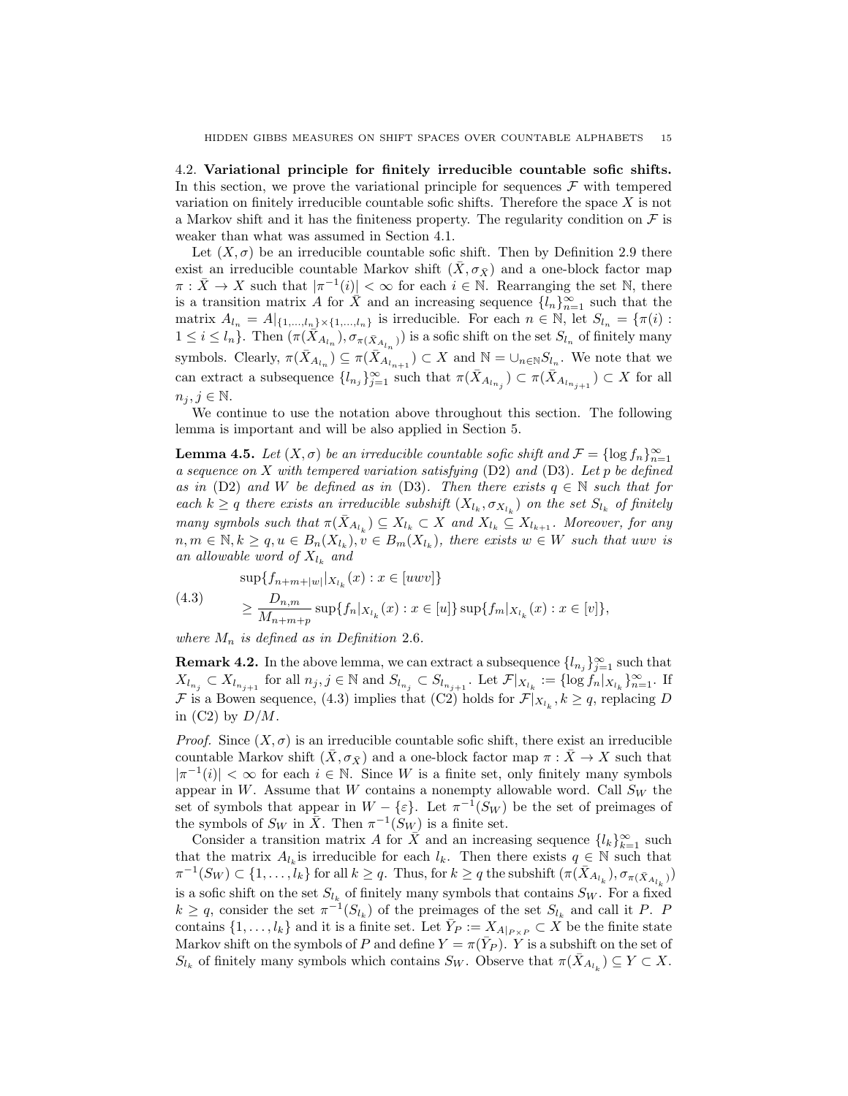4.2. Variational principle for finitely irreducible countable sofic shifts. In this section, we prove the variational principle for sequences  $\mathcal F$  with tempered variation on finitely irreducible countable sofic shifts. Therefore the space  $X$  is not a Markov shift and it has the finiteness property. The regularity condition on  $\mathcal F$  is weaker than what was assumed in Section 4.1.

Let  $(X, \sigma)$  be an irreducible countable sofic shift. Then by Definition 2.9 there exist an irreducible countable Markov shift  $(\bar{X}, \sigma_{\bar{X}})$  and a one-block factor map  $\pi : \bar{X} \to X$  such that  $|\pi^{-1}(i)| < \infty$  for each  $i \in \mathbb{N}$ . Rearranging the set N, there is a transition matrix A for  $\hat{X}$  and an increasing sequence  $\{l_n\}_{n=1}^{\infty}$  such that the matrix  $A_{l_n} = A|_{\{1,\ldots,l_n\}\times\{1,\ldots,l_n\}}$  is irreducible. For each  $n \in \mathbb{N}$ , let  $S_{l_n} = \{\pi(i) :$  $1 \leq i \leq l_n$ . Then  $(\pi(\bar{X}_{A_{l_n}}), \sigma_{\pi(\bar{X}_{A_{l_n}})})$  is a sofic shift on the set  $S_{l_n}$  of finitely many symbols. Clearly,  $\pi(\bar{X}_{A_{l_n}}) \subseteq \pi(\bar{X}_{A_{l_{n+1}}}) \subset X$  and  $\mathbb{N} = \cup_{n \in \mathbb{N}} S_{l_n}$ . We note that we can extract a subsequence  $\{l_{n_j}\}_{j=1}^{\infty}$  such that  $\pi(\bar{X}_{A_{l_{n_j}}}) \subset \pi(\bar{X}_{A_{l_{n_{j+1}}}}) \subset X$  for all  $n_j, j \in \mathbb{N}.$ 

We continue to use the notation above throughout this section. The following lemma is important and will be also applied in Section 5.

**Lemma 4.5.** *Let*  $(X, \sigma)$  *be an irreducible countable sofic shift and*  $\mathcal{F} = \{\log f_n\}_{n=1}^{\infty}$ *a sequence on* X *with tempered variation satisfying* (D2) *and* (D3)*. Let* p *be defined as in* (D2) *and* W *be defined as in* (D3)*. Then there exists*  $q \in \mathbb{N}$  *such that for each*  $k \geq q$  *there exists an irreducible subshift*  $(X_{l_k}, \sigma_{X_{l_k}})$  *on the set*  $S_{l_k}$  *of finitely many symbols such that*  $\pi(X_{A_{l_k}}) \subseteq X_{l_k} \subset X$  *and*  $X_{l_k} \subseteq X_{l_{k+1}}$ *. Moreover, for any*  $n, m \in \mathbb{N}, k \geq q, u \in B_n(X_{l_k}), v \in B_m(X_{l_k}),$  there exists  $w \in W$  such that uwv is an allowable word of  $X_{l_k}$  and

(4.3) 
$$
\sup\{f_{n+m+|w|}|x_{l_k}(x) : x \in [uvw]\}
$$

$$
\geq \frac{D_{n,m}}{M_{n+m+p}} \sup\{f_n|x_{l_k}(x) : x \in [u]\} \sup\{f_m|x_{l_k}(x) : x \in [v]\},
$$

*where*  $M_n$  *is defined as in Definition* 2.6*.* 

**Remark 4.2.** In the above lemma, we can extract a subsequence  $\{l_{n_j}\}_{j=1}^{\infty}$  such that  $X_{l_{n_j}} \subset X_{l_{n_{j+1}}}$  for all  $n_j, j \in \mathbb{N}$  and  $S_{l_{n_j}} \subset S_{l_{n_{j+1}}}$ . Let  $\mathcal{F}|_{X_{l_k}} := \{\log f_n |_{X_{l_k}}\}_{n=1}^{\infty}$ . If F is a Bowen sequence, (4.3) implies that (C2) holds for  $\mathcal{F}|_{X_{l_k}}, k \geq q$ , replacing D in  $(C2)$  by  $D/M$ .

*Proof.* Since  $(X, \sigma)$  is an irreducible countable sofic shift, there exist an irreducible countable Markov shift  $(\bar{X}, \sigma_{\bar{X}})$  and a one-block factor map  $\pi : \bar{X} \to X$  such that  $|\pi^{-1}(i)| < \infty$  for each  $i \in \mathbb{N}$ . Since W is a finite set, only finitely many symbols appear in W. Assume that W contains a nonempty allowable word. Call  $S_W$  the set of symbols that appear in  $W - \{\varepsilon\}$ . Let  $\pi^{-1}(S_W)$  be the set of preimages of the symbols of  $S_W$  in  $\overline{X}$ . Then  $\pi^{-1}(S_W)$  is a finite set.

Consider a transition matrix A for  $\overline{X}$  and an increasing sequence  $\{l_k\}_{k=1}^{\infty}$  such that the matrix  $A_{l_k}$  is irreducible for each  $l_k$ . Then there exists  $q \in \mathbb{N}$  such that  $\pi^{-1}(S_W) \subset \{1,\ldots,k\}$  for all  $k \geq q$ . Thus, for  $k \geq q$  the subshift  $(\pi(X_{A_{l_k}}), \sigma_{\pi(\bar{X}_{A_{l_k}})})$ is a sofic shift on the set  $S_{l_k}$  of finitely many symbols that contains  $S_W$ . For a fixed  $k \geq q$ , consider the set  $\pi^{-1}(S_{l_k})$  of the preimages of the set  $S_{l_k}$  and call it P. P contains  $\{1, \ldots, l_k\}$  and it is a finite set. Let  $\bar{Y}_P := X_{A|_{P \times P}} \subset X$  be the finite state Markov shift on the symbols of P and define  $Y = \pi(\bar{Y}_P)$ . Y is a subshift on the set of  $S_{l_k}$  of finitely many symbols which contains  $S_W$ . Observe that  $\pi(\bar{X}_{A_{l_k}}) \subseteq Y \subset X$ .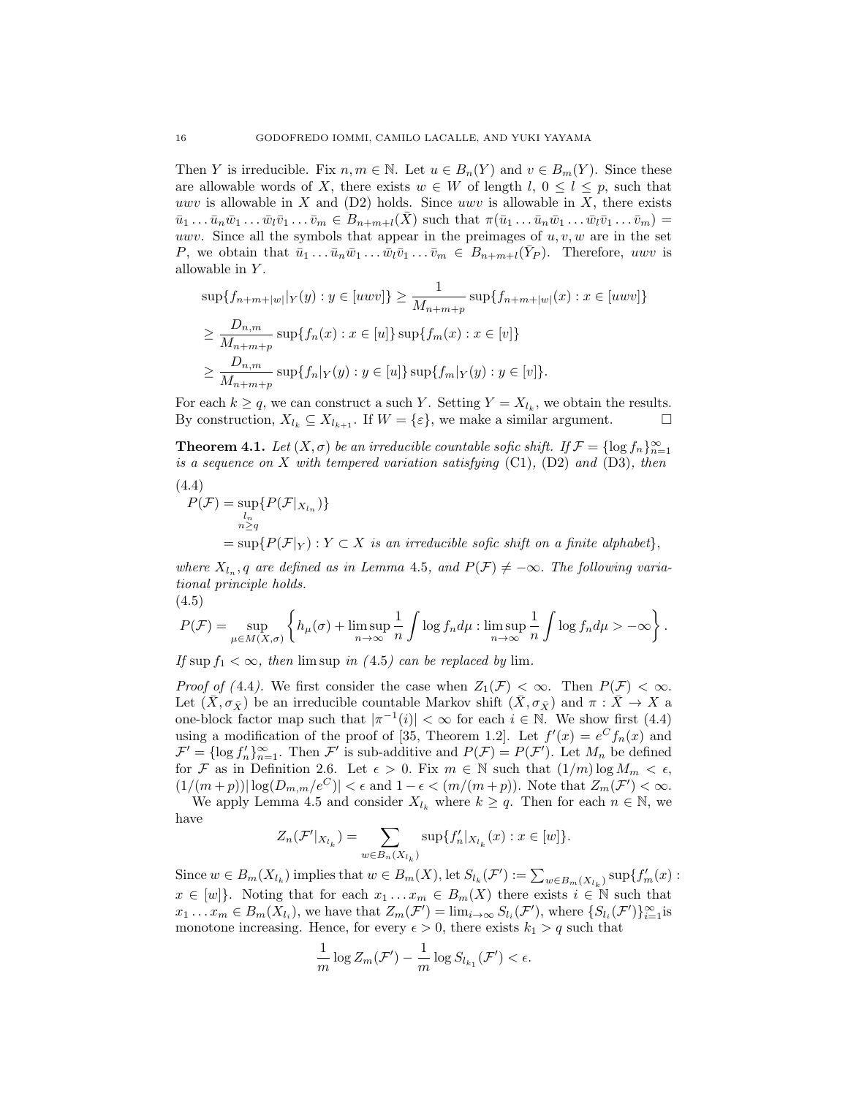Then Y is irreducible. Fix  $n, m \in \mathbb{N}$ . Let  $u \in B_n(Y)$  and  $v \in B_m(Y)$ . Since these are allowable words of X, there exists  $w \in W$  of length  $l, 0 \leq l \leq p$ , such that uwv is allowable in  $X$  and  $(D2)$  holds. Since uwv is allowable in  $X$ , there exists  $\overline{u}_1 \dots \overline{u}_n \overline{w}_1 \dots \overline{w}_l \overline{v}_1 \dots \overline{v}_m \in B_{n+m+l}(\overline{X})$  such that  $\pi(\overline{u}_1 \dots \overline{u}_n \overline{w}_1 \dots \overline{w}_l \overline{v}_1 \dots \overline{v}_m) =$ uwv. Since all the symbols that appear in the preimages of  $u, v, w$  are in the set P, we obtain that  $\bar{u}_1 \dots \bar{u}_n \bar{w}_1 \dots \bar{w}_l \bar{v}_1 \dots \bar{v}_m \in B_{n+m+l}(\bar{Y}_P)$ . Therefore, uwv is allowable in Y.

$$
\sup\{f_{n+m+|w|}|Y(y):y\in[uwv]\}\geq\frac{1}{M_{n+m+p}}\sup\{f_{n+m+|w|}(x):x\in[uwv]\}
$$
  
\n
$$
\geq\frac{D_{n,m}}{M_{n+m+p}}\sup\{f_n(x):x\in[u]\}\sup\{f_m(x):x\in[v]\}
$$
  
\n
$$
\geq\frac{D_{n,m}}{M_{n+m+p}}\sup\{f_n|Y(y):y\in[u]\}\sup\{f_m|Y(y):y\in[v]\}.
$$

For each  $k \geq q$ , we can construct a such Y. Setting  $Y = X_{l_k}$ , we obtain the results.<br>By construction,  $X_{l_k} \subseteq X_{l_{k+1}}$ . If  $W = \{\varepsilon\}$ , we make a similar argument. By construction,  $X_{l_k} \subseteq X_{l_{k+1}}$ . If  $W = \{\varepsilon\}$ , we make a similar argument.

**Theorem 4.1.** Let  $(X, \sigma)$  be an irreducible countable sofic shift. If  $\mathcal{F} = \{\log f_n\}_{n=1}^{\infty}$ *is a sequence on* X *with tempered variation satisfying* (C1)*,* (D2) *and* (D3)*, then*

(4.4)  
\n
$$
P(\mathcal{F}) = \sup_{\substack{l_n \\ n \ge q}} \{ P(\mathcal{F}|_{X_{l_n}}) \}
$$
\n
$$
= \sup \{ P(\mathcal{F}|_Y) : Y \subset X \text{ is an irreducible soft shift on a finite alphabet} \},
$$

*where*  $X_{l_n}$ , q are defined as in Lemma 4.5, and  $P(\mathcal{F}) \neq -\infty$ . The following varia*tional principle holds.* (4.5)

$$
P(\mathcal{F}) = \sup_{\mu \in M(X,\sigma)} \left\{ h_{\mu}(\sigma) + \limsup_{n \to \infty} \frac{1}{n} \int \log f_n d\mu : \limsup_{n \to \infty} \frac{1}{n} \int \log f_n d\mu > -\infty \right\}.
$$

*If* sup  $f_1 < \infty$ *, then* lim sup *in* (4.5*)* can be replaced by lim.

*Proof of (*4.4). We first consider the case when  $Z_1(\mathcal{F}) < \infty$ . Then  $P(\mathcal{F}) < \infty$ . Let  $(\bar{X}, \sigma_{\bar{X}})$  be an irreducible countable Markov shift  $(\bar{X}, \sigma_{\bar{X}})$  and  $\pi : \bar{X} \to X$  a one-block factor map such that  $|\pi^{-1}(i)| < \infty$  for each  $i \in \mathbb{N}$ . We show first (4.4) using a modification of the proof of [35, Theorem 1.2]. Let  $f'(x) = e^C f_n(x)$  and  $\mathcal{F}' = \{\log f'_n\}_{n=1}^{\infty}$ . Then  $\mathcal{F}'$  is sub-additive and  $P(\mathcal{F}) = P(\mathcal{F}')$ . Let  $M_n$  be defined for F as in Definition 2.6. Let  $\epsilon > 0$ . Fix  $m \in \mathbb{N}$  such that  $(1/m) \log M_m < \epsilon$ ,  $(1/(m+p))|\log(D_{m,m}/e^C)| < \epsilon$  and  $1-\epsilon < (m/(m+p))$ . Note that  $Z_m(\mathcal{F}') < \infty$ .

We apply Lemma 4.5 and consider  $X_{l_k}$  where  $k \geq q$ . Then for each  $n \in \mathbb{N}$ , we have

$$
Z_n(\mathcal{F}'|_{X_{l_k}}) = \sum_{w \in B_n(X_{l_k})} \sup \{ f'_n |_{X_{l_k}}(x) : x \in [w] \}.
$$

Since  $w \in B_m(X_{l_k})$  implies that  $w \in B_m(X)$ , let  $S_{l_k}(\mathcal{F}') := \sum_{w \in B_m(X_{l_k})} \sup \{f'_m(x) :$  $x \in [w]$ . Noting that for each  $x_1 \ldots x_m \in B_m(X)$  there exists  $i \in \mathbb{N}$  such that  $x_1 \ldots x_m \in B_m(X_{l_i})$ , we have that  $Z_m(\mathcal{F}') = \lim_{i \to \infty} S_{l_i}(\mathcal{F}')$ , where  $\{S_{l_i}(\mathcal{F}')\}_{i=1}^{\infty}$  is monotone increasing. Hence, for every  $\epsilon > 0$ , there exists  $k_1 > q$  such that

$$
\frac{1}{m}\log Z_m(\mathcal{F}') - \frac{1}{m}\log S_{l_{k_1}}(\mathcal{F}') < \epsilon.
$$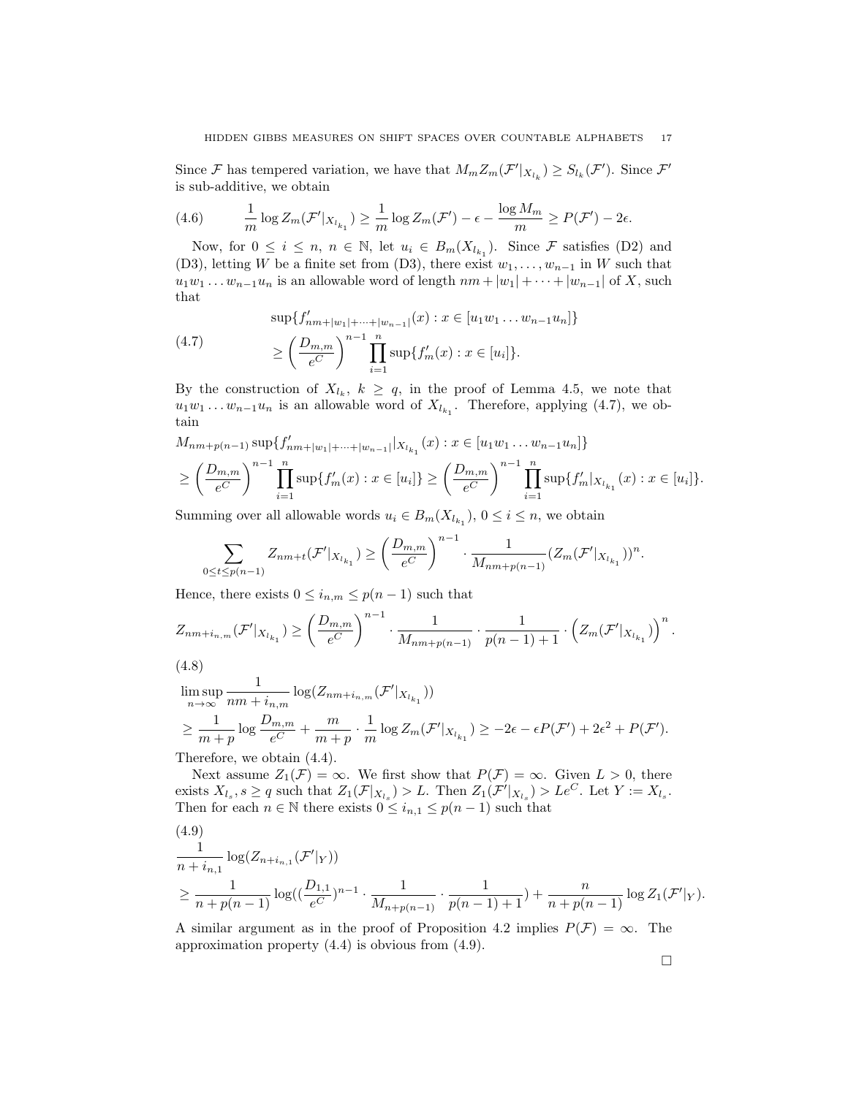Since F has tempered variation, we have that  $M_m Z_m(\mathcal{F}'|_{X_{l_k}}) \geq S_{l_k}(\mathcal{F}')$ . Since  $\mathcal{F}'$ is sub-additive, we obtain

(4.6) 
$$
\frac{1}{m}\log Z_m(\mathcal{F}'|_{X_{l_{k_1}}}) \geq \frac{1}{m}\log Z_m(\mathcal{F}') - \epsilon - \frac{\log M_m}{m} \geq P(\mathcal{F}') - 2\epsilon.
$$

Now, for  $0 \leq i \leq n$ ,  $n \in \mathbb{N}$ , let  $u_i \in B_m(X_{l_{k_1}})$ . Since F satisfies (D2) and (D3), letting W be a finite set from (D3), there exist  $w_1, \ldots, w_{n-1}$  in W such that  $u_1w_1 \ldots w_{n-1}u_n$  is an allowable word of length  $nm + |w_1| + \cdots + |w_{n-1}|$  of X, such that

(4.7) 
$$
\sup\{f'_{nm+|w_1|+\cdots+|w_{n-1}|}(x) : x \in [u_1w_1 \dots w_{n-1}u_n]\}
$$

$$
\geq \left(\frac{D_{m,m}}{e^C}\right)^{n-1} \prod_{i=1}^n \sup\{f'_m(x) : x \in [u_i]\}.
$$

By the construction of  $X_{l_k}$ ,  $k \geq q$ , in the proof of Lemma 4.5, we note that  $u_1w_1 \ldots w_{n-1}u_n$  is an allowable word of  $X_{l_{k_1}}$ . Therefore, applying (4.7), we obtain

$$
M_{nm+p(n-1)} \sup \{f'_{nm+|w_1|+\cdots+|w_{n-1}|}|X_{l_{k_1}}(x) : x \in [u_1w_1 \dots w_{n-1}u_n]\}
$$
  
\n
$$
\geq \left(\frac{D_{m,m}}{e^C}\right)^{n-1} \prod_{i=1}^n \sup \{f'_m(x) : x \in [u_i]\} \geq \left(\frac{D_{m,m}}{e^C}\right)^{n-1} \prod_{i=1}^n \sup \{f'_m |_{X_{l_{k_1}}}(x) : x \in [u_i]\}.
$$

Summing over all allowable words  $u_i \in B_m(X_{l_{k_1}}), 0 \leq i \leq n$ , we obtain

$$
\sum_{0 \leq t \leq p(n-1)} Z_{nm+t}(\mathcal{F}'|_{X_{l_{k_1}}}) \geq \left(\frac{D_{m,m}}{e^C}\right)^{n-1} \cdot \frac{1}{M_{nm+p(n-1)}} (Z_m(\mathcal{F}'|_{X_{l_{k_1}}}))^n.
$$

Hence, there exists  $0 \leq i_{n,m} \leq p(n-1)$  such that

$$
Z_{nm+i_{n,m}}(\mathcal{F}'|_{X_{l_{k_1}}}) \geq \left(\frac{D_{m,m}}{e^C}\right)^{n-1} \cdot \frac{1}{M_{nm+p(n-1)}} \cdot \frac{1}{p(n-1)+1} \cdot \left(Z_m(\mathcal{F}'|_{X_{l_{k_1}}})\right)^n.
$$

$$
(4.8)
$$

$$
\limsup_{n \to \infty} \frac{1}{nm + i_{n,m}} \log(Z_{nm + i_{n,m}}(\mathcal{F}'|_{X_{l_{k_1}}}))
$$
\n
$$
\geq \frac{1}{m+p} \log \frac{D_{m,m}}{e^C} + \frac{m}{m+p} \cdot \frac{1}{m} \log Z_m(\mathcal{F}'|_{X_{l_{k_1}}}) \geq -2\epsilon - \epsilon P(\mathcal{F}') + 2\epsilon^2 + P(\mathcal{F}').
$$
\nTherefore, we obtain (4.4).

Therefore, we obtain (4.4).

Next assume  $Z_1(\mathcal{F}) = \infty$ . We first show that  $P(\mathcal{F}) = \infty$ . Given  $L > 0$ , there exists  $X_{l_s}, s \ge q$  such that  $Z_1(\mathcal{F}|_{X_{l_s}}) > L$ . Then  $Z_1(\mathcal{F}'|_{X_{l_s}}) > Le^C$ . Let  $Y := X_{l_s}$ . Then for each  $n \in \mathbb{N}$  there exists  $0 \leq i_{n,1} \leq p(n-1)$  such that

(4.9)  
\n
$$
\frac{1}{n + i_{n,1}} \log(Z_{n + i_{n,1}}(\mathcal{F}'|_{Y}))
$$
\n
$$
\geq \frac{1}{n + p(n - 1)} \log((\frac{D_{1,1}}{e^C})^{n-1} \cdot \frac{1}{M_{n + p(n-1)}} \cdot \frac{1}{p(n - 1) + 1}) + \frac{n}{n + p(n - 1)} \log Z_1(\mathcal{F}'|_{Y}).
$$

A similar argument as in the proof of Proposition 4.2 implies  $P(\mathcal{F}) = \infty$ . The approximation property (4.4) is obvious from (4.9).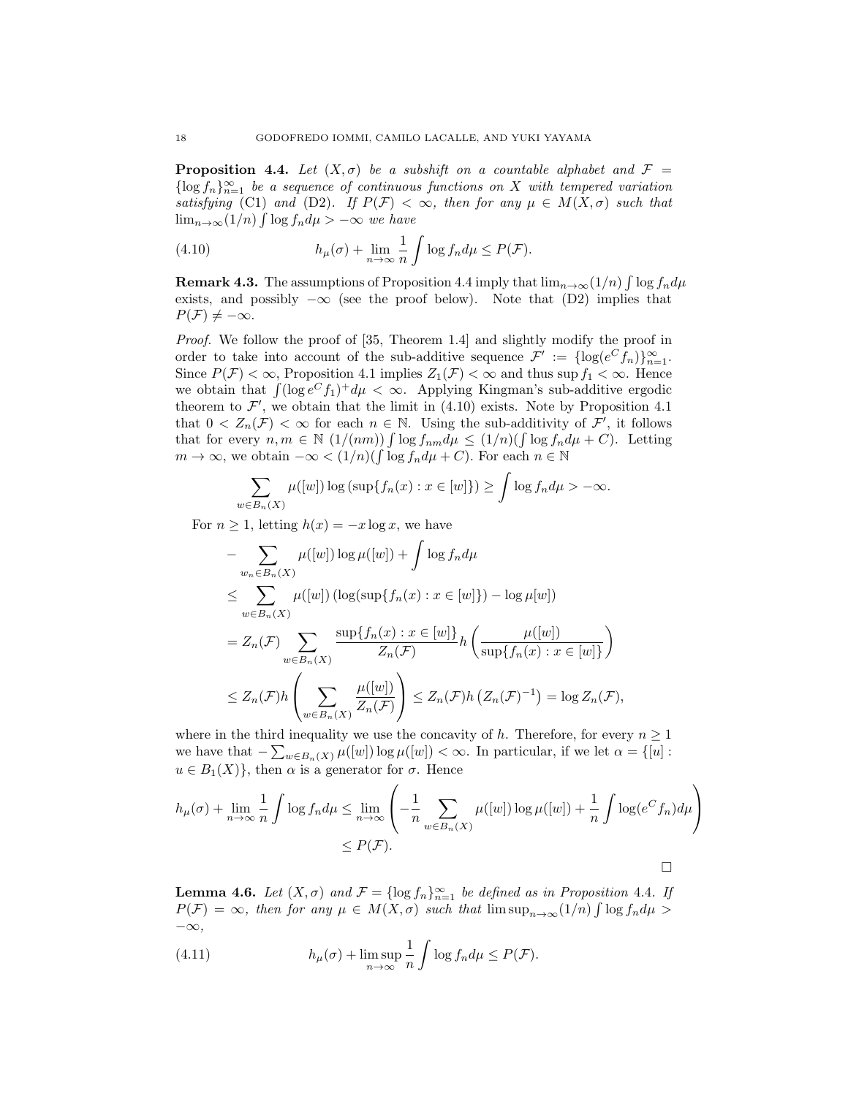**Proposition 4.4.** Let  $(X, \sigma)$  be a subshift on a countable alphabet and  $\mathcal{F} =$  $\{\log f_n\}_{n=1}^{\infty}$  *be a sequence of continuous functions on* X *with tempered variation satisfying* (C1) *and* (D2)*.* If  $P(F) < \infty$ , then for any  $\mu \in M(X, \sigma)$  *such that* lim<sub>n→∞</sub>(1/n)  $\int \log f_n d\mu$  > -∞ *we have* 

(4.10) 
$$
h_{\mu}(\sigma) + \lim_{n \to \infty} \frac{1}{n} \int \log f_n d\mu \le P(\mathcal{F}).
$$

**Remark 4.3.** The assumptions of Proposition 4.4 imply that  $\lim_{n\to\infty}(1/n)\int \log f_n d\mu$ exists, and possibly  $-\infty$  (see the proof below). Note that (D2) implies that  $P(\mathcal{F}) \neq -\infty$ .

*Proof.* We follow the proof of [35, Theorem 1.4] and slightly modify the proof in order to take into account of the sub-additive sequence  $\mathcal{F}' := {\log(e^C f_n)}_{n=1}^{\infty}$ . Since  $P(\mathcal{F}) < \infty$ , Proposition 4.1 implies  $Z_1(\mathcal{F}) < \infty$  and thus sup  $f_1 < \infty$ . Hence we obtain that  $\int (\log e^C f_1)^+ d\mu < \infty$ . Applying Kingman's sub-additive ergodic theorem to  $\mathcal{F}'$ , we obtain that the limit in (4.10) exists. Note by Proposition 4.1 that  $0 < Z_n(\mathcal{F}) < \infty$  for each  $n \in \mathbb{N}$ . Using the sub-additivity of  $\mathcal{F}'$ , it follows that for every  $n, m \in \mathbb{N}$   $(1/(nm))$   $\int \log f_{nm} d\mu \leq (1/n)(\int \log f_n d\mu + C)$ . Letting  $m \to \infty$ , we obtain  $-\infty < (1/n)(\int \log f_n d\mu + C)$ . For each  $n \in \mathbb{N}$ 

$$
\sum_{w \in B_n(X)} \mu([w]) \log \left( \sup \{ f_n(x) : x \in [w] \} \right) \ge \int \log f_n d\mu > -\infty.
$$

For  $n \geq 1$ , letting  $h(x) = -x \log x$ , we have

$$
- \sum_{w_n \in B_n(X)} \mu([w]) \log \mu([w]) + \int \log f_n d\mu
$$
  
\n
$$
\leq \sum_{w \in B_n(X)} \mu([w]) (\log(\sup\{f_n(x) : x \in [w]\}) - \log \mu[w])
$$
  
\n
$$
= Z_n(\mathcal{F}) \sum_{w \in B_n(X)} \frac{\sup\{f_n(x) : x \in [w]\}}{Z_n(\mathcal{F})} h\left(\frac{\mu([w])}{\sup\{f_n(x) : x \in [w]\}}\right)
$$
  
\n
$$
\leq Z_n(\mathcal{F}) h\left(\sum_{w \in B_n(X)} \frac{\mu([w])}{Z_n(\mathcal{F})}\right) \leq Z_n(\mathcal{F}) h\left(Z_n(\mathcal{F})^{-1}\right) = \log Z_n(\mathcal{F}),
$$

where in the third inequality we use the concavity of h. Therefore, for every  $n \geq 1$ we have that  $-\sum_{w\in B_n(X)} \mu([w]) \log \mu([w]) < \infty$ . In particular, if we let  $\alpha = \{[u] :$  $u \in B_1(X)$ , then  $\alpha$  is a generator for  $\sigma$ . Hence

$$
h_{\mu}(\sigma) + \lim_{n \to \infty} \frac{1}{n} \int \log f_n d\mu \le \lim_{n \to \infty} \left( -\frac{1}{n} \sum_{w \in B_n(X)} \mu([w]) \log \mu([w]) + \frac{1}{n} \int \log(e^C f_n) d\mu \right) \le P(\mathcal{F}).
$$

**Lemma 4.6.** *Let*  $(X, \sigma)$  *and*  $\mathcal{F} = \{\log f_n\}_{n=1}^{\infty}$  *be defined as in Proposition* 4.4*. If*  $P(\mathcal{F}) = \infty$ , then for any  $\mu \in M(X, \sigma)$  such that  $\limsup_{n \to \infty} (1/n) \int \log f_n d\mu >$ −∞*,*

(4.11) 
$$
h_{\mu}(\sigma) + \limsup_{n \to \infty} \frac{1}{n} \int \log f_n d\mu \le P(\mathcal{F}).
$$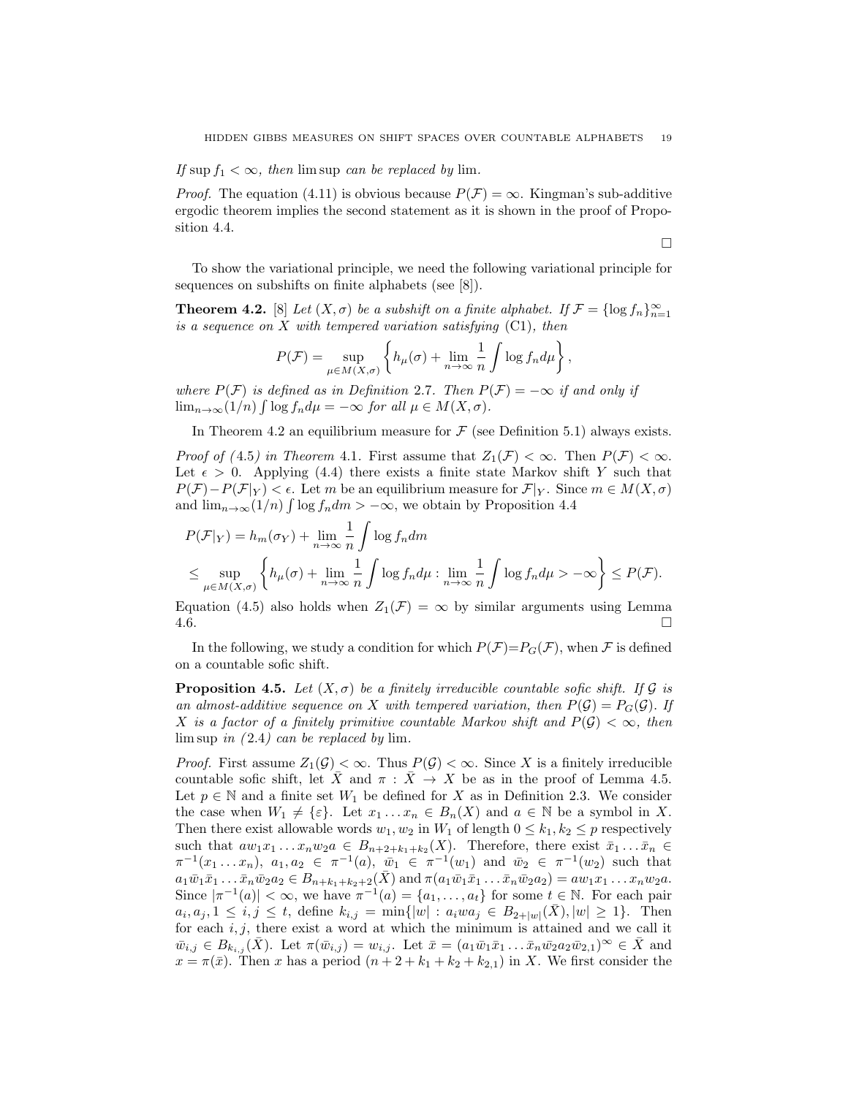*If* sup  $f_1 < \infty$ *, then* lim sup *can be replaced by* lim.

*Proof.* The equation (4.11) is obvious because  $P(\mathcal{F}) = \infty$ . Kingman's sub-additive ergodic theorem implies the second statement as it is shown in the proof of Proposition 4.4.

 $\Box$ 

To show the variational principle, we need the following variational principle for sequences on subshifts on finite alphabets (see [8]).

**Theorem 4.2.** [8] *Let*  $(X, \sigma)$  *be a subshift on a finite alphabet. If*  $\mathcal{F} = {\log f_n}_{n=1}^{\infty}$ *is a sequence on* X *with tempered variation satisfying* (C1)*, then*

$$
P(\mathcal{F}) = \sup_{\mu \in M(X,\sigma)} \left\{ h_{\mu}(\sigma) + \lim_{n \to \infty} \frac{1}{n} \int \log f_n d\mu \right\},\,
$$

*where*  $P(F)$  *is defined as in Definition* 2.7*. Then*  $P(F) = -\infty$  *if and only if*  $\lim_{n\to\infty} (1/n) \int \log f_n d\mu = -\infty$  *for all*  $\mu \in M(X, \sigma)$ *.* 

In Theorem 4.2 an equilibrium measure for  $\mathcal F$  (see Definition 5.1) always exists.

*Proof of (*4.5*) in Theorem 4.1.* First assume that  $Z_1(\mathcal{F}) < \infty$ . Then  $P(\mathcal{F}) < \infty$ . Let  $\epsilon > 0$ . Applying (4.4) there exists a finite state Markov shift Y such that  $P(\mathcal{F})-P(\mathcal{F}|_Y) < \epsilon$ . Let m be an equilibrium measure for  $\mathcal{F}|_Y$ . Since  $m \in M(X,\sigma)$ and  $\lim_{n\to\infty} (1/n) \int \log f_n dm > -\infty$ , we obtain by Proposition 4.4

$$
P(\mathcal{F}|_Y) = h_m(\sigma_Y) + \lim_{n \to \infty} \frac{1}{n} \int \log f_n dm
$$
  
\$\leq\$ 
$$
\sup_{\mu \in M(X,\sigma)} \left\{ h_\mu(\sigma) + \lim_{n \to \infty} \frac{1}{n} \int \log f_n d\mu : \lim_{n \to \infty} \frac{1}{n} \int \log f_n d\mu > -\infty \right\} \leq P(\mathcal{F}).
$$

Equation (4.5) also holds when  $Z_1(\mathcal{F}) = \infty$  by similar arguments using Lemma 4.6.  $4.6.$ 

In the following, we study a condition for which  $P(\mathcal{F})=P_G(\mathcal{F})$ , when  $\mathcal F$  is defined on a countable sofic shift.

**Proposition 4.5.** Let  $(X, \sigma)$  be a finitely irreducible countable sofic shift. If G is *an almost-additive sequence on* X *with tempered variation, then*  $P(\mathcal{G}) = P_G(\mathcal{G})$ . If X is a factor of a finitely primitive countable Markov shift and  $P(G) < \infty$ , then lim sup *in (* 2.4*) can be replaced by* lim*.*

*Proof.* First assume  $Z_1(\mathcal{G}) < \infty$ . Thus  $P(\mathcal{G}) < \infty$ . Since X is a finitely irreducible countable sofic shift, let  $\bar{X}$  and  $\pi : \bar{X} \to X$  be as in the proof of Lemma 4.5. Let  $p \in \mathbb{N}$  and a finite set  $W_1$  be defined for X as in Definition 2.3. We consider the case when  $W_1 \neq \{\varepsilon\}$ . Let  $x_1 \dots x_n \in B_n(X)$  and  $a \in \mathbb{N}$  be a symbol in X. Then there exist allowable words  $w_1, w_2$  in  $W_1$  of length  $0 \leq k_1, k_2 \leq p$  respectively such that  $aw_1x_1 \ldots x_nw_2a \in B_{n+2+k_1+k_2}(X)$ . Therefore, there exist  $\bar{x}_1 \ldots \bar{x}_n \in$  $\pi^{-1}(x_1 \ldots x_n)$ ,  $a_1, a_2 \in \pi^{-1}(a)$ ,  $\bar{w}_1 \in \pi^{-1}(w_1)$  and  $\bar{w}_2 \in \pi^{-1}(w_2)$  such that  $a_1\bar{w}_1\bar{x}_1 \ldots \bar{x}_n\bar{w}_2a_2 \in B_{n+k_1+k_2+2}(\bar{X})$  and  $\pi(a_1\bar{w}_1\bar{x}_1 \ldots \bar{x}_n\bar{w}_2a_2) = aw_1x_1 \ldots x_nw_2a$ . Since  $|\pi^{-1}(a)| < \infty$ , we have  $\pi^{-1}(a) = \{a_1, \ldots, a_t\}$  for some  $t \in \mathbb{N}$ . For each pair  $a_i, a_j, 1 \leq i, j \leq t$ , define  $k_{i,j} = \min\{|w| : a_i w a_j \in B_{2+|w|}(\bar{X}), |w| \geq 1\}$ . Then for each  $i, j$ , there exist a word at which the minimum is attained and we call it  $\bar{w}_{i,j} \in B_{k_{i,j}}(X)$ . Let  $\pi(\bar{w}_{i,j}) = w_{i,j}$ . Let  $\bar{x} = (a_1\bar{w}_1\bar{x}_1 \ldots \bar{x}_n\bar{w}_2a_2\bar{w}_{2,1})^{\infty} \in \bar{X}$  and  $x = \pi(\bar{x})$ . Then x has a period  $(n+2+k_1+k_2+k_2,1)$  in X. We first consider the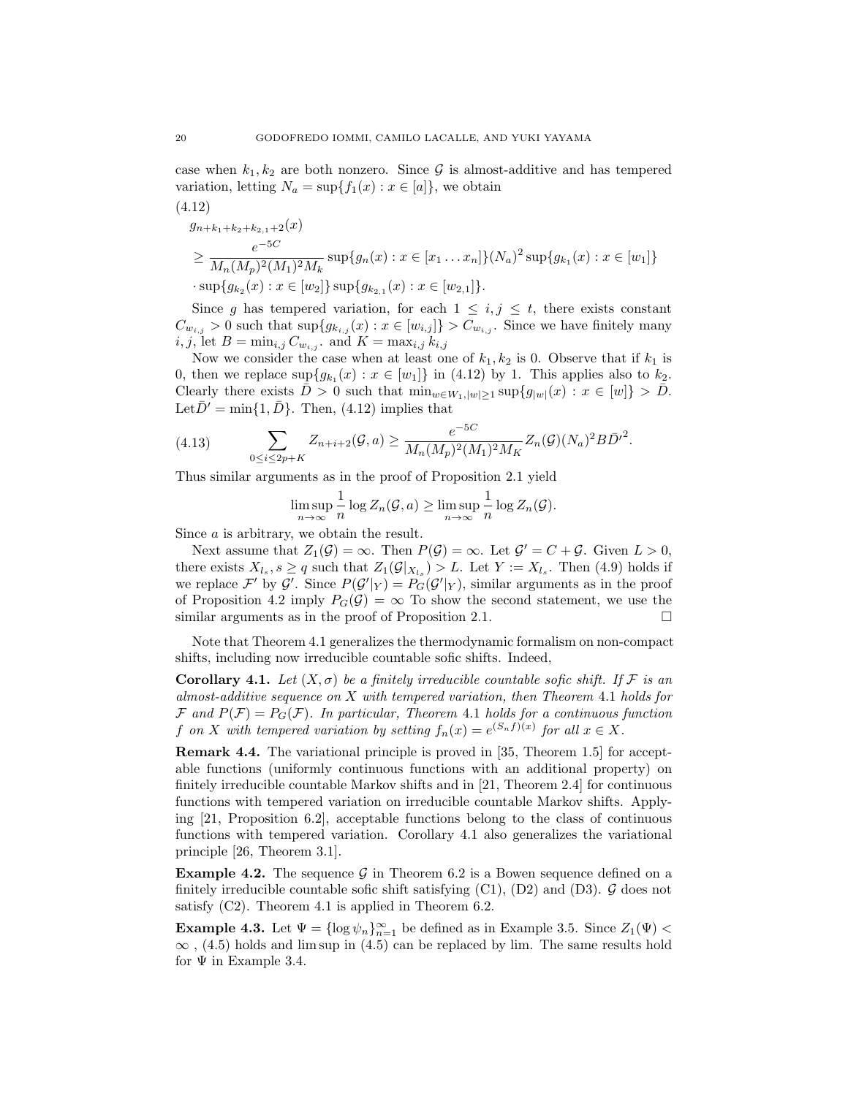case when  $k_1, k_2$  are both nonzero. Since G is almost-additive and has tempered variation, letting  $N_a = \sup\{f_1(x) : x \in [a]\}\)$ , we obtain

$$
(4.12)
$$
  
\n
$$
g_{n+k_1+k_2+k_2,1+2}(x)
$$
  
\n
$$
\geq \frac{e^{-5C}}{M_n(M_p)^2(M_1)^2M_k} \sup\{g_n(x) : x \in [x_1 \dots x_n]\}(N_a)^2 \sup\{g_{k_1}(x) : x \in [w_1]\}
$$
  
\n
$$
\cdot \sup\{g_{k_2}(x) : x \in [w_2]\} \sup\{g_{k_2,1}(x) : x \in [w_{2,1}]\}.
$$

Since g has tempered variation, for each  $1 \leq i, j \leq t$ , there exists constant  $C_{w_{i,j}} > 0$  such that  $\sup\{g_{k_{i,j}}(x) : x \in [w_{i,j}]\} > C_{w_{i,j}}$ . Since we have finitely many  $i, j$ , let  $B = \min_{i,j} C_{w_{i,j}}$  and  $K = \max_{i,j} k_{i,j}$ 

Now we consider the case when at least one of  $k_1, k_2$  is 0. Observe that if  $k_1$  is 0, then we replace  $\sup\{g_{k_1}(x): x \in [w_1]\}\$ in (4.12) by 1. This applies also to  $k_2$ . Clearly there exists  $\overline{D} > 0$  such that  $\min_{w \in W_1, |w| \geq 1} \sup \{g_{|w|}(x) : x \in [w]\} > \overline{D}$ . Let  $\bar{D}' = \min\{1, \bar{D}\}\$ . Then, (4.12) implies that

(4.13) 
$$
\sum_{0 \le i \le 2p+K} Z_{n+i+2}(\mathcal{G},a) \ge \frac{e^{-5C}}{M_n(M_p)^2(M_1)^2M_K} Z_n(\mathcal{G})(N_a)^2 B \bar{D'}^2.
$$

Thus similar arguments as in the proof of Proposition 2.1 yield

$$
\limsup_{n \to \infty} \frac{1}{n} \log Z_n(\mathcal{G}, a) \ge \limsup_{n \to \infty} \frac{1}{n} \log Z_n(\mathcal{G}).
$$

Since a is arbitrary, we obtain the result.

Next assume that  $Z_1(\mathcal{G}) = \infty$ . Then  $P(\mathcal{G}) = \infty$ . Let  $\mathcal{G}' = C + \mathcal{G}$ . Given  $L > 0$ , there exists  $X_{l_s}$ ,  $s \geq q$  such that  $Z_1(\mathcal{G}|_{X_{l_s}}) > L$ . Let  $Y := X_{l_s}$ . Then (4.9) holds if we replace  $\mathcal{F}'$  by  $\mathcal{G}'$ . Since  $P(\mathcal{G}'|Y) = P_G(\mathcal{G}'|Y)$ , similar arguments as in the proof of Proposition 4.2 imply  $P_G(\mathcal{G}) = \infty$  To show the second statement, we use the similar arguments as in the proof of Proposition 2.1. similar arguments as in the proof of Proposition 2.1.

Note that Theorem 4.1 generalizes the thermodynamic formalism on non-compact shifts, including now irreducible countable sofic shifts. Indeed,

**Corollary 4.1.** Let  $(X, \sigma)$  be a finitely irreducible countable sofic shift. If F is an *almost-additive sequence on* X *with tempered variation, then Theorem* 4.1 *holds for*  $\mathcal{F}$  and  $P(\mathcal{F}) = P_G(\mathcal{F})$ . In particular, Theorem 4.1 holds for a continuous function f *on* X with tempered variation by setting  $f_n(x) = e^{(S_n f)(x)}$  for all  $x \in X$ .

Remark 4.4. The variational principle is proved in [35, Theorem 1.5] for acceptable functions (uniformly continuous functions with an additional property) on finitely irreducible countable Markov shifts and in [21, Theorem 2.4] for continuous functions with tempered variation on irreducible countable Markov shifts. Applying [21, Proposition 6.2], acceptable functions belong to the class of continuous functions with tempered variation. Corollary 4.1 also generalizes the variational principle [26, Theorem 3.1].

**Example 4.2.** The sequence  $\mathcal{G}$  in Theorem 6.2 is a Bowen sequence defined on a finitely irreducible countable sofic shift satisfying  $(C1)$ ,  $(D2)$  and  $(D3)$ .  $\mathcal G$  does not satisfy (C2). Theorem 4.1 is applied in Theorem 6.2.

**Example 4.3.** Let  $\Psi = \{\log \psi_n\}_{n=1}^{\infty}$  be defined as in Example 3.5. Since  $Z_1(\Psi) <$  $\infty$ , (4.5) holds and lim sup in (4.5) can be replaced by lim. The same results hold for  $\Psi$  in Example 3.4.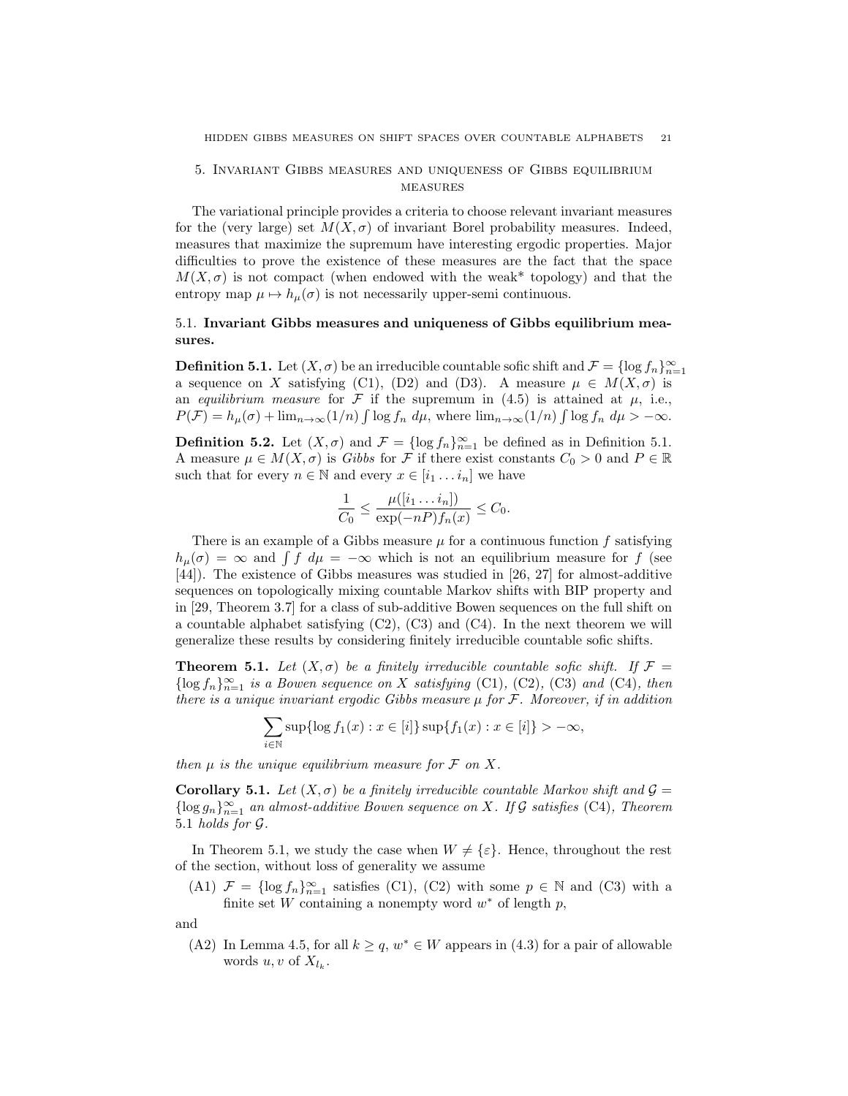## 5. Invariant Gibbs measures and uniqueness of Gibbs equilibrium **MEASURES**

The variational principle provides a criteria to choose relevant invariant measures for the (very large) set  $M(X, \sigma)$  of invariant Borel probability measures. Indeed, measures that maximize the supremum have interesting ergodic properties. Major difficulties to prove the existence of these measures are the fact that the space  $M(X,\sigma)$  is not compact (when endowed with the weak\* topology) and that the entropy map  $\mu \mapsto h_{\mu}(\sigma)$  is not necessarily upper-semi continuous.

# 5.1. Invariant Gibbs measures and uniqueness of Gibbs equilibrium measures.

**Definition 5.1.** Let  $(X, \sigma)$  be an irreducible countable sofic shift and  $\mathcal{F} = \{\log f_n\}_{n=1}^{\infty}$ a sequence on X satisfying (C1), (D2) and (D3). A measure  $\mu \in M(X,\sigma)$  is an *equilibrium measure* for  $\mathcal F$  if the supremum in (4.5) is attained at  $\mu$ , i.e.,  $P(\mathcal{F}) = h_{\mu}(\sigma) + \lim_{n \to \infty} (1/n) \int \log f_n \ d\mu$ , where  $\lim_{n \to \infty} (1/n) \int \log f_n \ d\mu > -\infty$ .

**Definition 5.2.** Let  $(X, \sigma)$  and  $\mathcal{F} = \{\log f_n\}_{n=1}^{\infty}$  be defined as in Definition 5.1. A measure  $\mu \in M(X, \sigma)$  is *Gibbs* for F if there exist constants  $C_0 > 0$  and  $P \in \mathbb{R}$ such that for every  $n \in \mathbb{N}$  and every  $x \in [i_1 \dots i_n]$  we have

$$
\frac{1}{C_0} \le \frac{\mu([i_1 \dots i_n])}{\exp(-nP) f_n(x)} \le C_0.
$$

There is an example of a Gibbs measure  $\mu$  for a continuous function f satisfying  $h_{\mu}(\sigma) = \infty$  and  $\int f d\mu = -\infty$  which is not an equilibrium measure for f (see [44]). The existence of Gibbs measures was studied in [26, 27] for almost-additive sequences on topologically mixing countable Markov shifts with BIP property and in [29, Theorem 3.7] for a class of sub-additive Bowen sequences on the full shift on a countable alphabet satisfying (C2), (C3) and (C4). In the next theorem we will generalize these results by considering finitely irreducible countable sofic shifts.

**Theorem 5.1.** Let  $(X, \sigma)$  be a finitely irreducible countable sofic shift. If  $\mathcal{F} =$  $\{\log f_n\}_{n=1}^{\infty}$  *is a Bowen sequence on* X *satisfying* (C1), (C2), (C3) *and* (C4)*, then there is a unique invariant ergodic Gibbs measure* µ *for* F*. Moreover, if in addition*

$$
\sum_{i \in \mathbb{N}} \sup \{ \log f_1(x) : x \in [i] \} \sup \{ f_1(x) : x \in [i] \} > -\infty,
$$

*then*  $\mu$  *is the unique equilibrium measure for*  $\mathcal F$  *on*  $X$ *.* 

Corollary 5.1. Let  $(X, \sigma)$  be a finitely irreducible countable Markov shift and  $\mathcal{G} =$ {log gn}<sup>∞</sup> <sup>n</sup>=1 *an almost-additive Bowen sequence on* X*. If* G *satisfies* (C4)*, Theorem* 5.1 *holds for* G*.*

In Theorem 5.1, we study the case when  $W \neq {\varepsilon}$ . Hence, throughout the rest of the section, without loss of generality we assume

(A1)  $\mathcal{F} = {\log f_n}_{n=1}^{\infty}$  satisfies (C1), (C2) with some  $p \in \mathbb{N}$  and (C3) with a finite set W containing a nonempty word  $w^*$  of length p,

and

(A2) In Lemma 4.5, for all  $k \ge q$ ,  $w^* \in W$  appears in (4.3) for a pair of allowable words  $u, v$  of  $X_{l_k}$ .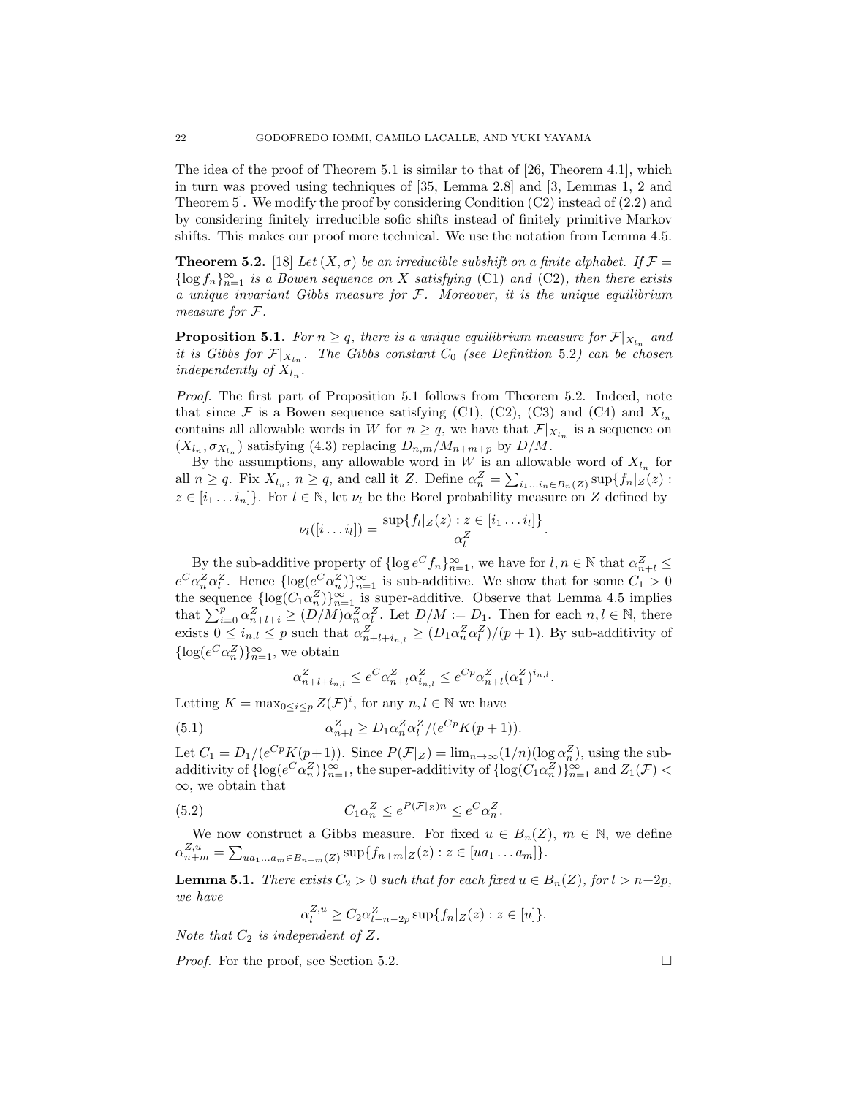The idea of the proof of Theorem 5.1 is similar to that of [26, Theorem 4.1], which in turn was proved using techniques of [35, Lemma 2.8] and [3, Lemmas 1, 2 and Theorem 5]. We modify the proof by considering Condition (C2) instead of (2.2) and by considering finitely irreducible sofic shifts instead of finitely primitive Markov shifts. This makes our proof more technical. We use the notation from Lemma 4.5.

**Theorem 5.2.** [18] *Let*  $(X, \sigma)$  *be an irreducible subshift on a finite alphabet. If*  $\mathcal{F} =$  $\{\log f_n\}_{n=1}^{\infty}$  *is a Bowen sequence on* X *satisfying* (C1) *and* (C2)*, then there exists a unique invariant Gibbs measure for* F*. Moreover, it is the unique equilibrium measure for* F*.*

**Proposition 5.1.** *For*  $n \geq q$ *, there is a unique equilibrium measure for*  $\mathcal{F}|_{X_{l_n}}$  *and it is Gibbs for*  $\mathcal{F}|_{X_{l_n}}$ . The Gibbs constant  $C_0$  (see Definition 5.2) can be chosen *independently of*  $X_{l_n}$ .

*Proof.* The first part of Proposition 5.1 follows from Theorem 5.2. Indeed, note that since F is a Bowen sequence satisfying (C1), (C2), (C3) and (C4) and  $X_{l_n}$ contains all allowable words in W for  $n \geq q$ , we have that  $\mathcal{F}|_{X_{l_n}}$  is a sequence on  $(X_{l_n}, \sigma_{X_{l_n}})$  satisfying (4.3) replacing  $D_{n,m}/M_{n+m+p}$  by  $D/M$ .

By the assumptions, any allowable word in  $W$  is an allowable word of  $X_{l_n}$  for all  $n \geq q$ . Fix  $X_{l_n}$ ,  $n \geq q$ , and call it Z. Define  $\alpha_n^Z = \sum_{i_1...i_n \in B_n(Z)} \sup \{ f_n | Z(z) :$  $z \in [i_1 \dots i_n]$ . For  $l \in \mathbb{N}$ , let  $\nu_l$  be the Borel probability measure on Z defined by

$$
\nu_l([i \dots i_l]) = \frac{\sup\{f_l|_{Z}(z) : z \in [i_1 \dots i_l]\}}{\alpha_l^Z}.
$$

By the sub-additive property of  $\{\log e^C f_n\}_{n=1}^{\infty}$ , we have for  $l, n \in \mathbb{N}$  that  $\alpha_{n+l}^Z \leq$  $e^C \alpha_n^Z \alpha_l^Z$ . Hence  $\{\log(e^C \alpha_n^Z)\}_{n=1}^{\infty}$  is sub-additive. We show that for some  $C_1 > 0$ the sequence  $\{\log(C_1 \alpha_n^Z)\}_{n=1}^{\infty}$  is super-additive. Observe that Lemma 4.5 implies that  $\sum_{i=0}^p \alpha_{n+l+i}^Z \geq (D/M)\alpha_n^Z \alpha_l^Z$ . Let  $D/M := D_1$ . Then for each  $n, l \in \mathbb{N}$ , there exists  $0 \le i_{n,l} \le p$  such that  $\alpha_{n+l+i_{n,l}}^Z \ge (D_1 \alpha_n^Z \alpha_l^Z)/(p+1)$ . By sub-additivity of  $\{\log(e^C \alpha_n^Z)\}_{n=1}^{\infty}$ , we obtain

$$
\alpha_{n+l+i_{n,l}}^Z \leq e^{C} \alpha_{n+l}^Z \alpha_{i_{n,l}}^Z \leq e^{Cp} \alpha_{n+l}^Z (\alpha_1^Z)^{i_{n,l}}.
$$

Letting  $K = \max_{0 \le i \le p} Z(\mathcal{F})^i$ , for any  $n, l \in \mathbb{N}$  we have

(5.1) 
$$
\alpha_{n+l}^Z \ge D_1 \alpha_n^Z \alpha_l^Z / (e^{Cp} K(p+1)).
$$

Let  $C_1 = D_1/(e^{Cp} K(p+1))$ . Since  $P(\mathcal{F}|_Z) = \lim_{n \to \infty} (1/n) (\log \alpha_n^Z)$ , using the subadditivity of  $\{\log(e^C \alpha_n^Z)\}_{n=1}^{\infty}$ , the super-additivity of  $\{\log(C_1 \alpha_n^Z)\}_{n=1}^{\infty}$  and  $Z_1(\mathcal{F})$  < ∞, we obtain that

(5.2) 
$$
C_1 \alpha_n^Z \le e^{P(\mathcal{F}|_Z)n} \le e^C \alpha_n^Z.
$$

We now construct a Gibbs measure. For fixed  $u \in B_n(Z)$ ,  $m \in \mathbb{N}$ , we define  $\alpha_{n+m}^{Z,u} = \sum_{ua_1...a_m \in B_{n+m}(Z)} \sup \{f_{n+m}|_Z(z) : z \in [ua_1...a_m]\}.$ 

**Lemma 5.1.** *There exists*  $C_2 > 0$  *such that for each fixed*  $u \in B_n(Z)$ *, for*  $l > n+2p$ *, we have*

$$
\alpha_l^{Z,u} \ge C_2 \alpha_{l-n-2p}^Z \sup \{ f_n | Z(z) : z \in [u] \}.
$$

*Note that*  $C_2$  *is independent of*  $Z$ *.* 

*Proof.* For the proof, see Section 5.2.  $\Box$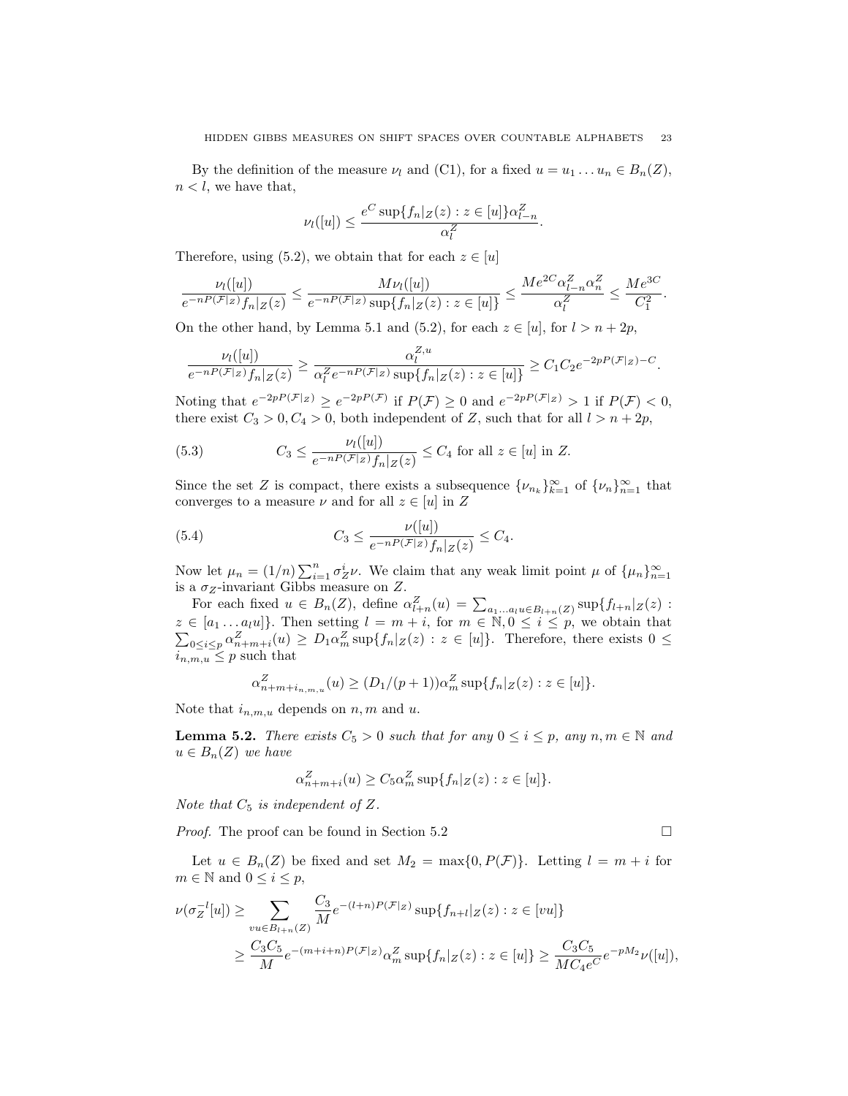By the definition of the measure  $\nu_l$  and (C1), for a fixed  $u = u_1 \ldots u_n \in B_n(Z)$ ,  $n < l$ , we have that,

$$
\nu_l([u]) \le \frac{e^C \sup\{f_n|Z(z): z \in [u]\}\alpha_{l-n}^Z}{\alpha_l^Z}.
$$

Therefore, using (5.2), we obtain that for each  $z \in [u]$ 

$$
\frac{\nu_l([u])}{e^{-nP(\mathcal{F}|_Z)}f_n|_Z(z)} \le \frac{M\nu_l([u])}{e^{-nP(\mathcal{F}|_Z)}\sup\{f_n|_Z(z):z\in[u]\}} \le \frac{Me^{2C}\alpha_{l-n}^Z\alpha_n^Z}{\alpha_l^Z} \le \frac{Me^{3C}}{C_1^2}.
$$

On the other hand, by Lemma 5.1 and (5.2), for each  $z \in [u]$ , for  $l > n + 2p$ ,

$$
\frac{\nu_l([u])}{e^{-nP(\mathcal{F}|_Z)}f_n|_Z(z)} \ge \frac{\alpha_l^{Z,u}}{\alpha_l^Z e^{-nP(\mathcal{F}|_Z)} \sup\{f_n|_Z(z) : z \in [u]\}} \ge C_1 C_2 e^{-2p(P(\mathcal{F}|_Z) - C)}.
$$

Noting that  $e^{-2pP(\mathcal{F}|z)} \ge e^{-2pP(\mathcal{F})}$  if  $P(\mathcal{F}) \ge 0$  and  $e^{-2pP(\mathcal{F}|z)} > 1$  if  $P(\mathcal{F}) < 0$ , there exist  $C_3 > 0, C_4 > 0$ , both independent of Z, such that for all  $l > n + 2p$ ,

(5.3) 
$$
C_3 \le \frac{\nu_l([u])}{e^{-nP(\mathcal{F}|_Z)} f_n|_{Z}(z)} \le C_4 \text{ for all } z \in [u] \text{ in } Z.
$$

Since the set Z is compact, there exists a subsequence  $\{\nu_{n_k}\}_{k=1}^{\infty}$  of  $\{\nu_n\}_{n=1}^{\infty}$  that converges to a measure  $\nu$  and for all  $z \in [u]$  in Z

(5.4) 
$$
C_3 \leq \frac{\nu([u])}{e^{-nP(\mathcal{F}|z)}f_n|_{Z}(z)} \leq C_4.
$$

Now let  $\mu_n = (1/n) \sum_{i=1}^n \sigma_Z^i \nu$ . We claim that any weak limit point  $\mu$  of  $\{\mu_n\}_{n=1}^{\infty}$ is a  $\sigma_Z$ -invariant Gibbs measure on Z.

For each fixed  $u \in B_n(Z)$ , define  $\alpha_{l+n}^Z(u) = \sum_{a_1...a_l u \in B_{l+n}(Z)} \sup \{f_{l+n}|_Z(z)$ : z  $z \in [a_1 \dots a_l u]$ . Then setting  $l = m + i$ , for  $m \in \mathbb{N}, 0 \le i \le p$ , we obtain that  $\sum_{0 \le i \le n} a_{i+m+i}^Z(u) \ge D_1 \alpha_n^Z \sup\{f_n | z(z) : z \in [u]\}$ . Therefore, there exists  $0 \le j$  $0 \leq i \leq p \alpha_{n+m+i}^Z(u) \geq D_1 \alpha_m^Z \sup\{f_n|_Z(z) : z \in [u]\}.$  Therefore, there exists  $0 \leq$  $i_{n,m,u} \leq p$  such that

$$
\alpha_{n+m+i_{n,m,u}}^Z(u) \ge (D_1/(p+1))\alpha_m^Z \sup\{f_n|_Z(z) : z \in [u]\}.
$$

Note that  $i_{n,m,u}$  depends on n, m and u.

**Lemma 5.2.** *There exists*  $C_5 > 0$  *such that for any*  $0 \le i \le p$ *, any*  $n, m \in \mathbb{N}$  *and*  $u \in B_n(Z)$  *we have* 

$$
\alpha_{n+m+i}^Z(u) \ge C_5 \alpha_m^Z \sup \{ f_n | Z(z) : z \in [u] \}.
$$

*Note that*  $C_5$  *is independent of*  $Z$ *.* 

*Proof.* The proof can be found in Section 5.2 □

Let  $u \in B_n(Z)$  be fixed and set  $M_2 = \max\{0, P(\mathcal{F})\}$ . Letting  $l = m + i$  for  $m \in \mathbb{N}$  and  $0 \leq i \leq p$ ,

$$
\nu(\sigma_Z^{-l}[u]) \ge \sum_{vu \in B_{l+n}(Z)} \frac{C_3}{M} e^{-(l+n)P(\mathcal{F}|Z)} \sup \{ f_{n+l}|_{Z}(z) : z \in [vu] \}
$$
  

$$
\ge \frac{C_3 C_5}{M} e^{-(m+i+n)P(\mathcal{F}|Z)} \alpha_m^Z \sup \{ f_n|_{Z}(z) : z \in [u] \} \ge \frac{C_3 C_5}{M C_4 e^C} e^{-pM_2} \nu([u]),
$$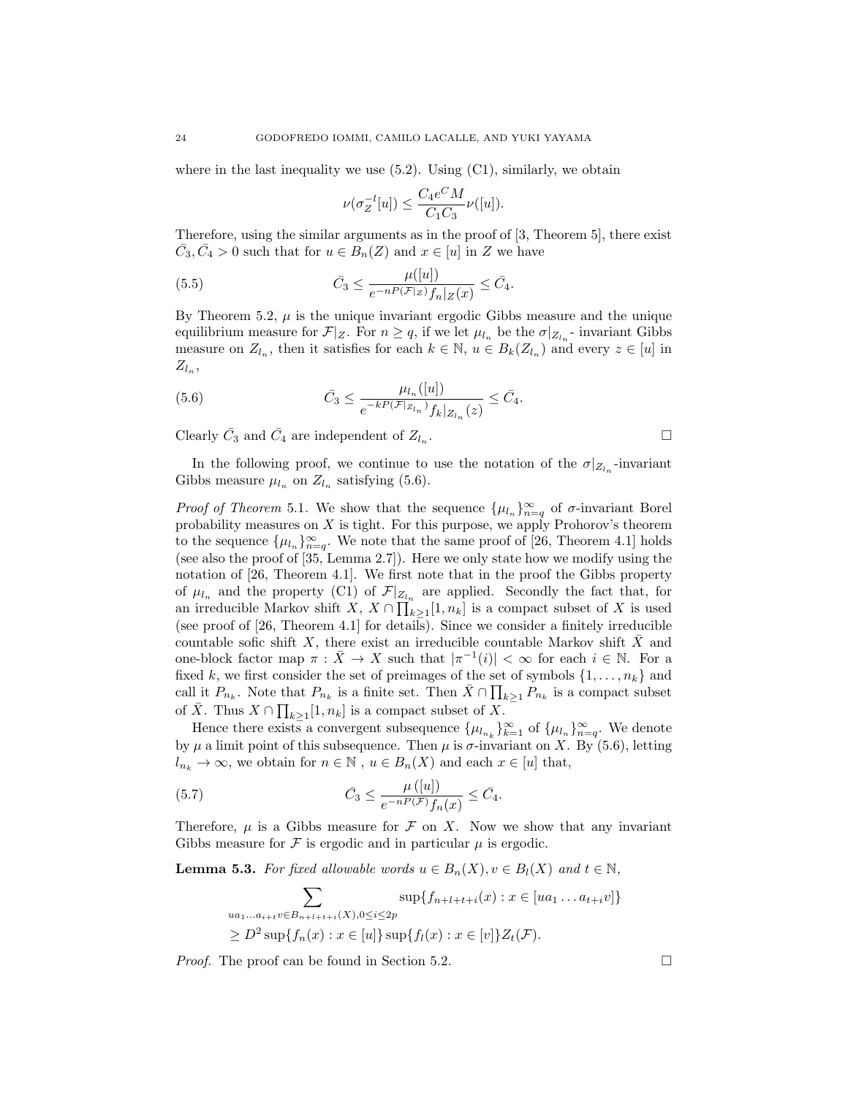where in the last inequality we use  $(5.2)$ . Using  $(C1)$ , similarly, we obtain

$$
\nu(\sigma_Z^{-l}[u]) \le \frac{C_4 e^C M}{C_1 C_3} \nu([u]).
$$

Therefore, using the similar arguments as in the proof of [3, Theorem 5], there exist  $\overline{C}_3, \overline{C}_4 > 0$  such that for  $u \in \overline{B}_n(Z)$  and  $x \in [u]$  in Z we have

(5.5) 
$$
\bar{C}_3 \leq \frac{\mu([u])}{e^{-nP(\mathcal{F}|_Z)}f_n|_{Z}(x)} \leq \bar{C}_4.
$$

By Theorem 5.2,  $\mu$  is the unique invariant ergodic Gibbs measure and the unique equilibrium measure for  $\mathcal{F}|_Z$ . For  $n \geq q$ , if we let  $\mu_{l_n}$  be the  $\sigma|_{Z_{l_n}}$ -invariant Gibbs measure on  $Z_{l_n}$ , then it satisfies for each  $k \in \mathbb{N}$ ,  $u \in B_k(Z_{l_n})$  and every  $z \in [u]$  in  $Z_{l_n}$ ,

(5.6) 
$$
\bar{C}_3 \leq \frac{\mu_{l_n}([u])}{e^{-kP(\mathcal{F}|_{Z_{l_n}})}f_k|_{Z_{l_n}}(z)} \leq \bar{C}_4.
$$

Clearly  $\bar{C}_3$  and  $\bar{C}_4$  are independent of  $Z_{l_n}$ .

In the following proof, we continue to use the notation of the  $\sigma|_{Z_{l_n}}$ -invariant Gibbs measure  $\mu_{l_n}$  on  $Z_{l_n}$  satisfying (5.6).

*Proof of Theorem* 5.1. We show that the sequence  $\{\mu_{l_n}\}_{n=q}^{\infty}$  of  $\sigma$ -invariant Borel probability measures on  $X$  is tight. For this purpose, we apply Prohorov's theorem to the sequence  $\{\mu_{l_n}\}_{n=q}^{\infty}$ . We note that the same proof of [26, Theorem 4.1] holds (see also the proof of  $[35, \text{Lemma } 2.7]$ ). Here we only state how we modify using the notation of [26, Theorem 4.1]. We first note that in the proof the Gibbs property of  $\mu_{l_n}$  and the property (C1) of  $\mathcal{F}|_{Z_{l_n}}$  are applied. Secondly the fact that, for an irreducible Markov shift  $\overline{X}$ ,  $\overline{X} \cap \prod_{k=1}^{n} [1, n_k]$  is a compact subset of X is used (see proof of [26, Theorem 4.1] for details). Since we consider a finitely irreducible countable sofic shift  $X$ , there exist an irreducible countable Markov shift  $\overline{X}$  and one-block factor map  $\pi : \bar{X} \to X$  such that  $|\pi^{-1}(i)| < \infty$  for each  $i \in \mathbb{N}$ . For a fixed k, we first consider the set of preimages of the set of symbols  $\{1, \ldots, n_k\}$  and call it  $P_{n_k}$ . Note that  $P_{n_k}$  is a finite set. Then  $\bar{X} \cap \prod_{k \geq 1} P_{n_k}$  is a compact subset of  $\bar{X}$ . Thus  $X \cap \prod_{k \geq 1} [1, n_k]$  is a compact subset of X.

Hence there exists a convergent subsequence  $\{\mu_{l_{n_k}}\}_{k=1}^{\infty}$  of  $\{\mu_{l_n}\}_{n=q}^{\infty}$ . We denote by  $\mu$  a limit point of this subsequence. Then  $\mu$  is  $\sigma$ -invariant on X. By (5.6), letting  $l_{n_k} \to \infty$ , we obtain for  $n \in \mathbb{N}$ ,  $u \in B_n(X)$  and each  $x \in [u]$  that,

(5.7) 
$$
\bar{C}_3 \leq \frac{\mu([u])}{e^{-n(P(\mathcal{F})} f_n(x)} \leq \bar{C}_4.
$$

Therefore,  $\mu$  is a Gibbs measure for  $\mathcal F$  on X. Now we show that any invariant Gibbs measure for  $\mathcal F$  is ergodic and in particular  $\mu$  is ergodic.

**Lemma 5.3.** For fixed allowable words 
$$
u \in B_n(X)
$$
,  $v \in B_l(X)$  and  $t \in \mathbb{N}$ ,  
\n
$$
\sum_{\substack{ua_1...a_{i+t}v \in B_{n+t+t+i}(X), 0 \le i \le 2p \\ \ge D^2 \sup\{f_n(x) : x \in [u]\} \sup\{f_l(x) : x \in [v]\} Z_t(\mathcal{F})} \ge D^2 \sup\{f_n(x) : x \in [u]\} \sup\{f_l(x) : x \in [v]\} Z_t(\mathcal{F}).
$$

*Proof.* The proof can be found in Section 5.2. □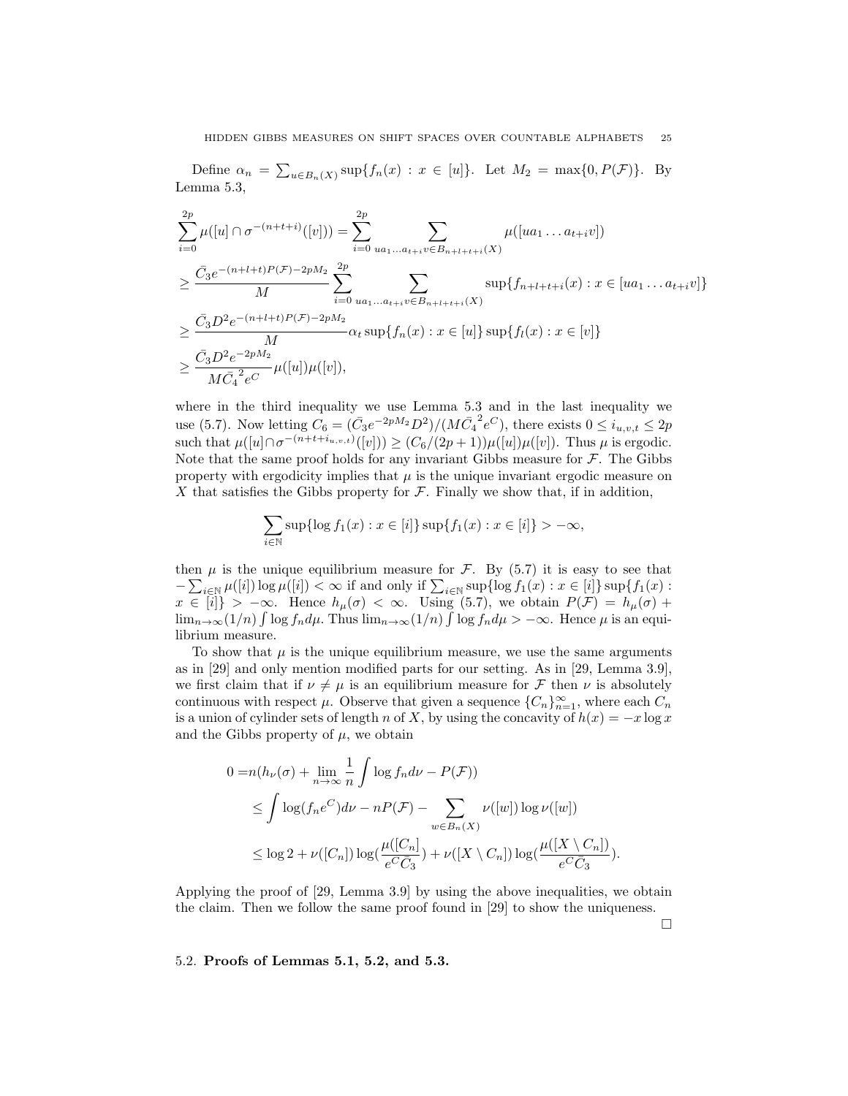Define  $\alpha_n = \sum_{u \in B_n(X)} \sup \{f_n(x) : x \in [u]\}.$  Let  $M_2 = \max \{0, P(\mathcal{F})\}.$  By Lemma 5.3,

$$
\sum_{i=0}^{2p} \mu([u] \cap \sigma^{-(n+t+i)}([v])) = \sum_{i=0}^{2p} \sum_{ua_1...a_{t+i}v \in B_{n+l+t+i}(X)} \mu([ua_1...a_{t+i}v])
$$
  
\n
$$
\geq \frac{\bar{C}_3 e^{-(n+l+t)P(\mathcal{F})-2pM_2}}{M} \sum_{i=0}^{2p} \sum_{ua_1...a_{t+i}v \in B_{n+l+t+i}(X)} \sup\{f_{n+l+t+i}(x) : x \in [ua_1...a_{t+i}v]\}
$$
  
\n
$$
\geq \frac{\bar{C}_3 D^2 e^{-(n+l+t)P(\mathcal{F})-2pM_2}}{M} \alpha_t \sup\{f_n(x) : x \in [u]\} \sup\{f_l(x) : x \in [v]\}
$$
  
\n
$$
\geq \frac{\bar{C}_3 D^2 e^{-2pM_2}}{M \bar{C}_4^2 e^C} \mu([u]) \mu([v]),
$$

where in the third inequality we use Lemma 5.3 and in the last inequality we use (5.7). Now letting  $C_6 = (\bar{C}_3 e^{-2pM_2} D^2) / (M \bar{C}_4^2 e^C)$ , there exists  $0 \le i_{u,v,t} \le 2p$ such that  $\mu([u] \cap \sigma^{-(n+t+i_u,v,t)}([v])) \geq (C_6/(2p+1))\mu([u])\mu([v])$ . Thus  $\mu$  is ergodic. Note that the same proof holds for any invariant Gibbs measure for  $\mathcal F$ . The Gibbs property with ergodicity implies that  $\mu$  is the unique invariant ergodic measure on X that satisfies the Gibbs property for  $\mathcal F$ . Finally we show that, if in addition,

$$
\sum_{i \in \mathbb{N}} \sup \{ \log f_1(x) : x \in [i] \} \sup \{ f_1(x) : x \in [i] \} > -\infty,
$$

then  $\mu$  is the unique equilibrium measure for  $\mathcal{F}$ . By (5.7) it is easy to see that  $-\sum_{i\in\mathbb{N}}\mu([i])\log\mu([i]) < \infty$  if and only if  $\sum_{i\in\mathbb{N}}\sup\{\log f_1(x): x\in [i]\}\sup\{f_1(x): x\in [i]\}$  $x \in [i] > -\infty$ . Hence  $h_\mu(\sigma) < \infty$ . Using (5.7), we obtain  $P(\mathcal{F}) = h_\mu(\sigma) +$  $\lim_{n\to\infty}(1/n)\int \log f_n d\mu$ . Thus  $\lim_{n\to\infty}(1/n)\int \log f_n d\mu > -\infty$ . Hence  $\mu$  is an equilibrium measure.

To show that  $\mu$  is the unique equilibrium measure, we use the same arguments as in [29] and only mention modified parts for our setting. As in [29, Lemma 3.9], we first claim that if  $\nu \neq \mu$  is an equilibrium measure for F then  $\nu$  is absolutely continuous with respect  $\mu$ . Observe that given a sequence  $\{C_n\}_{n=1}^{\infty}$ , where each  $C_n$ is a union of cylinder sets of length n of X, by using the concavity of  $h(x) = -x \log x$ and the Gibbs property of  $\mu$ , we obtain

$$
0 = n(h_{\nu}(\sigma) + \lim_{n \to \infty} \frac{1}{n} \int \log f_n d\nu - P(\mathcal{F}))
$$
  
\n
$$
\leq \int \log(f_n e^C) d\nu - nP(\mathcal{F}) - \sum_{w \in B_n(X)} \nu([w]) \log \nu([w])
$$
  
\n
$$
\leq \log 2 + \nu([C_n]) \log(\frac{\mu([C_n])}{e^C \bar{C}_3}) + \nu([X \setminus C_n]) \log(\frac{\mu([X \setminus C_n])}{e^C \bar{C}_3}).
$$

Applying the proof of [29, Lemma 3.9] by using the above inequalities, we obtain the claim. Then we follow the same proof found in [29] to show the uniqueness.

 $\Box$ 

#### 5.2. Proofs of Lemmas 5.1, 5.2, and 5.3.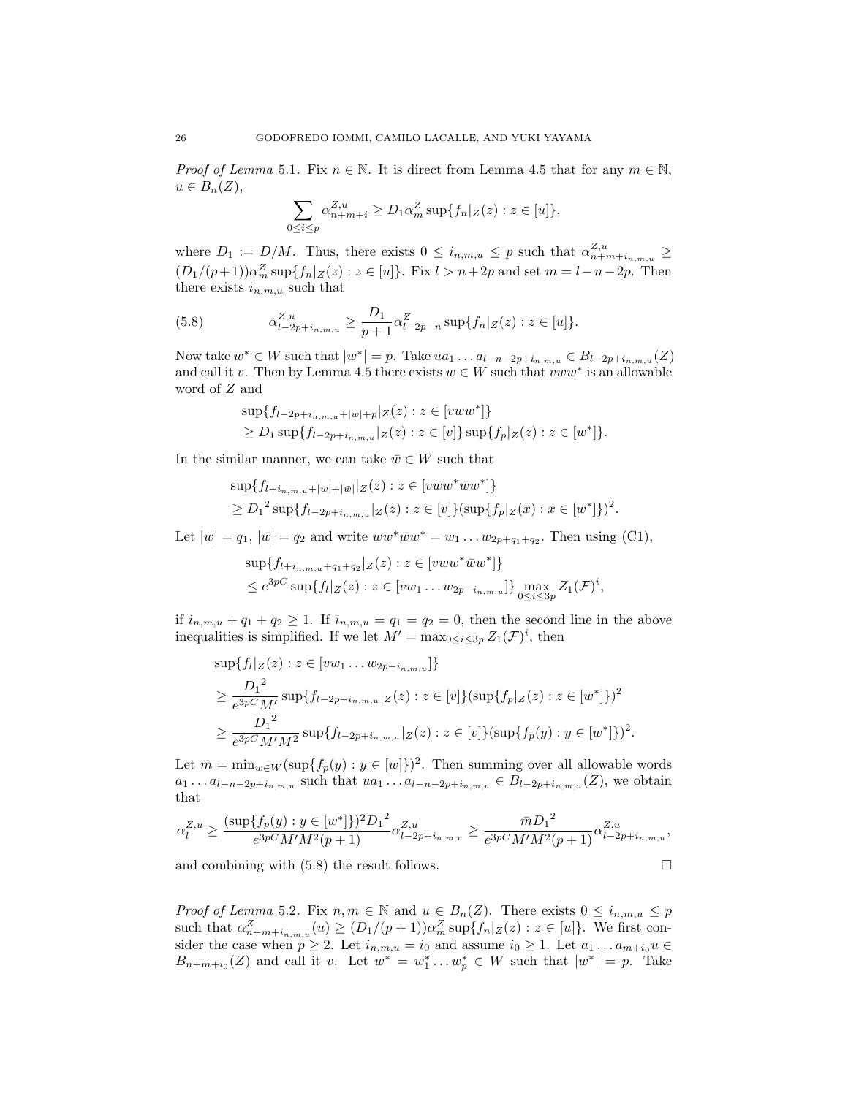*Proof of Lemma* 5.1. Fix  $n \in \mathbb{N}$ . It is direct from Lemma 4.5 that for any  $m \in \mathbb{N}$ ,  $u \in B_n(Z)$ ,

$$
\sum_{0\leq i\leq p}\alpha_{n+m+i}^{Z,u}\geq D_1\alpha_m^Z\sup\{f_n|_Z(z):z\in[u]\},
$$

where  $D_1 := D/M$ . Thus, there exists  $0 \leq i_{n,m,u} \leq p$  such that  $\alpha_{n+m+i_{n,m,u}}^{Z,u} \geq$  $(D_1/(p+1))\alpha_m^Z \sup\{f_n|Z(z): z \in [u]\}.$  Fix  $l > n+2p$  and set  $m = l-n-2p.$  Then there exists  $i_{n,m,u}$  such that

(5.8) 
$$
\alpha_{l-2p+i_{n,m,u}}^{Z,u} \geq \frac{D_1}{p+1} \alpha_{l-2p-n}^Z \sup\{f_n|_{Z}(z) : z \in [u]\}.
$$

Now take  $w^*$  ∈ W such that  $|w^*| = p$ . Take  $ua_1 \dots a_{l-n-2p+i_{n,m,u}} \in B_{l-2p+i_{n,m,u}}(Z)$ and call it v. Then by Lemma 4.5 there exists  $w \in W$  such that  $vww^*$  is an allowable word of Z and

$$
\sup\{f_{l-2p+i_{n,m,u}+|w|+p}|z(z):z\in [vww^*]\}\
$$
  
\n
$$
\geq D_1 \sup\{f_{l-2p+i_{n,m,u}}|z(z):z\in [v]\}\sup\{f_p|z(z):z\in [w^*]\}.
$$

In the similar manner, we can take  $\bar{w} \in W$  such that

$$
\sup\{f_{l+i_{n,m,u}+|w|+|\bar{w}|}|Z(z):z\in [vww^*\bar{w}w^*]\}
$$
  
\n
$$
\ge D_1^2 \sup\{f_{l-2p+i_{n,m,u}}|Z(z):z\in [v]\}(\sup\{f_p|Z(x):x\in [w^*]\})^2.
$$

Let  $|w| = q_1$ ,  $|\bar{w}| = q_2$  and write  $ww^*\bar{w}w^* = w_1 \dots w_{2p+q_1+q_2}$ . Then using (C1),

$$
\sup\{f_{l+i_{n,m,u}+q_{1}+q_{2}}|_{Z}(z):z\in[vww^{*}\bar{w}w^{*}]\}
$$
  

$$
\leq e^{3pC}\sup\{f_{l}|_{Z}(z):z\in[vw_{1}\dots w_{2p-i_{n,m,u}}]\}\max_{0\leq i\leq 3p}Z_{1}(\mathcal{F})^{i},
$$

if  $i_{n,m,u} + q_1 + q_2 \geq 1$ . If  $i_{n,m,u} = q_1 = q_2 = 0$ , then the second line in the above inequalities is simplified. If we let  $M' = \max_{0 \leq i \leq 3p} Z_1(\mathcal{F})^i$ , then

$$
\sup\{f_l|_Z(z):z\in [vw_1\ldots w_{2p-i_{n,m,u}}]\}
$$
  
\n
$$
\geq \frac{D_1^2}{e^{3p}CM'}\sup\{f_{l-2p+i_{n,m,u}}|_Z(z):z\in [v]\}\left(\sup\{f_p|_Z(z):z\in [w^*]\}\right)^2
$$
  
\n
$$
\geq \frac{D_1^2}{e^{3p}CM'M^2}\sup\{f_{l-2p+i_{n,m,u}}|_Z(z):z\in [v]\}\left(\sup\{f_p(y):y\in [w^*]\}\right)^2.
$$

Let  $\bar{m} = \min_{w \in W} (\sup\{f_p(y) : y \in [w]\})^2$ . Then summing over all allowable words  $a_1 \ldots a_{l-n-2p+i_{n,m,u}}$  such that  $ua_1 \ldots a_{l-n-2p+i_{n,m,u}} \in B_{l-2p+i_{n,m,u}}(Z)$ , we obtain that

$$
\alpha_l^{Z,u} \ge \frac{(\sup\{f_p(y) : y \in [w^*]\})^2 D_1^2}{e^{3pC} M' M^2 (p+1)} \alpha_{l-2p+i_{n,m,u}}^{Z,u} \ge \frac{\bar{m} D_1^2}{e^{3pC} M' M^2 (p+1)} \alpha_{l-2p+i_{n,m,u}}^{Z,u},
$$

and combining with  $(5.8)$  the result follows.  $\Box$ 

*Proof of Lemma* 5.2. Fix  $n, m \in \mathbb{N}$  and  $u \in B_n(Z)$ . There exists  $0 \leq i_{n,m,u} \leq p$ such that  $\alpha_{n+m+i_{n,m,u}}^Z(u) \ge (D_1/(p+1))\alpha_m^Z \sup\{f_n|_{Z}(z) : z \in [u]\}.$  We first consider the case when  $p \ge 2$ . Let  $i_{n,m,u} = i_0$  and assume  $i_0 \ge 1$ . Let  $a_1 \dots a_{m+i_0} u \in$  $B_{n+m+i_0}(Z)$  and call it v. Let  $w^* = w_1^* \dots w_p^* \in W$  such that  $|w^*| = p$ . Take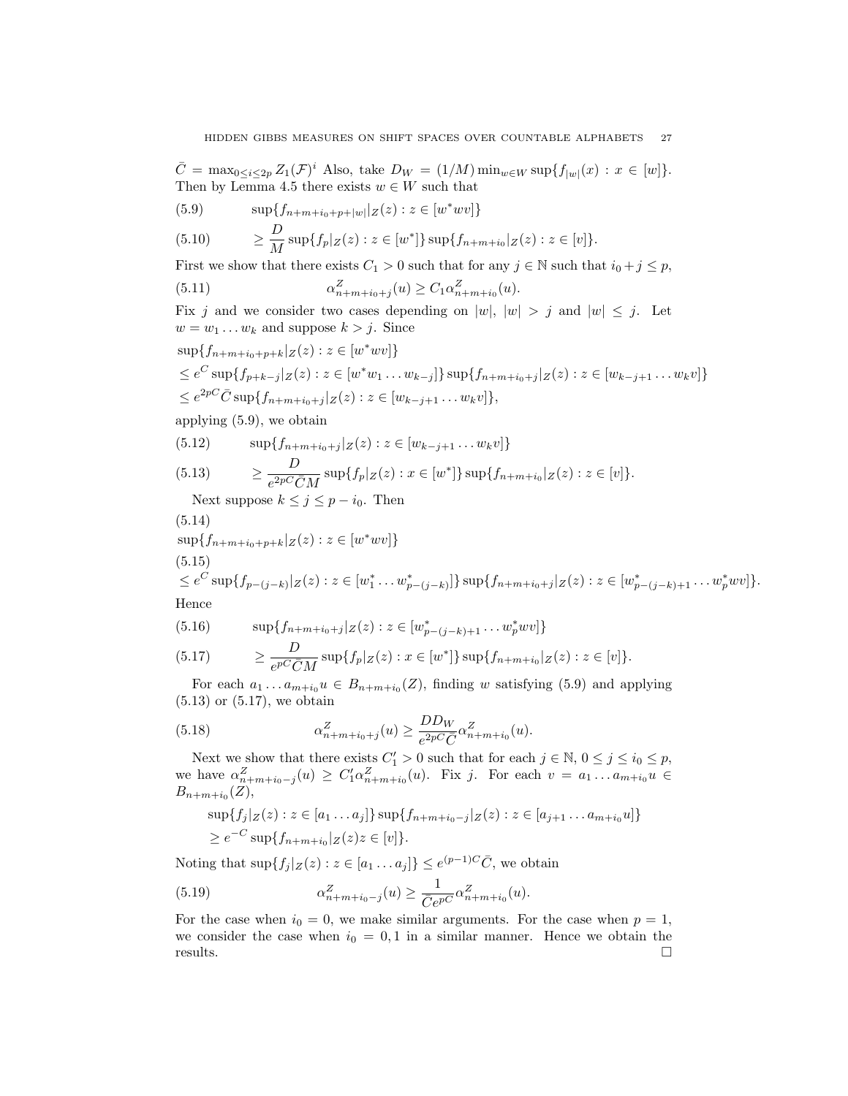$\overline{C} = \max_{0 \leq i \leq 2p} Z_1(\mathcal{F})^i$  Also, take  $D_W = (1/M) \min_{w \in W} \sup\{f_{|w|}(x) : x \in [w]\}.$ Then by Lemma 4.5 there exists  $w \in W$  such that

(5.9) 
$$
\sup \{ f_{n+m+i_0+p+|w|} | z(z) : z \in [w^* w v] \}
$$

$$
(5.10) \qquad \geq \frac{D}{M} \sup \{ f_p | Z(z) : z \in [w^*] \} \sup \{ f_{n+m+i_0} | Z(z) : z \in [v] \}.
$$

First we show that there exists  $C_1 > 0$  such that for any  $j \in \mathbb{N}$  such that  $i_0 + j \leq p$ ,

(5.11) 
$$
\alpha_{n+m+i_0+j}^Z(u) \ge C_1 \alpha_{n+m+i_0}^Z(u).
$$

Fix j and we consider two cases depending on  $|w|, |w| > j$  and  $|w| \leq j$ . Let  $w = w_1 \dots w_k$  and suppose  $k > j$ . Since

$$
\sup\{f_{n+m+i_0+p+k}|_{Z}(z): z \in [w^*wv]\}
$$
  
\n
$$
\leq e^C \sup\{f_{p+k-j}|_{Z}(z): z \in [w^*w_1 \dots w_{k-j}]\} \sup\{f_{n+m+i_0+j}|_{Z}(z): z \in [w_{k-j+1} \dots w_kv]\}
$$
  
\n
$$
\leq e^{2pC}\bar{C} \sup\{f_{n+m+i_0+j}|_{Z}(z): z \in [w_{k-j+1} \dots w_kv]\},
$$

applying (5.9), we obtain

(5.12) 
$$
\sup\{f_{n+m+i_0+j}|z(z):z\in [w_{k-j+1}\dots w_kv]\}
$$
  
(5.13) 
$$
\geq \frac{D}{e^{2pC}\bar{C}M}\sup\{f_p|z(z):x\in [w^*]\}\sup\{f_{n+m+i_0}|z(z):z\in [v]\}.
$$

Next suppose  $k \leq j \leq p - i_0$ . Then

$$
(5.14)
$$

 $\sup\{f_{n+m+i_0+p+k}|_Z(z) : z \in [w^*wv]\}$ 

$$
(5.15)
$$

$$
\leq e^C \sup\{f_{p-(j-k)}|_{Z}(z) : z \in [w_1^* \dots w_{p-(j-k)}^*]\} \sup\{f_{n+m+i_0+j}|_{Z}(z) : z \in [w_{p-(j-k)+1}^* \dots w_p^* w v]\}.
$$
  
Hence

Hence

(5.16) 
$$
\sup\{f_{n+m+i_0+j}|_{Z}(z):z\in [w_{p-(j-k)+1}^*...w_p^*wv]\}
$$

(5.17) 
$$
\geq \frac{D}{e^{pC}\bar{C}M} \sup\{f_p|_{Z}(z) : x \in [w^*]\} \sup\{f_{n+m+i_0}|_{Z}(z) : z \in [v]\}.
$$

For each  $a_1 \ldots a_{m+i_0} u \in B_{n+m+i_0}(Z)$ , finding w satisfying (5.9) and applying  $(5.13)$  or  $(5.17)$ , we obtain

(5.18) 
$$
\alpha_{n+m+i_0+j}^Z(u) \ge \frac{DD_W}{e^{2pC}\bar{C}} \alpha_{n+m+i_0}^Z(u).
$$

Next we show that there exists  $C'_1 > 0$  such that for each  $j \in \mathbb{N}, 0 \le j \le i_0 \le p$ , we have  $\alpha_{n+m+i_0-j}^Z(u) \geq C_1' \alpha_{n+m+i_0}^Z(u)$ . Fix j. For each  $v = a_1 \dots a_{m+i_0} u \in$  $B_{n+m+i_0}(Z),$ 

$$
\sup\{f_j|Z(z): z \in [a_1 \dots a_j]\}\sup\{f_{n+m+i_0-j}|Z(z): z \in [a_{j+1} \dots a_{m+i_0}u]\}\
$$
  

$$
\geq e^{-C}\sup\{f_{n+m+i_0}|Z(z)z \in [v]\}.
$$

Noting that  $\sup\{f_j | Z(z) : z \in [a_1 \dots a_j]\} \le e^{(p-1)C} \overline{C}$ , we obtain

(5.19) 
$$
\alpha_{n+m+i_0-j}^Z(u) \geq \frac{1}{\bar{C}e^{pC}} \alpha_{n+m+i_0}^Z(u).
$$

For the case when  $i_0 = 0$ , we make similar arguments. For the case when  $p = 1$ , we consider the case when  $i_0 = 0, 1$  in a similar manner. Hence we obtain the  $\Box$  results.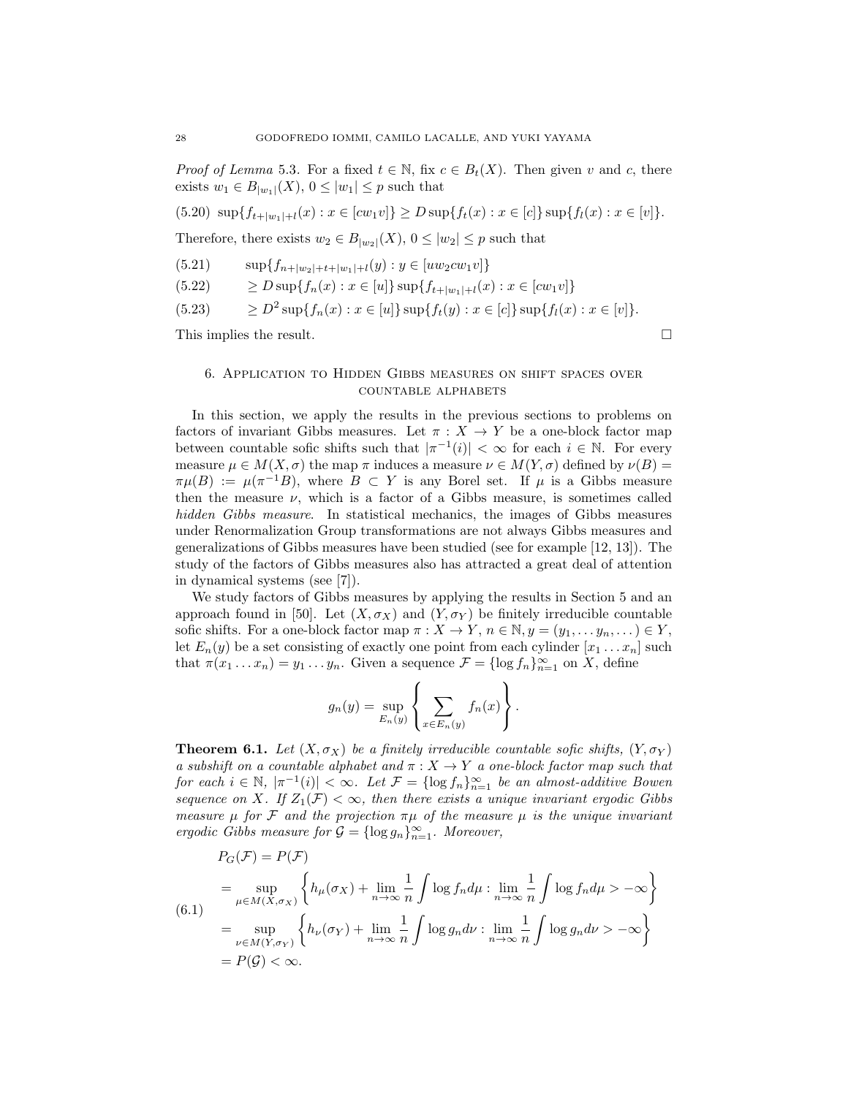*Proof of Lemma* 5.3. For a fixed  $t \in \mathbb{N}$ , fix  $c \in B_t(X)$ . Then given v and c, there exists  $w_1 \in B_{|w_1|}(X)$ ,  $0 \leq |w_1| \leq p$  such that

$$
(5.20) \ \sup\{f_{t+|w_1|+l}(x) : x \in [cw_1v]\} \ge D \sup\{f_t(x) : x \in [c]\}\sup\{f_l(x) : x \in [v]\}.
$$

Therefore, there exists  $w_2 \in B_{|w_2|}(X)$ ,  $0 \leq |w_2| \leq p$  such that

$$
(5.21) \qquad \sup\{f_{n+|w_2|+t+|w_1|+l}(y) : y \in [uw_2cw_1v]\}
$$

 $(5.22) \qquad \geq D \sup\{f_n(x) : x \in [u]\}\sup\{f_{t+|w_1|+l}(x) : x \in [cw_1v]\}\$ 

$$
(5.23) \qquad \geq D^2 \sup \{ f_n(x) : x \in [u] \} \sup \{ f_t(y) : x \in [c] \} \sup \{ f_l(x) : x \in [v] \}.
$$

This implies the result.  $\Box$ 

# 6. Application to Hidden Gibbs measures on shift spaces over countable alphabets

In this section, we apply the results in the previous sections to problems on factors of invariant Gibbs measures. Let  $\pi : X \to Y$  be a one-block factor map between countable sofic shifts such that  $|\pi^{-1}(i)| < \infty$  for each  $i \in \mathbb{N}$ . For every measure  $\mu \in M(X, \sigma)$  the map  $\pi$  induces a measure  $\nu \in M(Y, \sigma)$  defined by  $\nu(B)$  $\pi\mu(B) := \mu(\pi^{-1}B)$ , where  $B \subset Y$  is any Borel set. If  $\mu$  is a Gibbs measure then the measure  $\nu$ , which is a factor of a Gibbs measure, is sometimes called *hidden Gibbs measure*. In statistical mechanics, the images of Gibbs measures under Renormalization Group transformations are not always Gibbs measures and generalizations of Gibbs measures have been studied (see for example [12, 13]). The study of the factors of Gibbs measures also has attracted a great deal of attention in dynamical systems (see [7]).

We study factors of Gibbs measures by applying the results in Section 5 and an approach found in [50]. Let  $(X, \sigma_X)$  and  $(Y, \sigma_Y)$  be finitely irreducible countable sofic shifts. For a one-block factor map  $\pi: X \to Y$ ,  $n \in \mathbb{N}, y = (y_1, \ldots, y_n, \ldots) \in Y$ , let  $E_n(y)$  be a set consisting of exactly one point from each cylinder  $[x_1 \ldots x_n]$  such that  $\pi(x_1 \dots x_n) = y_1 \dots y_n$ . Given a sequence  $\mathcal{F} = \{\log f_n\}_{n=1}^{\infty}$  on X, define

$$
g_n(y) = \sup_{E_n(y)} \left\{ \sum_{x \in E_n(y)} f_n(x) \right\}.
$$

**Theorem 6.1.** Let  $(X, \sigma_X)$  be a finitely irreducible countable sofic shifts,  $(Y, \sigma_Y)$ *a subshift on a countable alphabet and*  $\pi$  :  $X \rightarrow Y$  *a one-block factor map such that for each*  $i \in \mathbb{N}$ ,  $|\pi^{-1}(i)| < \infty$ . Let  $\mathcal{F} = {\log f_n}_{n=1}^{\infty}$  *be an almost-additive Bowen sequence on* X. If  $Z_1(\mathcal{F}) < \infty$ , then there exists a unique invariant ergodic Gibbs *measure*  $\mu$  *for* F *and the projection*  $\pi\mu$  *of the measure*  $\mu$  *is the unique invariant ergodic Gibbs measure for*  $\mathcal{G} = {\log g_n}_{n=1}^{\infty}$ . Moreover,

$$
P_G(\mathcal{F}) = P(\mathcal{F})
$$
  
= 
$$
\sup_{\mu \in M(X, \sigma_X)} \left\{ h_{\mu}(\sigma_X) + \lim_{n \to \infty} \frac{1}{n} \int \log f_n d\mu : \lim_{n \to \infty} \frac{1}{n} \int \log f_n d\mu > -\infty \right\}
$$
  
= 
$$
\sup_{\nu \in M(Y, \sigma_Y)} \left\{ h_{\nu}(\sigma_Y) + \lim_{n \to \infty} \frac{1}{n} \int \log g_n d\nu : \lim_{n \to \infty} \frac{1}{n} \int \log g_n d\nu > -\infty \right\}
$$
  
= 
$$
P(\mathcal{G}) < \infty.
$$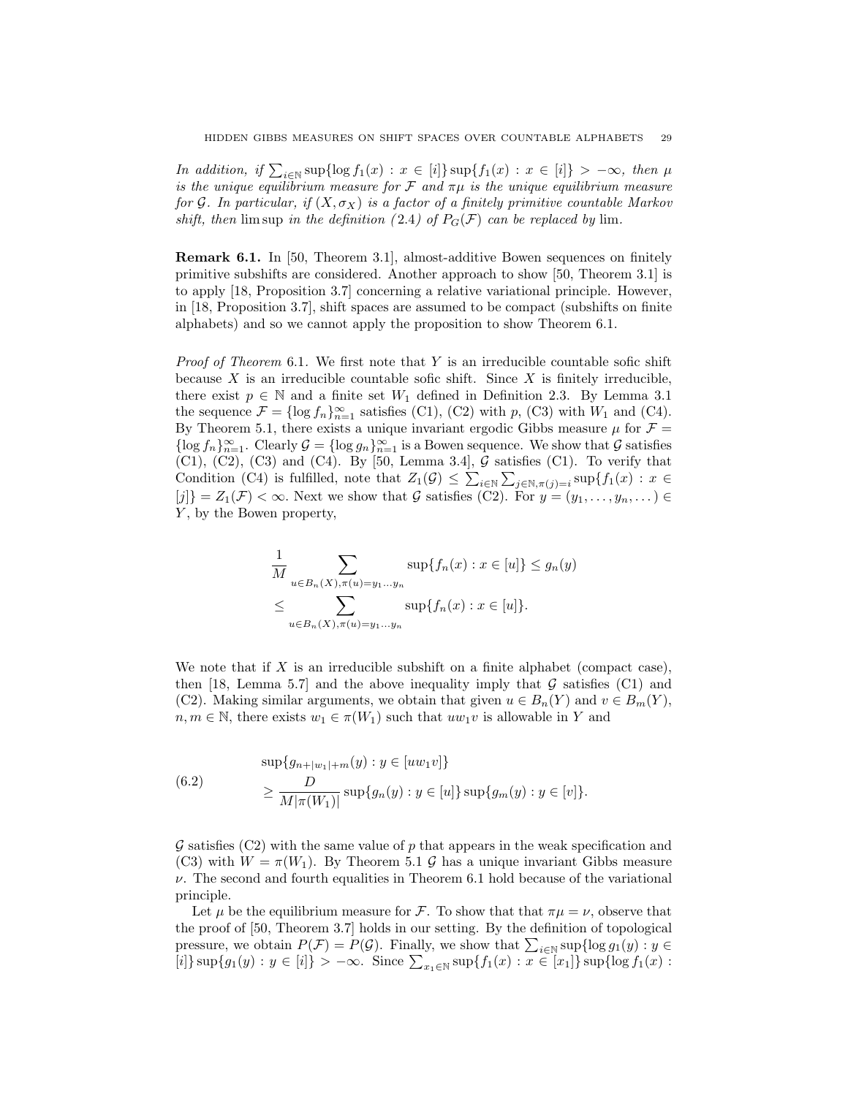*In addition, if*  $\sum_{i\in\mathbb{N}} \sup\{\log f_1(x) : x \in [i]\} \sup\{f_1(x) : x \in [i]\} > -\infty$ *, then*  $\mu$ *is the unique equilibrium measure for*  $\mathcal F$  *and*  $\pi\mu$  *is the unique equilibrium measure for* G. In particular, if  $(X, \sigma_X)$  is a factor of a finitely primitive countable Markov *shift, then* lim sup *in the definition* (2.4) of  $P_G(\mathcal{F})$  *can be replaced by* lim.

Remark 6.1. In [50, Theorem 3.1], almost-additive Bowen sequences on finitely primitive subshifts are considered. Another approach to show [50, Theorem 3.1] is to apply [18, Proposition 3.7] concerning a relative variational principle. However, in [18, Proposition 3.7], shift spaces are assumed to be compact (subshifts on finite alphabets) and so we cannot apply the proposition to show Theorem 6.1.

*Proof of Theorem* 6.1. We first note that Y is an irreducible countable sofic shift because  $X$  is an irreducible countable sofic shift. Since  $X$  is finitely irreducible, there exist  $p \in \mathbb{N}$  and a finite set  $W_1$  defined in Definition 2.3. By Lemma 3.1 the sequence  $\mathcal{F} = \{\log f_n\}_{n=1}^{\infty}$  satisfies (C1), (C2) with  $p$ , (C3) with  $W_1$  and (C4). By Theorem 5.1, there exists a unique invariant ergodic Gibbs measure  $\mu$  for  $\mathcal{F} =$  $\{\log f_n\}_{n=1}^{\infty}$ . Clearly  $\mathcal{G} = \{\log g_n\}_{n=1}^{\infty}$  is a Bowen sequence. We show that  $\mathcal{G}$  satisfies  $(C1)$ ,  $(C2)$ ,  $(C3)$  and  $(C4)$ . By [50, Lemma 3.4],  $\mathcal G$  satisfies  $(C1)$ . To verify that Condition (C4) is fulfilled, note that  $Z_1(\mathcal{G}) \leq \sum_{i \in \mathbb{N}} \sum_{j \in \mathbb{N}, \pi(j)=i} \sup\{f_1(x) : x \in \mathbb{N}\}$  $[j]\} = Z_1(\mathcal{F}) < \infty$ . Next we show that G satisfies (C2). For  $y = (y_1, \ldots, y_n, \ldots)$ Y, by the Bowen property,

$$
\frac{1}{M} \sum_{u \in B_n(X), \pi(u) = y_1 \dots y_n} \sup \{ f_n(x) : x \in [u] \} \le g_n(y)
$$
  

$$
\le \sum_{u \in B_n(X), \pi(u) = y_1 \dots y_n} \sup \{ f_n(x) : x \in [u] \}.
$$

We note that if  $X$  is an irreducible subshift on a finite alphabet (compact case), then [18, Lemma 5.7] and the above inequality imply that  $G$  satisfies (C1) and (C2). Making similar arguments, we obtain that given  $u \in B_n(Y)$  and  $v \in B_m(Y)$ ,  $n, m \in \mathbb{N}$ , there exists  $w_1 \in \pi(W_1)$  such that  $uw_1v$  is allowable in Y and

(6.2) 
$$
\sup \{g_{n+|w_1|+m}(y) : y \in [uw_1v] \}
$$

$$
\geq \frac{D}{M|\pi(W_1)|} \sup \{g_n(y) : y \in [u] \} \sup \{g_m(y) : y \in [v] \}.
$$

 $\mathcal G$  satisfies (C2) with the same value of p that appears in the weak specification and (C3) with  $W = \pi(W_1)$ . By Theorem 5.1 G has a unique invariant Gibbs measure  $\nu$ . The second and fourth equalities in Theorem 6.1 hold because of the variational principle.

Let  $\mu$  be the equilibrium measure for F. To show that that  $\pi\mu = \nu$ , observe that the proof of [50, Theorem 3.7] holds in our setting. By the definition of topological pressure, we obtain  $P(\mathcal{F}) = P(\mathcal{G})$ . Finally, we show that  $\sum_{i \in \mathbb{N}} \sup_{i \in \mathbb{N}} \{ \log g_1(y) : y \in \mathbb{N} \}$ [i]}  $\sup\{g_1(y) : y \in [i]\} > -\infty$ . Since  $\sum_{x_1 \in \mathbb{N}} \sup\{f_1(x) : x \in [x_1]\}\sup\{\log f_1(x) : x \in [x_1]\}$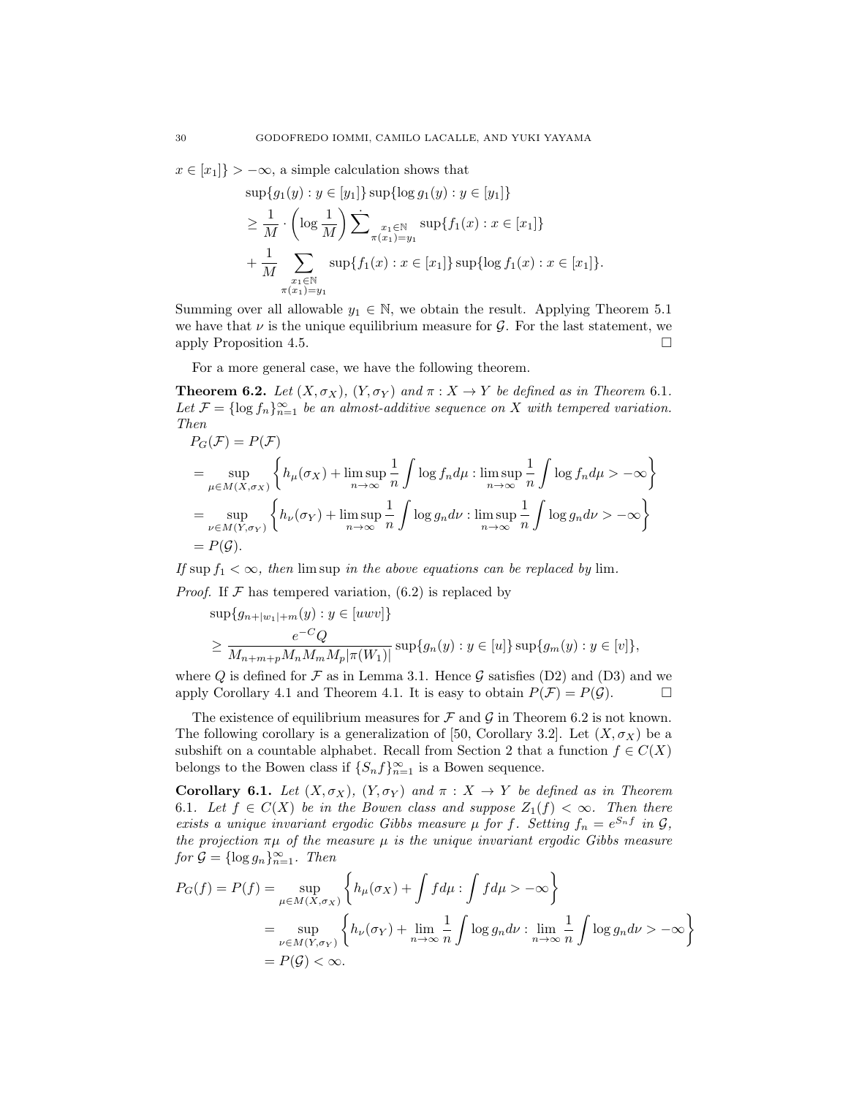$x \in [x_1]$  >  $-\infty$ , a simple calculation shows that

$$
\sup\{g_1(y) : y \in [y_1]\} \sup\{\log g_1(y) : y \in [y_1]\}
$$
  
\n
$$
\geq \frac{1}{M} \cdot \left(\log \frac{1}{M}\right) \sum_{\substack{x_1 \in \mathbb{N} \\ \pi(x_1) = y_1}} \sup\{f_1(x) : x \in [x_1]\}
$$
  
\n
$$
+ \frac{1}{M} \sum_{\substack{x_1 \in \mathbb{N} \\ \pi(x_1) = y_1}} \sup\{f_1(x) : x \in [x_1]\} \sup\{\log f_1(x) : x \in [x_1]\}.
$$

Summing over all allowable  $y_1 \in \mathbb{N}$ , we obtain the result. Applying Theorem 5.1 we have that  $\nu$  is the unique equilibrium measure for  $\mathcal G$ . For the last statement, we apply Proposition 4.5. apply Proposition 4.5.

For a more general case, we have the following theorem.

**Theorem 6.2.** *Let*  $(X, \sigma_X)$ *,*  $(Y, \sigma_Y)$  *and*  $\pi : X \to Y$  *be defined as in Theorem 6.1.* Let  $\mathcal{F} = \{\log f_n\}_{n=1}^{\infty}$  be an almost-additive sequence on X with tempered variation. *Then*

$$
P_G(\mathcal{F}) = P(\mathcal{F})
$$
  
= 
$$
\sup_{\mu \in M(X, \sigma_X)} \left\{ h_{\mu}(\sigma_X) + \limsup_{n \to \infty} \frac{1}{n} \int \log f_n d\mu : \limsup_{n \to \infty} \frac{1}{n} \int \log f_n d\mu > -\infty \right\}
$$
  
= 
$$
\sup_{\nu \in M(Y, \sigma_Y)} \left\{ h_{\nu}(\sigma_Y) + \limsup_{n \to \infty} \frac{1}{n} \int \log g_n d\nu : \limsup_{n \to \infty} \frac{1}{n} \int \log g_n d\nu > -\infty \right\}
$$
  
= 
$$
P(\mathcal{G}).
$$

*If* sup  $f_1 < \infty$ *, then* lim sup *in the above equations can be replaced by* lim.

*Proof.* If  $F$  has tempered variation, (6.2) is replaced by

$$
sup{g_{n+|w_1|+m}(y) : y \in [uvw]}\ge \frac{e^{-C}Q}{M_{n+m+p}M_nM_mM_p|\pi(W_1)|} sup{g_n(y) : y \in [u]} sup{g_m(y) : y \in [v]},
$$

where Q is defined for F as in Lemma 3.1. Hence G satisfies (D2) and (D3) and we apply Corollary 4.1 and Theorem 4.1. It is easy to obtain  $P(F) = P(G)$ . apply Corollary 4.1 and Theorem 4.1. It is easy to obtain  $P(\mathcal{F}) = P(\mathcal{G})$ .

The existence of equilibrium measures for  $\mathcal F$  and  $\mathcal G$  in Theorem 6.2 is not known. The following corollary is a generalization of [50, Corollary 3.2]. Let  $(X, \sigma_X)$  be a subshift on a countable alphabet. Recall from Section 2 that a function  $f \in C(X)$ belongs to the Bowen class if  $\{S_n f\}_{n=1}^{\infty}$  is a Bowen sequence.

Corollary 6.1. *Let*  $(X, \sigma_X)$ ,  $(Y, \sigma_Y)$  *and*  $\pi : X \to Y$  *be defined as in Theorem* 6.1*.* Let  $f \in C(X)$  be in the Bowen class and suppose  $Z_1(f) < \infty$ . Then there *exists a unique invariant ergodic Gibbs measure*  $\mu$  *for*  $f$ *. Setting*  $f_n = e^{S_n f}$  *in*  $\mathcal{G}$ *, the projection*  $\pi\mu$  *of the measure*  $\mu$  *is the unique invariant ergodic Gibbs measure*  $for \mathcal{G} = \{\log g_n\}_{n=1}^{\infty}$ *. Then* 

$$
P_G(f) = P(f) = \sup_{\mu \in M(X, \sigma_X)} \left\{ h_{\mu}(\sigma_X) + \int f d\mu : \int f d\mu > -\infty \right\}
$$
  
= 
$$
\sup_{\nu \in M(Y, \sigma_Y)} \left\{ h_{\nu}(\sigma_Y) + \lim_{n \to \infty} \frac{1}{n} \int \log g_n d\nu : \lim_{n \to \infty} \frac{1}{n} \int \log g_n d\nu > -\infty \right\}
$$
  
= 
$$
P(\mathcal{G}) < \infty.
$$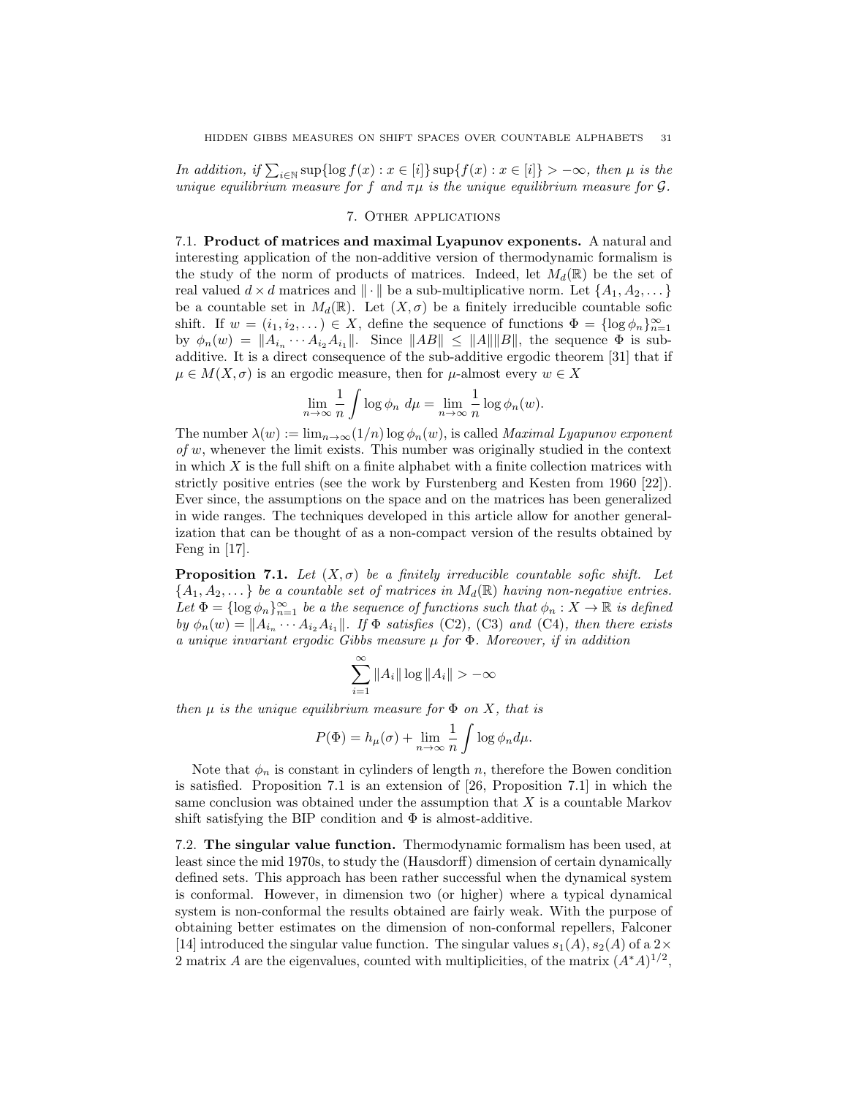*In addition, if*  $\sum_{i\in\mathbb{N}} \sup\{\log f(x) : x \in [i]\} \sup\{f(x) : x \in [i]\} > -\infty$ , then  $\mu$  is the *unique equilibrium measure for* f and  $\pi\mu$  *is the unique equilibrium measure for*  $\mathcal{G}$ *.* 

## 7. Other applications

7.1. Product of matrices and maximal Lyapunov exponents. A natural and interesting application of the non-additive version of thermodynamic formalism is the study of the norm of products of matrices. Indeed, let  $M_d(\mathbb{R})$  be the set of real valued  $d \times d$  matrices and  $\|\cdot\|$  be a sub-multiplicative norm. Let  $\{A_1, A_2, \dots\}$ be a countable set in  $M_d(\mathbb{R})$ . Let  $(X, \sigma)$  be a finitely irreducible countable sofic shift. If  $w = (i_1, i_2, \dots) \in X$ , define the sequence of functions  $\Phi = {\log \phi_n}_{n=1}^{\infty}$ by  $\phi_n(w) = ||A_{i_n} \cdots A_{i_2} A_{i_1}||$ . Since  $||AB|| \le ||A|| ||B||$ , the sequence  $\Phi$  is subadditive. It is a direct consequence of the sub-additive ergodic theorem [31] that if  $\mu \in M(X, \sigma)$  is an ergodic measure, then for  $\mu$ -almost every  $w \in X$ 

$$
\lim_{n \to \infty} \frac{1}{n} \int \log \phi_n \ d\mu = \lim_{n \to \infty} \frac{1}{n} \log \phi_n(w).
$$

The number  $\lambda(w) := \lim_{n \to \infty} (1/n) \log \phi_n(w)$ , is called *Maximal Lyapunov exponent of* w, whenever the limit exists. This number was originally studied in the context in which  $X$  is the full shift on a finite alphabet with a finite collection matrices with strictly positive entries (see the work by Furstenberg and Kesten from 1960 [22]). Ever since, the assumptions on the space and on the matrices has been generalized in wide ranges. The techniques developed in this article allow for another generalization that can be thought of as a non-compact version of the results obtained by Feng in [17].

**Proposition 7.1.** Let  $(X, \sigma)$  be a finitely irreducible countable sofic shift. Let  $\{A_1, A_2, \ldots\}$  *be a countable set of matrices in*  $M_d(\mathbb{R})$  *having non-negative entries.* Let  $\Phi = \{\log \phi_n\}_{n=1}^{\infty}$  *be a the sequence of functions such that*  $\phi_n : X \to \mathbb{R}$  *is defined by*  $\phi_n(w) = ||A_{i_n} \cdots A_{i_2} A_{i_1}||$ *. If*  $\Phi$  *satisfies* (C2)*,* (C3) *and* (C4)*, then there exists a unique invariant ergodic Gibbs measure* µ *for* Φ*. Moreover, if in addition*

$$
\sum_{i=1}^{\infty} \|A_i\| \log \|A_i\| > -\infty
$$

*then*  $\mu$  *is the unique equilibrium measure for*  $\Phi$  *on*  $X$ *, that is* 

$$
P(\Phi) = h_{\mu}(\sigma) + \lim_{n \to \infty} \frac{1}{n} \int \log \phi_n d\mu.
$$

Note that  $\phi_n$  is constant in cylinders of length n, therefore the Bowen condition is satisfied. Proposition 7.1 is an extension of [26, Proposition 7.1] in which the same conclusion was obtained under the assumption that  $X$  is a countable Markov shift satisfying the BIP condition and  $\Phi$  is almost-additive.

7.2. The singular value function. Thermodynamic formalism has been used, at least since the mid 1970s, to study the (Hausdorff) dimension of certain dynamically defined sets. This approach has been rather successful when the dynamical system is conformal. However, in dimension two (or higher) where a typical dynamical system is non-conformal the results obtained are fairly weak. With the purpose of obtaining better estimates on the dimension of non-conformal repellers, Falconer [14] introduced the singular value function. The singular values  $s_1(A), s_2(A)$  of a 2 $\times$ 2 matrix A are the eigenvalues, counted with multiplicities, of the matrix  $(A^*A)^{1/2}$ ,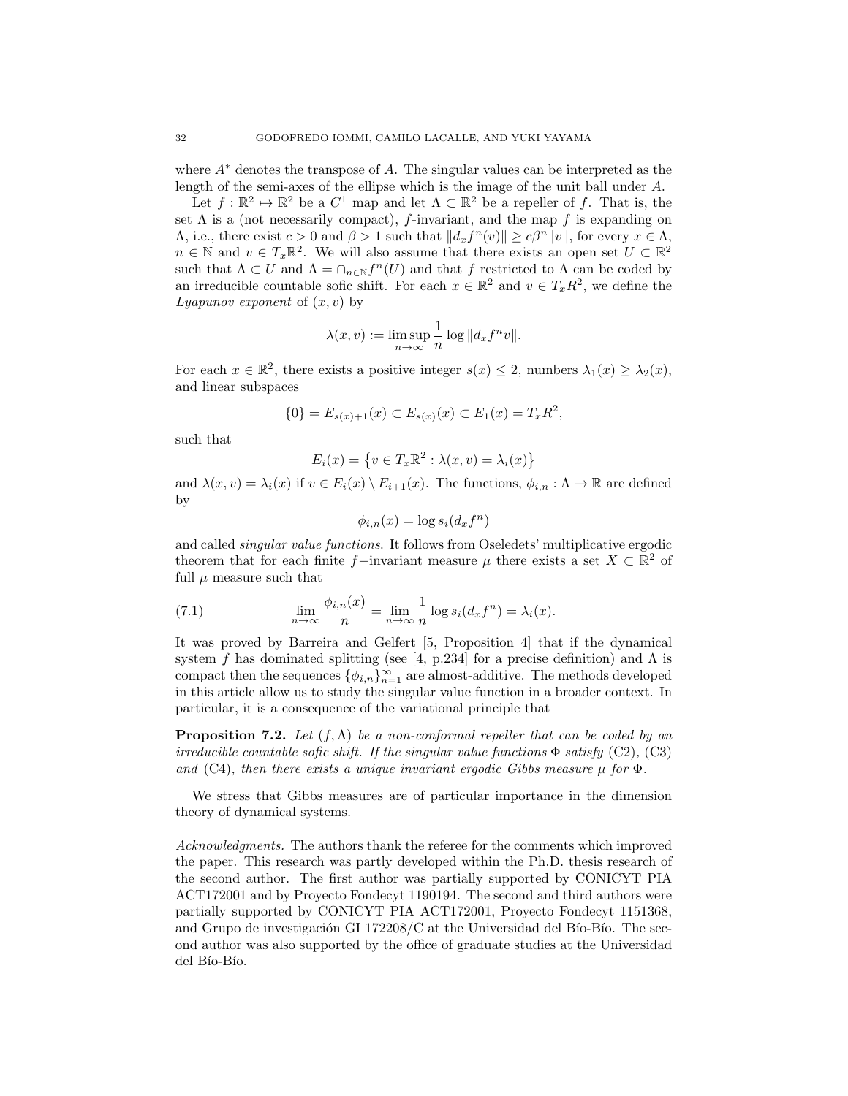where  $A^*$  denotes the transpose of A. The singular values can be interpreted as the length of the semi-axes of the ellipse which is the image of the unit ball under A.

Let  $f : \mathbb{R}^2 \to \mathbb{R}^2$  be a  $C^1$  map and let  $\Lambda \subset \mathbb{R}^2$  be a repeller of f. That is, the set  $\Lambda$  is a (not necessarily compact), f-invariant, and the map f is expanding on  $\Lambda$ , i.e., there exist  $c > 0$  and  $\beta > 1$  such that  $||d_x f^n(v)|| \ge c\beta^n ||v||$ , for every  $x \in \Lambda$ ,  $n \in \mathbb{N}$  and  $v \in T_x \mathbb{R}^2$ . We will also assume that there exists an open set  $U \subset \mathbb{R}^2$ such that  $\Lambda \subset U$  and  $\Lambda = \cap_{n \in \mathbb{N}} f^n(U)$  and that f restricted to  $\Lambda$  can be coded by an irreducible countable sofic shift. For each  $x \in \mathbb{R}^2$  and  $v \in T_xR^2$ , we define the *Lyapunov exponent* of  $(x, v)$  by

$$
\lambda(x, v) := \limsup_{n \to \infty} \frac{1}{n} \log ||d_x f^n v||.
$$

For each  $x \in \mathbb{R}^2$ , there exists a positive integer  $s(x) \leq 2$ , numbers  $\lambda_1(x) \geq \lambda_2(x)$ , and linear subspaces

$$
\{0\} = E_{s(x)+1}(x) \subset E_{s(x)}(x) \subset E_1(x) = T_x R^2,
$$

such that

$$
E_i(x) = \{ v \in T_x \mathbb{R}^2 : \lambda(x, v) = \lambda_i(x) \}
$$

and  $\lambda(x, v) = \lambda_i(x)$  if  $v \in E_i(x) \setminus E_{i+1}(x)$ . The functions,  $\phi_{i,n} : \Lambda \to \mathbb{R}$  are defined by

$$
\phi_{i,n}(x) = \log s_i(d_x f^n)
$$

and called *singular value functions*. It follows from Oseledets' multiplicative ergodic theorem that for each finite f–invariant measure  $\mu$  there exists a set  $X \subset \mathbb{R}^2$  of full  $\mu$  measure such that

(7.1) 
$$
\lim_{n \to \infty} \frac{\phi_{i,n}(x)}{n} = \lim_{n \to \infty} \frac{1}{n} \log s_i(d_x f^n) = \lambda_i(x).
$$

It was proved by Barreira and Gelfert [5, Proposition 4] that if the dynamical system f has dominated splitting (see [4, p.234] for a precise definition) and  $\Lambda$  is compact then the sequences  $\{\phi_{i,n}\}_{n=1}^{\infty}$  are almost-additive. The methods developed in this article allow us to study the singular value function in a broader context. In particular, it is a consequence of the variational principle that

Proposition 7.2. *Let* (f,Λ) *be a non-conformal repeller that can be coded by an irreducible countable sofic shift. If the singular value functions*  $\Phi$  *satisfy* (C2), (C3) *and* (C4)*, then there exists a unique invariant ergodic Gibbs measure* µ *for* Φ*.*

We stress that Gibbs measures are of particular importance in the dimension theory of dynamical systems.

*Acknowledgments.* The authors thank the referee for the comments which improved the paper. This research was partly developed within the Ph.D. thesis research of the second author. The first author was partially supported by CONICYT PIA ACT172001 and by Proyecto Fondecyt 1190194. The second and third authors were partially supported by CONICYT PIA ACT172001, Proyecto Fondecyt 1151368, and Grupo de investigación GI 172208/C at the Universidad del Bío-Bío. The second author was also supported by the office of graduate studies at the Universidad del Bío-Bío.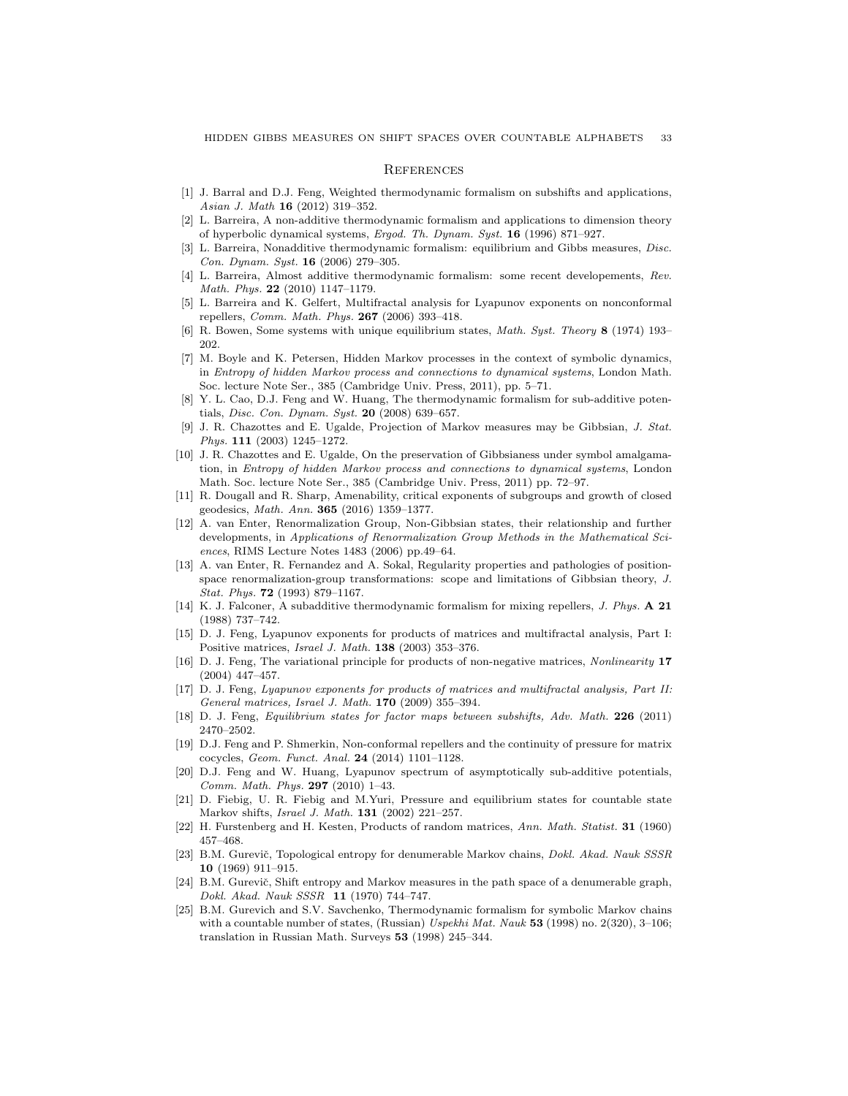#### **REFERENCES**

- [1] J. Barral and D.J. Feng, Weighted thermodynamic formalism on subshifts and applications, *Asian J. Math* 16 (2012) 319–352.
- [2] L. Barreira, A non-additive thermodynamic formalism and applications to dimension theory of hyperbolic dynamical systems, *Ergod. Th. Dynam. Syst.* 16 (1996) 871–927.
- [3] L. Barreira, Nonadditive thermodynamic formalism: equilibrium and Gibbs measures, *Disc. Con. Dynam. Syst.* 16 (2006) 279–305.
- [4] L. Barreira, Almost additive thermodynamic formalism: some recent developements, *Rev. Math. Phys.* 22 (2010) 1147–1179.
- [5] L. Barreira and K. Gelfert, Multifractal analysis for Lyapunov exponents on nonconformal repellers, *Comm. Math. Phys.* 267 (2006) 393–418.
- [6] R. Bowen, Some systems with unique equilibrium states, *Math. Syst. Theory* 8 (1974) 193– 202.
- [7] M. Boyle and K. Petersen, Hidden Markov processes in the context of symbolic dynamics, in *Entropy of hidden Markov process and connections to dynamical systems*, London Math. Soc. lecture Note Ser., 385 (Cambridge Univ. Press, 2011), pp. 5–71.
- [8] Y. L. Cao, D.J. Feng and W. Huang, The thermodynamic formalism for sub-additive potentials, *Disc. Con. Dynam. Syst.* 20 (2008) 639–657.
- [9] J. R. Chazottes and E. Ugalde, Projection of Markov measures may be Gibbsian, *J. Stat. Phys.* 111 (2003) 1245–1272.
- [10] J. R. Chazottes and E. Ugalde, On the preservation of Gibbsianess under symbol amalgamation, in *Entropy of hidden Markov process and connections to dynamical systems*, London Math. Soc. lecture Note Ser., 385 (Cambridge Univ. Press, 2011) pp. 72–97.
- [11] R. Dougall and R. Sharp, Amenability, critical exponents of subgroups and growth of closed geodesics, *Math. Ann.* 365 (2016) 1359–1377.
- [12] A. van Enter, Renormalization Group, Non-Gibbsian states, their relationship and further developments, in *Applications of Renormalization Group Methods in the Mathematical Sciences*, RIMS Lecture Notes 1483 (2006) pp.49–64.
- [13] A. van Enter, R. Fernandez and A. Sokal, Regularity properties and pathologies of positionspace renormalization-group transformations: scope and limitations of Gibbsian theory, *J. Stat. Phys.* 72 (1993) 879–1167.
- [14] K. J. Falconer, A subadditive thermodynamic formalism for mixing repellers, *J. Phys.* A 21 (1988) 737–742.
- [15] D. J. Feng, Lyapunov exponents for products of matrices and multifractal analysis, Part I: Positive matrices, *Israel J. Math.* 138 (2003) 353–376.
- [16] D. J. Feng, The variational principle for products of non-negative matrices, *Nonlinearity* 17 (2004) 447–457.
- [17] D. J. Feng, *Lyapunov exponents for products of matrices and multifractal analysis, Part II: General matrices, Israel J. Math.* 170 (2009) 355–394.
- [18] D. J. Feng, *Equilibrium states for factor maps between subshifts, Adv. Math.* 226 (2011) 2470–2502.
- [19] D.J. Feng and P. Shmerkin, Non-conformal repellers and the continuity of pressure for matrix cocycles, *Geom. Funct. Anal.* 24 (2014) 1101–1128.
- [20] D.J. Feng and W. Huang, Lyapunov spectrum of asymptotically sub-additive potentials, *Comm. Math. Phys.* 297 (2010) 1–43.
- [21] D. Fiebig, U. R. Fiebig and M.Yuri, Pressure and equilibrium states for countable state Markov shifts, *Israel J. Math.* 131 (2002) 221–257.
- [22] H. Furstenberg and H. Kesten, Products of random matrices, *Ann. Math. Statist.* 31 (1960) 457–468.
- [23] B.M. Gureviˇc, Topological entropy for denumerable Markov chains, *Dokl. Akad. Nauk SSSR* 10 (1969) 911–915.
- [24] B.M. Gurevič, Shift entropy and Markov measures in the path space of a denumerable graph, *Dokl. Akad. Nauk SSSR* 11 (1970) 744–747.
- [25] B.M. Gurevich and S.V. Savchenko, Thermodynamic formalism for symbolic Markov chains with a countable number of states, (Russian) *Uspekhi Mat. Nauk* 53 (1998) no. 2(320), 3–106; translation in Russian Math. Surveys 53 (1998) 245–344.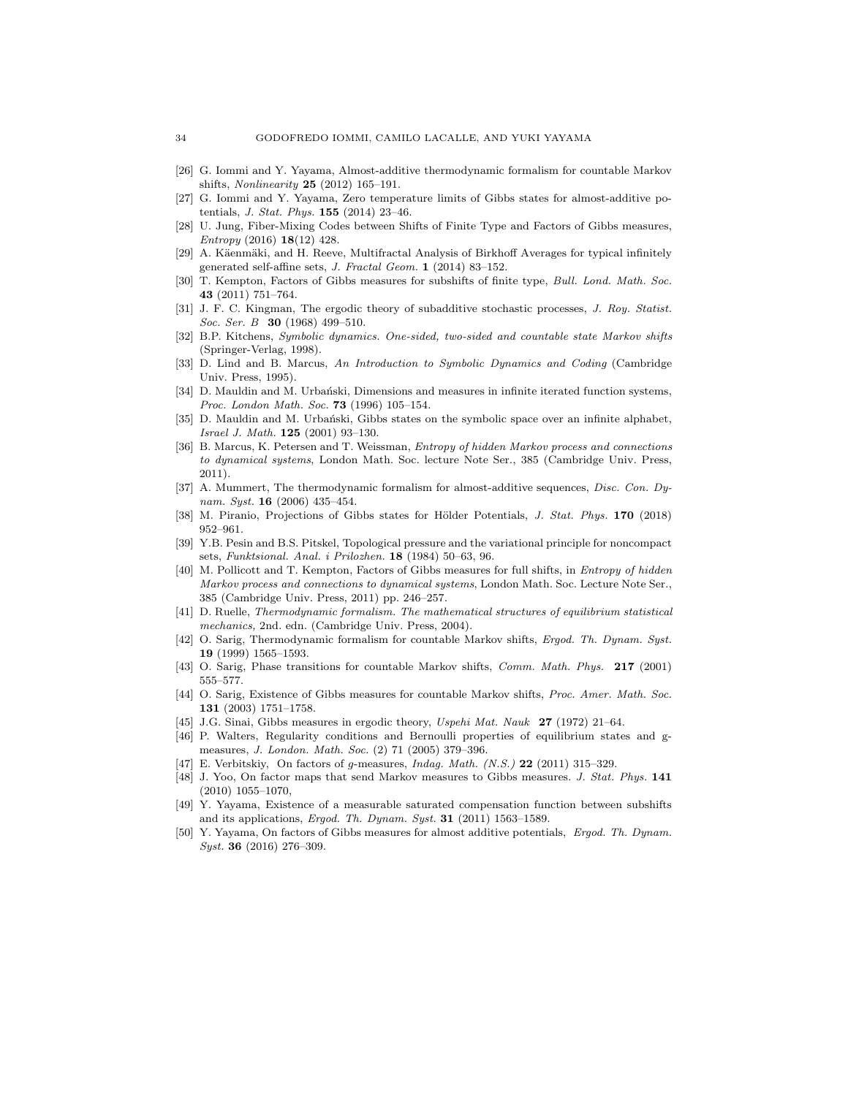- [26] G. Iommi and Y. Yayama, Almost-additive thermodynamic formalism for countable Markov shifts, *Nonlinearity* 25 (2012) 165–191.
- [27] G. Iommi and Y. Yayama, Zero temperature limits of Gibbs states for almost-additive potentials, *J. Stat. Phys.* 155 (2014) 23–46.
- U. Jung, Fiber-Mixing Codes between Shifts of Finite Type and Factors of Gibbs measures, *Entropy* (2016) 18(12) 428.
- [29] A. Käenmäki, and H. Reeve, Multifractal Analysis of Birkhoff Averages for typical infinitely generated self-affine sets, *J. Fractal Geom.* 1 (2014) 83–152.
- [30] T. Kempton, Factors of Gibbs measures for subshifts of finite type, *Bull. Lond. Math. Soc.* 43 (2011) 751–764.
- [31] J. F. C. Kingman, The ergodic theory of subadditive stochastic processes, *J. Roy. Statist. Soc. Ser. B* 30 (1968) 499–510.
- [32] B.P. Kitchens, *Symbolic dynamics. One-sided, two-sided and countable state Markov shifts* (Springer-Verlag, 1998).
- [33] D. Lind and B. Marcus, *An Introduction to Symbolic Dynamics and Coding* (Cambridge Univ. Press, 1995).
- [34] D. Mauldin and M. Urbański, Dimensions and measures in infinite iterated function systems, *Proc. London Math. Soc.* 73 (1996) 105–154.
- [35] D. Mauldin and M. Urbański, Gibbs states on the symbolic space over an infinite alphabet, *Israel J. Math.* 125 (2001) 93–130.
- [36] B. Marcus, K. Petersen and T. Weissman, *Entropy of hidden Markov process and connections to dynamical systems*, London Math. Soc. lecture Note Ser., 385 (Cambridge Univ. Press, 2011).
- [37] A. Mummert, The thermodynamic formalism for almost-additive sequences, *Disc. Con. Dynam. Syst.* 16 (2006) 435–454.
- [38] M. Piranio, Projections of Gibbs states for Hölder Potentials, *J. Stat. Phys.* 170 (2018) 952–961.
- [39] Y.B. Pesin and B.S. Pitskel, Topological pressure and the variational principle for noncompact sets, *Funktsional. Anal. i Prilozhen.* 18 (1984) 50–63, 96.
- [40] M. Pollicott and T. Kempton, Factors of Gibbs measures for full shifts, in *Entropy of hidden Markov process and connections to dynamical systems*, London Math. Soc. Lecture Note Ser., 385 (Cambridge Univ. Press, 2011) pp. 246–257.
- [41] D. Ruelle, *Thermodynamic formalism. The mathematical structures of equilibrium statistical mechanics,* 2nd. edn. (Cambridge Univ. Press, 2004).
- [42] O. Sarig, Thermodynamic formalism for countable Markov shifts, *Ergod. Th. Dynam. Syst.* 19 (1999) 1565–1593.
- [43] O. Sarig, Phase transitions for countable Markov shifts, *Comm. Math. Phys.* 217 (2001) 555–577.
- [44] O. Sarig, Existence of Gibbs measures for countable Markov shifts, *Proc. Amer. Math. Soc.* 131 (2003) 1751–1758.
- [45] J.G. Sinai, Gibbs measures in ergodic theory, *Uspehi Mat. Nauk* 27 (1972) 21–64.
- [46] P. Walters, Regularity conditions and Bernoulli properties of equilibrium states and gmeasures, *J. London. Math. Soc.* (2) 71 (2005) 379–396.
- [47] E. Verbitskiy, On factors of *g*-measures, *Indag. Math. (N.S.)* 22 (2011) 315–329.
- [48] J. Yoo, On factor maps that send Markov measures to Gibbs measures. *J. Stat. Phys.* 141 (2010) 1055–1070,
- [49] Y. Yayama, Existence of a measurable saturated compensation function between subshifts and its applications, *Ergod. Th. Dynam. Syst.* 31 (2011) 1563–1589.
- [50] Y. Yayama, On factors of Gibbs measures for almost additive potentials, *Ergod. Th. Dynam. Syst.* 36 (2016) 276–309.